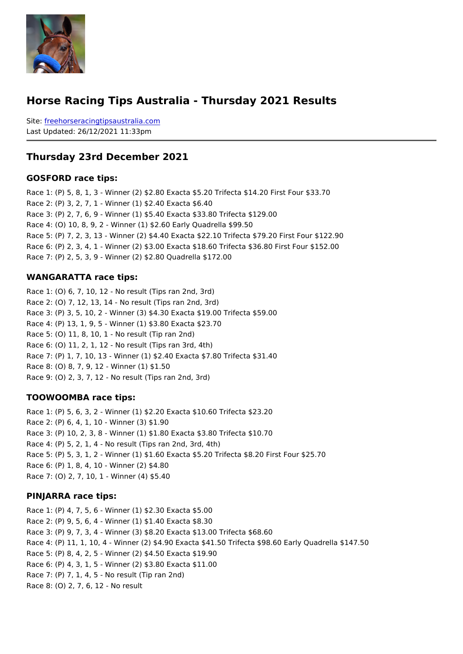#### Horse Racing Tips Australia - Thursday 2021 Results

Sitefreehorseracingtipsaustralia.com Last Updated: 26/12/2021 11:33pm

Thursday 23rd December 2021

GOSFORD race tips:

Race 1: (P) 5, 8, 1, 3 - Winner (2) \$2.80 Exacta \$5.20 Trifecta \$14.20 First Four \$33.70 Race 2: (P) 3, 2, 7, 1 - Winner (1) \$2.40 Exacta \$6.40 Race 3: (P) 2, 7, 6, 9 - Winner (1) \$5.40 Exacta \$33.80 Trifecta \$129.00 Race 4: (O) 10, 8, 9, 2 - Winner (1) \$2.60 Early Quadrella \$99.50 Race 5: (P) 7, 2, 3, 13 - Winner (2) \$4.40 Exacta \$22.10 Trifecta \$79.20 First Four \$12 Race 6: (P) 2, 3, 4, 1 - Winner (2) \$3.00 Exacta \$18.60 Trifecta \$36.80 First Four \$152.00 Race 7: (P) 2, 5, 3, 9 - Winner (2) \$2.80 Quadrella \$172.00

#### WANGARATTA race tips:

Race 1: (O) 6, 7, 10, 12 - No result (Tips ran 2nd, 3rd) Race 2: (O) 7, 12, 13, 14 - No result (Tips ran 2nd, 3rd) Race 3: (P) 3, 5, 10, 2 - Winner (3) \$4.30 Exacta \$19.00 Trifecta \$59.00 Race 4: (P) 13, 1, 9, 5 - Winner (1) \$3.80 Exacta \$23.70 Race 5: (O) 11, 8, 10, 1 - No result (Tip ran 2nd) Race 6: (O) 11, 2, 1, 12 - No result (Tips ran 3rd, 4th) Race 7: (P) 1, 7, 10, 13 - Winner (1) \$2.40 Exacta \$7.80 Trifecta \$31.40 Race 8: (O) 8, 7, 9, 12 - Winner (1) \$1.50 Race 9: (O) 2, 3, 7, 12 - No result (Tips ran 2nd, 3rd)

#### TOOWOOMBA race tips:

Race 1: (P) 5, 6, 3, 2 - Winner (1) \$2.20 Exacta \$10.60 Trifecta \$23.20 Race 2: (P) 6, 4, 1, 10 - Winner (3) \$1.90 Race 3: (P) 10, 2, 3, 8 - Winner (1) \$1.80 Exacta \$3.80 Trifecta \$10.70 Race 4: (P) 5, 2, 1, 4 - No result (Tips ran 2nd, 3rd, 4th) Race 5: (P) 5, 3, 1, 2 - Winner (1) \$1.60 Exacta \$5.20 Trifecta \$8.20 First Four \$25.70 Race 6: (P) 1, 8, 4, 10 - Winner (2) \$4.80 Race 7: (O) 2, 7, 10, 1 - Winner (4) \$5.40

#### PINJARRA race tips:

```
Race 1: (P) 4, 7, 5, 6 - Winner (1) $2.30 Exacta $5.00
Race 2: (P) 9, 5, 6, 4 - Winner (1) $1.40 Exacta $8.30
Race 3: (P) 9, 7, 3, 4 - Winner (3) $8.20 Exacta $13.00 Trifecta $68.60
Race 4: (P) 11, 1, 10, 4 - Winner (2) $4.90 Exacta $41.50 Trifecta $98.60 Early Quadre
Race 5: (P) 8, 4, 2, 5 - Winner (2) $4.50 Exacta $19.90
Race 6: (P) 4, 3, 1, 5 - Winner (2) $3.80 Exacta $11.00
Race 7: (P) 7, 1, 4, 5 - No result (Tip ran 2nd)
Race 8: (O) 2, 7, 6, 12 - No result
```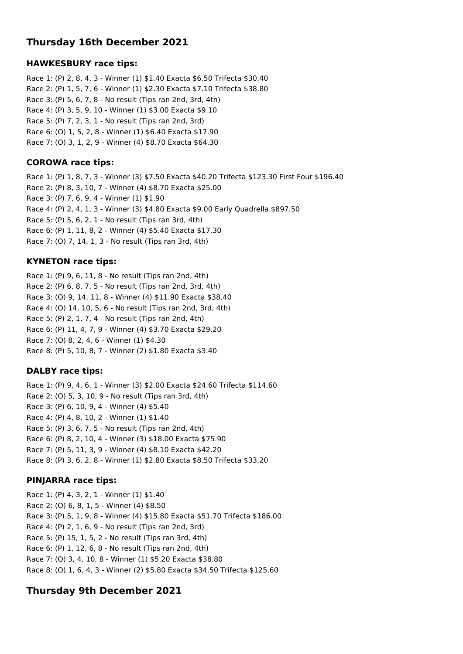# **Thursday 16th December 2021**

## **HAWKESBURY race tips:**

Race 1: (P) 2, 8, 4, 3 - Winner (1) \$1.40 Exacta \$6.50 Trifecta \$30.40 Race 2: (P) 1, 5, 7, 6 - Winner (1) \$2.30 Exacta \$7.10 Trifecta \$38.80 Race 3: (P) 5, 6, 7, 8 - No result (Tips ran 2nd, 3rd, 4th) Race 4: (P) 3, 5, 9, 10 - Winner (1) \$3.00 Exacta \$9.10 Race 5: (P) 7, 2, 3, 1 - No result (Tips ran 2nd, 3rd) Race 6: (O) 1, 5, 2, 8 - Winner (1) \$6.40 Exacta \$17.90 Race 7: (O) 3, 1, 2, 9 - Winner (4) \$8.70 Exacta \$64.30

#### **COROWA race tips:**

Race 1: (P) 1, 8, 7, 3 - Winner (3) \$7.50 Exacta \$40.20 Trifecta \$123.30 First Four \$196.40 Race 2: (P) 8, 3, 10, 7 - Winner (4) \$8.70 Exacta \$25.00 Race 3: (P) 7, 6, 9, 4 - Winner (1) \$1.90 Race 4: (P) 2, 4, 1, 3 - Winner (3) \$4.80 Exacta \$9.00 Early Quadrella \$897.50 Race 5: (P) 5, 6, 2, 1 - No result (Tips ran 3rd, 4th) Race 6: (P) 1, 11, 8, 2 - Winner (4) \$5.40 Exacta \$17.30 Race 7: (O) 7, 14, 1, 3 - No result (Tips ran 3rd, 4th)

## **KYNETON race tips:**

Race 1: (P) 9, 6, 11, 8 - No result (Tips ran 2nd, 4th) Race 2: (P) 6, 8, 7, 5 - No result (Tips ran 2nd, 3rd, 4th) Race 3: (O) 9, 14, 11, 8 - Winner (4) \$11.90 Exacta \$38.40 Race 4: (O) 14, 10, 5, 6 - No result (Tips ran 2nd, 3rd, 4th) Race 5: (P) 2, 1, 7, 4 - No result (Tips ran 2nd, 4th) Race 6: (P) 11, 4, 7, 9 - Winner (4) \$3.70 Exacta \$29.20 Race 7: (O) 8, 2, 4, 6 - Winner (1) \$4.30 Race 8: (P) 5, 10, 8, 7 - Winner (2) \$1.80 Exacta \$3.40

## **DALBY race tips:**

Race 1: (P) 9, 4, 6, 1 - Winner (3) \$2.00 Exacta \$24.60 Trifecta \$114.60 Race 2: (O) 5, 3, 10, 9 - No result (Tips ran 3rd, 4th) Race 3: (P) 6, 10, 9, 4 - Winner (4) \$5.40 Race 4: (P) 4, 8, 10, 2 - Winner (1) \$1.40 Race 5: (P) 3, 6, 7, 5 - No result (Tips ran 2nd, 4th) Race 6: (P) 8, 2, 10, 4 - Winner (3) \$18.00 Exacta \$75.90 Race 7: (P) 5, 11, 3, 9 - Winner (4) \$8.10 Exacta \$42.20 Race 8: (P) 3, 6, 2, 8 - Winner (1) \$2.80 Exacta \$8.50 Trifecta \$33.20

## **PINJARRA race tips:**

Race 1: (P) 4, 3, 2, 1 - Winner (1) \$1.40 Race 2: (O) 6, 8, 1, 5 - Winner (4) \$8.50 Race 3: (P) 5, 1, 9, 8 - Winner (4) \$15.80 Exacta \$51.70 Trifecta \$186.00 Race 4: (P) 2, 1, 6, 9 - No result (Tips ran 2nd, 3rd) Race 5: (P) 15, 1, 5, 2 - No result (Tips ran 3rd, 4th) Race 6: (P) 1, 12, 6, 8 - No result (Tips ran 2nd, 4th) Race 7: (O) 3, 4, 10, 8 - Winner (1) \$5.20 Exacta \$38.80 Race 8: (O) 1, 6, 4, 3 - Winner (2) \$5.80 Exacta \$34.50 Trifecta \$125.60

# **Thursday 9th December 2021**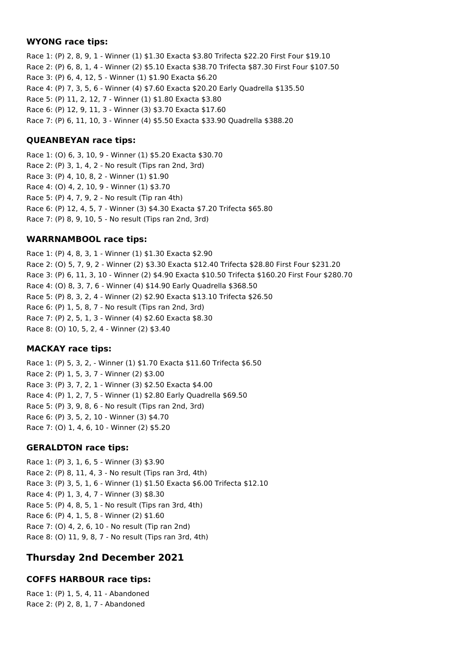#### **WYONG race tips:**

Race 1: (P) 2, 8, 9, 1 - Winner (1) \$1.30 Exacta \$3.80 Trifecta \$22.20 First Four \$19.10 Race 2: (P) 6, 8, 1, 4 - Winner (2) \$5.10 Exacta \$38.70 Trifecta \$87.30 First Four \$107.50 Race 3: (P) 6, 4, 12, 5 - Winner (1) \$1.90 Exacta \$6.20 Race 4: (P) 7, 3, 5, 6 - Winner (4) \$7.60 Exacta \$20.20 Early Quadrella \$135.50 Race 5: (P) 11, 2, 12, 7 - Winner (1) \$1.80 Exacta \$3.80 Race 6: (P) 12, 9, 11, 3 - Winner (3) \$3.70 Exacta \$17.60 Race 7: (P) 6, 11, 10, 3 - Winner (4) \$5.50 Exacta \$33.90 Quadrella \$388.20

## **QUEANBEYAN race tips:**

Race 1: (O) 6, 3, 10, 9 - Winner (1) \$5.20 Exacta \$30.70 Race 2: (P) 3, 1, 4, 2 - No result (Tips ran 2nd, 3rd) Race 3: (P) 4, 10, 8, 2 - Winner (1) \$1.90 Race 4: (O) 4, 2, 10, 9 - Winner (1) \$3.70 Race 5: (P) 4, 7, 9, 2 - No result (Tip ran 4th) Race 6: (P) 12, 4, 5, 7 - Winner (3) \$4.30 Exacta \$7.20 Trifecta \$65.80 Race 7: (P) 8, 9, 10, 5 - No result (Tips ran 2nd, 3rd)

# **WARRNAMBOOL race tips:**

Race 1: (P) 4, 8, 3, 1 - Winner (1) \$1.30 Exacta \$2.90 Race 2: (O) 5, 7, 9, 2 - Winner (2) \$3.30 Exacta \$12.40 Trifecta \$28.80 First Four \$231.20 Race 3: (P) 6, 11, 3, 10 - Winner (2) \$4.90 Exacta \$10.50 Trifecta \$160.20 First Four \$280.70 Race 4: (O) 8, 3, 7, 6 - Winner (4) \$14.90 Early Quadrella \$368.50 Race 5: (P) 8, 3, 2, 4 - Winner (2) \$2.90 Exacta \$13.10 Trifecta \$26.50 Race 6: (P) 1, 5, 8, 7 - No result (Tips ran 2nd, 3rd) Race 7: (P) 2, 5, 1, 3 - Winner (4) \$2.60 Exacta \$8.30 Race 8: (O) 10, 5, 2, 4 - Winner (2) \$3.40

# **MACKAY race tips:**

Race 1: (P) 5, 3, 2, - Winner (1) \$1.70 Exacta \$11.60 Trifecta \$6.50 Race 2: (P) 1, 5, 3, 7 - Winner (2) \$3.00 Race 3: (P) 3, 7, 2, 1 - Winner (3) \$2.50 Exacta \$4.00 Race 4: (P) 1, 2, 7, 5 - Winner (1) \$2.80 Early Quadrella \$69.50 Race 5: (P) 3, 9, 8, 6 - No result (Tips ran 2nd, 3rd) Race 6: (P) 3, 5, 2, 10 - Winner (3) \$4.70 Race 7: (O) 1, 4, 6, 10 - Winner (2) \$5.20

## **GERALDTON race tips:**

Race 1: (P) 3, 1, 6, 5 - Winner (3) \$3.90 Race 2: (P) 8, 11, 4, 3 - No result (Tips ran 3rd, 4th) Race 3: (P) 3, 5, 1, 6 - Winner (1) \$1.50 Exacta \$6.00 Trifecta \$12.10 Race 4: (P) 1, 3, 4, 7 - Winner (3) \$8.30 Race 5: (P) 4, 8, 5, 1 - No result (Tips ran 3rd, 4th) Race 6: (P) 4, 1, 5, 8 - Winner (2) \$1.60 Race 7: (O) 4, 2, 6, 10 - No result (Tip ran 2nd) Race 8: (O) 11, 9, 8, 7 - No result (Tips ran 3rd, 4th)

# **Thursday 2nd December 2021**

# **COFFS HARBOUR race tips:**

Race 1: (P) 1, 5, 4, 11 - Abandoned Race 2: (P) 2, 8, 1, 7 - Abandoned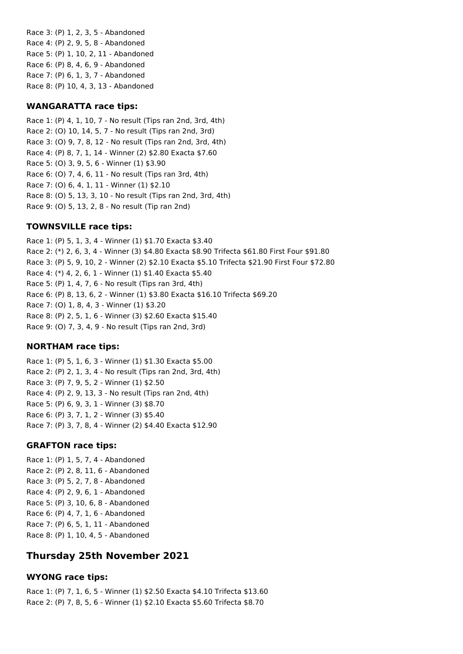Race 3: (P) 1, 2, 3, 5 - Abandoned Race 4: (P) 2, 9, 5, 8 - Abandoned Race 5: (P) 1, 10, 2, 11 - Abandoned Race 6: (P) 8, 4, 6, 9 - Abandoned Race 7: (P) 6, 1, 3, 7 - Abandoned Race 8: (P) 10, 4, 3, 13 - Abandoned

#### **WANGARATTA race tips:**

Race 1: (P) 4, 1, 10, 7 - No result (Tips ran 2nd, 3rd, 4th) Race 2: (O) 10, 14, 5, 7 - No result (Tips ran 2nd, 3rd) Race 3: (O) 9, 7, 8, 12 - No result (Tips ran 2nd, 3rd, 4th) Race 4: (P) 8, 7, 1, 14 - Winner (2) \$2.80 Exacta \$7.60 Race 5: (O) 3, 9, 5, 6 - Winner (1) \$3.90 Race 6: (O) 7, 4, 6, 11 - No result (Tips ran 3rd, 4th) Race 7: (O) 6, 4, 1, 11 - Winner (1) \$2.10 Race 8: (O) 5, 13, 3, 10 - No result (Tips ran 2nd, 3rd, 4th) Race 9: (O) 5, 13, 2, 8 - No result (Tip ran 2nd)

## **TOWNSVILLE race tips:**

Race 1: (P) 5, 1, 3, 4 - Winner (1) \$1.70 Exacta \$3.40 Race 2: (\*) 2, 6, 3, 4 - Winner (3) \$4.80 Exacta \$8.90 Trifecta \$61.80 First Four \$91.80 Race 3: (P) 5, 9, 10, 2 - Winner (2) \$2.10 Exacta \$5.10 Trifecta \$21.90 First Four \$72.80 Race 4: (\*) 4, 2, 6, 1 - Winner (1) \$1.40 Exacta \$5.40 Race 5: (P) 1, 4, 7, 6 - No result (Tips ran 3rd, 4th) Race 6: (P) 8, 13, 6, 2 - Winner (1) \$3.80 Exacta \$16.10 Trifecta \$69.20 Race 7: (O) 1, 8, 4, 3 - Winner (1) \$3.20 Race 8: (P) 2, 5, 1, 6 - Winner (3) \$2.60 Exacta \$15.40 Race 9: (O) 7, 3, 4, 9 - No result (Tips ran 2nd, 3rd)

## **NORTHAM race tips:**

Race 1: (P) 5, 1, 6, 3 - Winner (1) \$1.30 Exacta \$5.00 Race 2: (P) 2, 1, 3, 4 - No result (Tips ran 2nd, 3rd, 4th) Race 3: (P) 7, 9, 5, 2 - Winner (1) \$2.50 Race 4: (P) 2, 9, 13, 3 - No result (Tips ran 2nd, 4th) Race 5: (P) 6, 9, 3, 1 - Winner (3) \$8.70 Race 6: (P) 3, 7, 1, 2 - Winner (3) \$5.40 Race 7: (P) 3, 7, 8, 4 - Winner (2) \$4.40 Exacta \$12.90

#### **GRAFTON race tips:**

Race 1: (P) 1, 5, 7, 4 - Abandoned Race 2: (P) 2, 8, 11, 6 - Abandoned Race 3: (P) 5, 2, 7, 8 - Abandoned Race 4: (P) 2, 9, 6, 1 - Abandoned Race 5: (P) 3, 10, 6, 8 - Abandoned Race 6: (P) 4, 7, 1, 6 - Abandoned Race 7: (P) 6, 5, 1, 11 - Abandoned Race 8: (P) 1, 10, 4, 5 - Abandoned

# **Thursday 25th November 2021**

## **WYONG race tips:**

Race 1: (P) 7, 1, 6, 5 - Winner (1) \$2.50 Exacta \$4.10 Trifecta \$13.60 Race 2: (P) 7, 8, 5, 6 - Winner (1) \$2.10 Exacta \$5.60 Trifecta \$8.70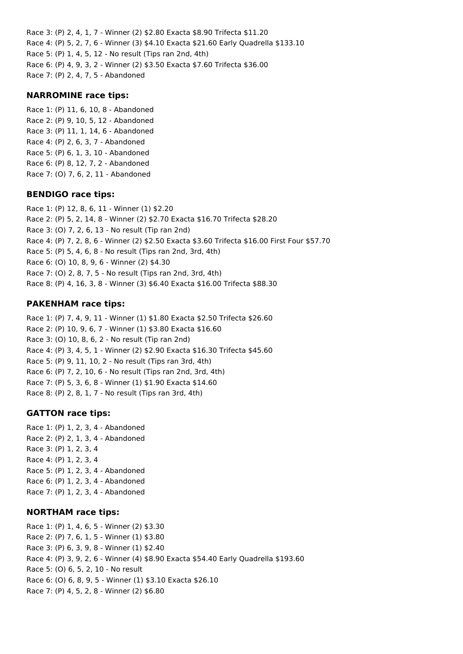Race 3: (P) 2, 4, 1, 7 - Winner (2) \$2.80 Exacta \$8.90 Trifecta \$11.20 Race 4: (P) 5, 2, 7, 6 - Winner (3) \$4.10 Exacta \$21.60 Early Quadrella \$133.10 Race 5: (P) 1, 4, 5, 12 - No result (Tips ran 2nd, 4th) Race 6: (P) 4, 9, 3, 2 - Winner (2) \$3.50 Exacta \$7.60 Trifecta \$36.00 Race 7: (P) 2, 4, 7, 5 - Abandoned

#### **NARROMINE race tips:**

Race 1: (P) 11, 6, 10, 8 - Abandoned Race 2: (P) 9, 10, 5, 12 - Abandoned Race 3: (P) 11, 1, 14, 6 - Abandoned Race 4: (P) 2, 6, 3, 7 - Abandoned Race 5: (P) 6, 1, 3, 10 - Abandoned Race 6: (P) 8, 12, 7, 2 - Abandoned Race 7: (O) 7, 6, 2, 11 - Abandoned

#### **BENDIGO race tips:**

Race 1: (P) 12, 8, 6, 11 - Winner (1) \$2.20 Race 2: (P) 5, 2, 14, 8 - Winner (2) \$2.70 Exacta \$16.70 Trifecta \$28.20 Race 3: (O) 7, 2, 6, 13 - No result (Tip ran 2nd) Race 4: (P) 7, 2, 8, 6 - Winner (2) \$2.50 Exacta \$3.60 Trifecta \$16.00 First Four \$57.70 Race 5: (P) 5, 4, 6, 8 - No result (Tips ran 2nd, 3rd, 4th) Race 6: (O) 10, 8, 9, 6 - Winner (2) \$4.30 Race 7: (O) 2, 8, 7, 5 - No result (Tips ran 2nd, 3rd, 4th) Race 8: (P) 4, 16, 3, 8 - Winner (3) \$6.40 Exacta \$16.00 Trifecta \$88.30

## **PAKENHAM race tips:**

Race 1: (P) 7, 4, 9, 11 - Winner (1) \$1.80 Exacta \$2.50 Trifecta \$26.60 Race 2: (P) 10, 9, 6, 7 - Winner (1) \$3.80 Exacta \$16.60 Race 3: (O) 10, 8, 6, 2 - No result (Tip ran 2nd) Race 4: (P) 3, 4, 5, 1 - Winner (2) \$2.90 Exacta \$16.30 Trifecta \$45.60 Race 5: (P) 9, 11, 10, 2 - No result (Tips ran 3rd, 4th) Race 6: (P) 7, 2, 10, 6 - No result (Tips ran 2nd, 3rd, 4th) Race 7: (P) 5, 3, 6, 8 - Winner (1) \$1.90 Exacta \$14.60 Race 8: (P) 2, 8, 1, 7 - No result (Tips ran 3rd, 4th)

## **GATTON race tips:**

Race 1: (P) 1, 2, 3, 4 - Abandoned Race 2: (P) 2, 1, 3, 4 - Abandoned Race 3: (P) 1, 2, 3, 4 Race 4: (P) 1, 2, 3, 4 Race 5: (P) 1, 2, 3, 4 - Abandoned Race 6: (P) 1, 2, 3, 4 - Abandoned Race 7: (P) 1, 2, 3, 4 - Abandoned

## **NORTHAM race tips:**

Race 1: (P) 1, 4, 6, 5 - Winner (2) \$3.30 Race 2: (P) 7, 6, 1, 5 - Winner (1) \$3.80 Race 3: (P) 6, 3, 9, 8 - Winner (1) \$2.40 Race 4: (P) 3, 9, 2, 6 - Winner (4) \$8.90 Exacta \$54.40 Early Quadrella \$193.60 Race 5: (O) 6, 5, 2, 10 - No result Race 6: (O) 6, 8, 9, 5 - Winner (1) \$3.10 Exacta \$26.10 Race 7: (P) 4, 5, 2, 8 - Winner (2) \$6.80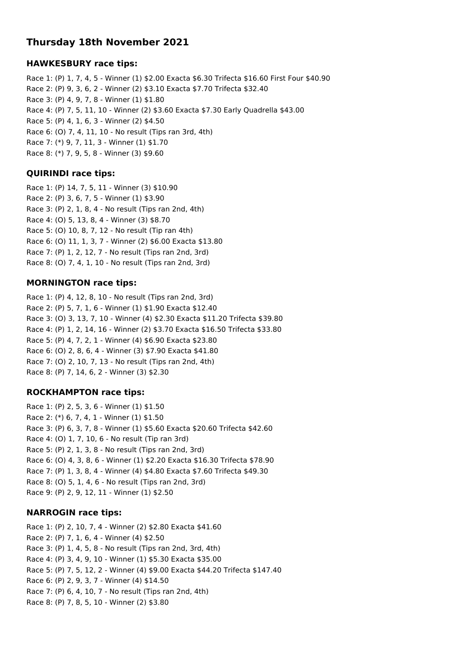# **Thursday 18th November 2021**

## **HAWKESBURY race tips:**

Race 1: (P) 1, 7, 4, 5 - Winner (1) \$2.00 Exacta \$6.30 Trifecta \$16.60 First Four \$40.90 Race 2: (P) 9, 3, 6, 2 - Winner (2) \$3.10 Exacta \$7.70 Trifecta \$32.40 Race 3: (P) 4, 9, 7, 8 - Winner (1) \$1.80 Race 4: (P) 7, 5, 11, 10 - Winner (2) \$3.60 Exacta \$7.30 Early Quadrella \$43.00 Race 5: (P) 4, 1, 6, 3 - Winner (2) \$4.50 Race 6: (O) 7, 4, 11, 10 - No result (Tips ran 3rd, 4th) Race 7: (\*) 9, 7, 11, 3 - Winner (1) \$1.70 Race 8: (\*) 7, 9, 5, 8 - Winner (3) \$9.60

## **QUIRINDI race tips:**

Race 1: (P) 14, 7, 5, 11 - Winner (3) \$10.90 Race 2: (P) 3, 6, 7, 5 - Winner (1) \$3.90 Race 3: (P) 2, 1, 8, 4 - No result (Tips ran 2nd, 4th) Race 4: (O) 5, 13, 8, 4 - Winner (3) \$8.70 Race 5: (O) 10, 8, 7, 12 - No result (Tip ran 4th) Race 6: (O) 11, 1, 3, 7 - Winner (2) \$6.00 Exacta \$13.80 Race 7: (P) 1, 2, 12, 7 - No result (Tips ran 2nd, 3rd) Race 8: (O) 7, 4, 1, 10 - No result (Tips ran 2nd, 3rd)

## **MORNINGTON race tips:**

Race 1: (P) 4, 12, 8, 10 - No result (Tips ran 2nd, 3rd) Race 2: (P) 5, 7, 1, 6 - Winner (1) \$1.90 Exacta \$12.40 Race 3: (O) 3, 13, 7, 10 - Winner (4) \$2.30 Exacta \$11.20 Trifecta \$39.80 Race 4: (P) 1, 2, 14, 16 - Winner (2) \$3.70 Exacta \$16.50 Trifecta \$33.80 Race 5: (P) 4, 7, 2, 1 - Winner (4) \$6.90 Exacta \$23.80 Race 6: (O) 2, 8, 6, 4 - Winner (3) \$7.90 Exacta \$41.80 Race 7: (O) 2, 10, 7, 13 - No result (Tips ran 2nd, 4th) Race 8: (P) 7, 14, 6, 2 - Winner (3) \$2.30

# **ROCKHAMPTON race tips:**

Race 1: (P) 2, 5, 3, 6 - Winner (1) \$1.50 Race 2: (\*) 6, 7, 4, 1 - Winner (1) \$1.50 Race 3: (P) 6, 3, 7, 8 - Winner (1) \$5.60 Exacta \$20.60 Trifecta \$42.60 Race 4: (O) 1, 7, 10, 6 - No result (Tip ran 3rd) Race 5: (P) 2, 1, 3, 8 - No result (Tips ran 2nd, 3rd) Race 6: (O) 4, 3, 8, 6 - Winner (1) \$2.20 Exacta \$16.30 Trifecta \$78.90 Race 7: (P) 1, 3, 8, 4 - Winner (4) \$4.80 Exacta \$7.60 Trifecta \$49.30 Race 8: (O) 5, 1, 4, 6 - No result (Tips ran 2nd, 3rd) Race 9: (P) 2, 9, 12, 11 - Winner (1) \$2.50

## **NARROGIN race tips:**

Race 1: (P) 2, 10, 7, 4 - Winner (2) \$2.80 Exacta \$41.60 Race 2: (P) 7, 1, 6, 4 - Winner (4) \$2.50 Race 3: (P) 1, 4, 5, 8 - No result (Tips ran 2nd, 3rd, 4th) Race 4: (P) 3, 4, 9, 10 - Winner (1) \$5.30 Exacta \$35.00 Race 5: (P) 7, 5, 12, 2 - Winner (4) \$9.00 Exacta \$44.20 Trifecta \$147.40 Race 6: (P) 2, 9, 3, 7 - Winner (4) \$14.50 Race 7: (P) 6, 4, 10, 7 - No result (Tips ran 2nd, 4th) Race 8: (P) 7, 8, 5, 10 - Winner (2) \$3.80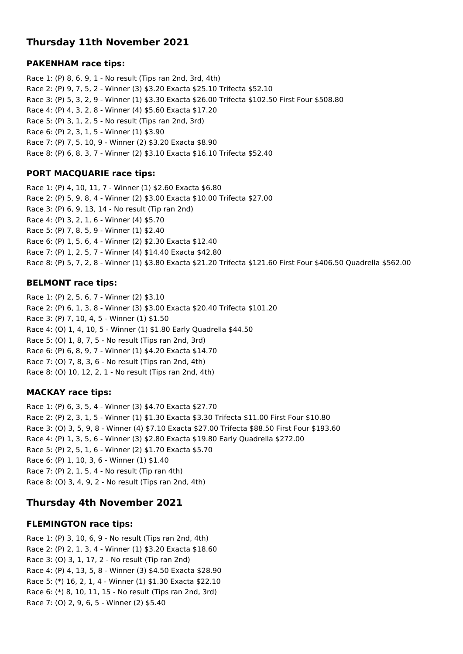# **Thursday 11th November 2021**

## **PAKENHAM race tips:**

Race 1: (P) 8, 6, 9, 1 - No result (Tips ran 2nd, 3rd, 4th) Race 2: (P) 9, 7, 5, 2 - Winner (3) \$3.20 Exacta \$25.10 Trifecta \$52.10 Race 3: (P) 5, 3, 2, 9 - Winner (1) \$3.30 Exacta \$26.00 Trifecta \$102.50 First Four \$508.80 Race 4: (P) 4, 3, 2, 8 - Winner (4) \$5.60 Exacta \$17.20 Race 5: (P) 3, 1, 2, 5 - No result (Tips ran 2nd, 3rd) Race 6: (P) 2, 3, 1, 5 - Winner (1) \$3.90 Race 7: (P) 7, 5, 10, 9 - Winner (2) \$3.20 Exacta \$8.90 Race 8: (P) 6, 8, 3, 7 - Winner (2) \$3.10 Exacta \$16.10 Trifecta \$52.40

## **PORT MACQUARIE race tips:**

Race 1: (P) 4, 10, 11, 7 - Winner (1) \$2.60 Exacta \$6.80 Race 2: (P) 5, 9, 8, 4 - Winner (2) \$3.00 Exacta \$10.00 Trifecta \$27.00 Race 3: (P) 6, 9, 13, 14 - No result (Tip ran 2nd) Race 4: (P) 3, 2, 1, 6 - Winner (4) \$5.70 Race 5: (P) 7, 8, 5, 9 - Winner (1) \$2.40 Race 6: (P) 1, 5, 6, 4 - Winner (2) \$2.30 Exacta \$12.40 Race 7: (P) 1, 2, 5, 7 - Winner (4) \$14.40 Exacta \$42.80 Race 8: (P) 5, 7, 2, 8 - Winner (1) \$3.80 Exacta \$21.20 Trifecta \$121.60 First Four \$406.50 Quadrella \$562.00

## **BELMONT race tips:**

Race 1: (P) 2, 5, 6, 7 - Winner (2) \$3.10 Race 2: (P) 6, 1, 3, 8 - Winner (3) \$3.00 Exacta \$20.40 Trifecta \$101.20 Race 3: (P) 7, 10, 4, 5 - Winner (1) \$1.50 Race 4: (O) 1, 4, 10, 5 - Winner (1) \$1.80 Early Quadrella \$44.50 Race 5: (O) 1, 8, 7, 5 - No result (Tips ran 2nd, 3rd) Race 6: (P) 6, 8, 9, 7 - Winner (1) \$4.20 Exacta \$14.70 Race 7: (O) 7, 8, 3, 6 - No result (Tips ran 2nd, 4th) Race 8: (O) 10, 12, 2, 1 - No result (Tips ran 2nd, 4th)

# **MACKAY race tips:**

Race 1: (P) 6, 3, 5, 4 - Winner (3) \$4.70 Exacta \$27.70 Race 2: (P) 2, 3, 1, 5 - Winner (1) \$1.30 Exacta \$3.30 Trifecta \$11.00 First Four \$10.80 Race 3: (O) 3, 5, 9, 8 - Winner (4) \$7.10 Exacta \$27.00 Trifecta \$88.50 First Four \$193.60 Race 4: (P) 1, 3, 5, 6 - Winner (3) \$2.80 Exacta \$19.80 Early Quadrella \$272.00 Race 5: (P) 2, 5, 1, 6 - Winner (2) \$1.70 Exacta \$5.70 Race 6: (P) 1, 10, 3, 6 - Winner (1) \$1.40 Race 7: (P) 2, 1, 5, 4 - No result (Tip ran 4th) Race 8: (O) 3, 4, 9, 2 - No result (Tips ran 2nd, 4th)

# **Thursday 4th November 2021**

## **FLEMINGTON race tips:**

Race 1: (P) 3, 10, 6, 9 - No result (Tips ran 2nd, 4th) Race 2: (P) 2, 1, 3, 4 - Winner (1) \$3.20 Exacta \$18.60 Race 3: (O) 3, 1, 17, 2 - No result (Tip ran 2nd) Race 4: (P) 4, 13, 5, 8 - Winner (3) \$4.50 Exacta \$28.90 Race 5: (\*) 16, 2, 1, 4 - Winner (1) \$1.30 Exacta \$22.10 Race 6: (\*) 8, 10, 11, 15 - No result (Tips ran 2nd, 3rd) Race 7: (O) 2, 9, 6, 5 - Winner (2) \$5.40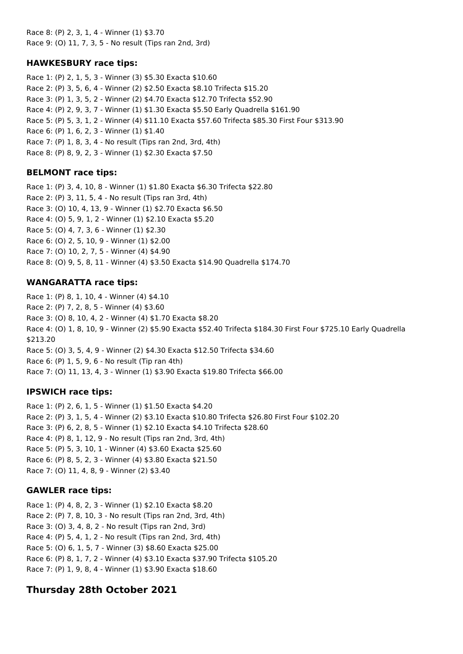Race 8: (P) 2, 3, 1, 4 - Winner (1) \$3.70 Race 9: (O) 11, 7, 3, 5 - No result (Tips ran 2nd, 3rd)

## **HAWKESBURY race tips:**

Race 1: (P) 2, 1, 5, 3 - Winner (3) \$5.30 Exacta \$10.60 Race 2: (P) 3, 5, 6, 4 - Winner (2) \$2.50 Exacta \$8.10 Trifecta \$15.20 Race 3: (P) 1, 3, 5, 2 - Winner (2) \$4.70 Exacta \$12.70 Trifecta \$52.90 Race 4: (P) 2, 9, 3, 7 - Winner (1) \$1.30 Exacta \$5.50 Early Quadrella \$161.90 Race 5: (P) 5, 3, 1, 2 - Winner (4) \$11.10 Exacta \$57.60 Trifecta \$85.30 First Four \$313.90 Race 6: (P) 1, 6, 2, 3 - Winner (1) \$1.40 Race 7: (P) 1, 8, 3, 4 - No result (Tips ran 2nd, 3rd, 4th) Race 8: (P) 8, 9, 2, 3 - Winner (1) \$2.30 Exacta \$7.50

## **BELMONT race tips:**

Race 1: (P) 3, 4, 10, 8 - Winner (1) \$1.80 Exacta \$6.30 Trifecta \$22.80 Race 2: (P) 3, 11, 5, 4 - No result (Tips ran 3rd, 4th) Race 3: (O) 10, 4, 13, 9 - Winner (1) \$2.70 Exacta \$6.50 Race 4: (O) 5, 9, 1, 2 - Winner (1) \$2.10 Exacta \$5.20 Race 5: (O) 4, 7, 3, 6 - Winner (1) \$2.30 Race 6: (O) 2, 5, 10, 9 - Winner (1) \$2.00 Race 7: (O) 10, 2, 7, 5 - Winner (4) \$4.90 Race 8: (O) 9, 5, 8, 11 - Winner (4) \$3.50 Exacta \$14.90 Quadrella \$174.70

## **WANGARATTA race tips:**

Race 1: (P) 8, 1, 10, 4 - Winner (4) \$4.10 Race 2: (P) 7, 2, 8, 5 - Winner (4) \$3.60 Race 3: (O) 8, 10, 4, 2 - Winner (4) \$1.70 Exacta \$8.20 Race 4: (O) 1, 8, 10, 9 - Winner (2) \$5.90 Exacta \$52.40 Trifecta \$184.30 First Four \$725.10 Early Quadrella \$213.20 Race 5: (O) 3, 5, 4, 9 - Winner (2) \$4.30 Exacta \$12.50 Trifecta \$34.60 Race 6: (P) 1, 5, 9, 6 - No result (Tip ran 4th) Race 7: (O) 11, 13, 4, 3 - Winner (1) \$3.90 Exacta \$19.80 Trifecta \$66.00

## **IPSWICH race tips:**

Race 1: (P) 2, 6, 1, 5 - Winner (1) \$1.50 Exacta \$4.20 Race 2: (P) 3, 1, 5, 4 - Winner (2) \$3.10 Exacta \$10.80 Trifecta \$26.80 First Four \$102.20 Race 3: (P) 6, 2, 8, 5 - Winner (1) \$2.10 Exacta \$4.10 Trifecta \$28.60 Race 4: (P) 8, 1, 12, 9 - No result (Tips ran 2nd, 3rd, 4th) Race 5: (P) 5, 3, 10, 1 - Winner (4) \$3.60 Exacta \$25.60 Race 6: (P) 8, 5, 2, 3 - Winner (4) \$3.80 Exacta \$21.50 Race 7: (O) 11, 4, 8, 9 - Winner (2) \$3.40

## **GAWLER race tips:**

Race 1: (P) 4, 8, 2, 3 - Winner (1) \$2.10 Exacta \$8.20 Race 2: (P) 7, 8, 10, 3 - No result (Tips ran 2nd, 3rd, 4th) Race 3: (O) 3, 4, 8, 2 - No result (Tips ran 2nd, 3rd) Race 4: (P) 5, 4, 1, 2 - No result (Tips ran 2nd, 3rd, 4th) Race 5: (O) 6, 1, 5, 7 - Winner (3) \$8.60 Exacta \$25.00 Race 6: (P) 8, 1, 7, 2 - Winner (4) \$3.10 Exacta \$37.90 Trifecta \$105.20 Race 7: (P) 1, 9, 8, 4 - Winner (1) \$3.90 Exacta \$18.60

# **Thursday 28th October 2021**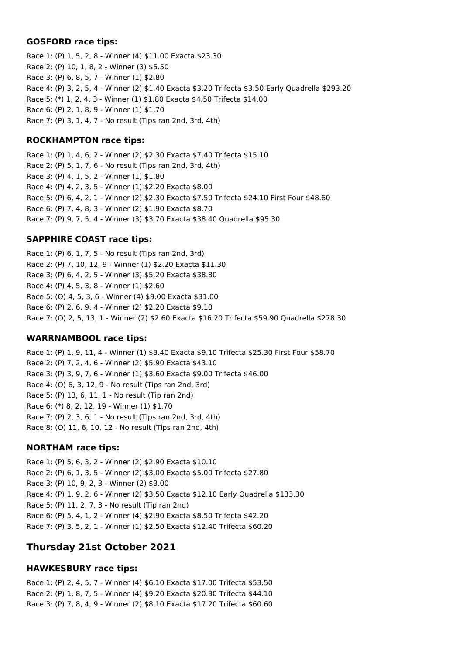#### **GOSFORD race tips:**

Race 1: (P) 1, 5, 2, 8 - Winner (4) \$11.00 Exacta \$23.30 Race 2: (P) 10, 1, 8, 2 - Winner (3) \$5.50 Race 3: (P) 6, 8, 5, 7 - Winner (1) \$2.80 Race 4: (P) 3, 2, 5, 4 - Winner (2) \$1.40 Exacta \$3.20 Trifecta \$3.50 Early Quadrella \$293.20 Race 5: (\*) 1, 2, 4, 3 - Winner (1) \$1.80 Exacta \$4.50 Trifecta \$14.00 Race 6: (P) 2, 1, 8, 9 - Winner (1) \$1.70 Race 7: (P) 3, 1, 4, 7 - No result (Tips ran 2nd, 3rd, 4th)

## **ROCKHAMPTON race tips:**

Race 1: (P) 1, 4, 6, 2 - Winner (2) \$2.30 Exacta \$7.40 Trifecta \$15.10 Race 2: (P) 5, 1, 7, 6 - No result (Tips ran 2nd, 3rd, 4th) Race 3: (P) 4, 1, 5, 2 - Winner (1) \$1.80 Race 4: (P) 4, 2, 3, 5 - Winner (1) \$2.20 Exacta \$8.00 Race 5: (P) 6, 4, 2, 1 - Winner (2) \$2.30 Exacta \$7.50 Trifecta \$24.10 First Four \$48.60 Race 6: (P) 7, 4, 8, 3 - Winner (2) \$1.90 Exacta \$8.70 Race 7: (P) 9, 7, 5, 4 - Winner (3) \$3.70 Exacta \$38.40 Quadrella \$95.30

# **SAPPHIRE COAST race tips:**

Race 1: (P) 6, 1, 7, 5 - No result (Tips ran 2nd, 3rd) Race 2: (P) 7, 10, 12, 9 - Winner (1) \$2.20 Exacta \$11.30 Race 3: (P) 6, 4, 2, 5 - Winner (3) \$5.20 Exacta \$38.80 Race 4: (P) 4, 5, 3, 8 - Winner (1) \$2.60 Race 5: (O) 4, 5, 3, 6 - Winner (4) \$9.00 Exacta \$31.00 Race 6: (P) 2, 6, 9, 4 - Winner (2) \$2.20 Exacta \$9.10 Race 7: (O) 2, 5, 13, 1 - Winner (2) \$2.60 Exacta \$16.20 Trifecta \$59.90 Quadrella \$278.30

## **WARRNAMBOOL race tips:**

Race 1: (P) 1, 9, 11, 4 - Winner (1) \$3.40 Exacta \$9.10 Trifecta \$25.30 First Four \$58.70 Race 2: (P) 7, 2, 4, 6 - Winner (2) \$5.90 Exacta \$43.10 Race 3: (P) 3, 9, 7, 6 - Winner (1) \$3.60 Exacta \$9.00 Trifecta \$46.00 Race 4: (O) 6, 3, 12, 9 - No result (Tips ran 2nd, 3rd) Race 5: (P) 13, 6, 11, 1 - No result (Tip ran 2nd) Race 6: (\*) 8, 2, 12, 19 - Winner (1) \$1.70 Race 7: (P) 2, 3, 6, 1 - No result (Tips ran 2nd, 3rd, 4th) Race 8: (O) 11, 6, 10, 12 - No result (Tips ran 2nd, 4th)

## **NORTHAM race tips:**

Race 1: (P) 5, 6, 3, 2 - Winner (2) \$2.90 Exacta \$10.10 Race 2: (P) 6, 1, 3, 5 - Winner (2) \$3.00 Exacta \$5.00 Trifecta \$27.80 Race 3: (P) 10, 9, 2, 3 - Winner (2) \$3.00 Race 4: (P) 1, 9, 2, 6 - Winner (2) \$3.50 Exacta \$12.10 Early Quadrella \$133.30 Race 5: (P) 11, 2, 7, 3 - No result (Tip ran 2nd) Race 6: (P) 5, 4, 1, 2 - Winner (4) \$2.90 Exacta \$8.50 Trifecta \$42.20 Race 7: (P) 3, 5, 2, 1 - Winner (1) \$2.50 Exacta \$12.40 Trifecta \$60.20

# **Thursday 21st October 2021**

## **HAWKESBURY race tips:**

Race 1: (P) 2, 4, 5, 7 - Winner (4) \$6.10 Exacta \$17.00 Trifecta \$53.50 Race 2: (P) 1, 8, 7, 5 - Winner (4) \$9.20 Exacta \$20.30 Trifecta \$44.10 Race 3: (P) 7, 8, 4, 9 - Winner (2) \$8.10 Exacta \$17.20 Trifecta \$60.60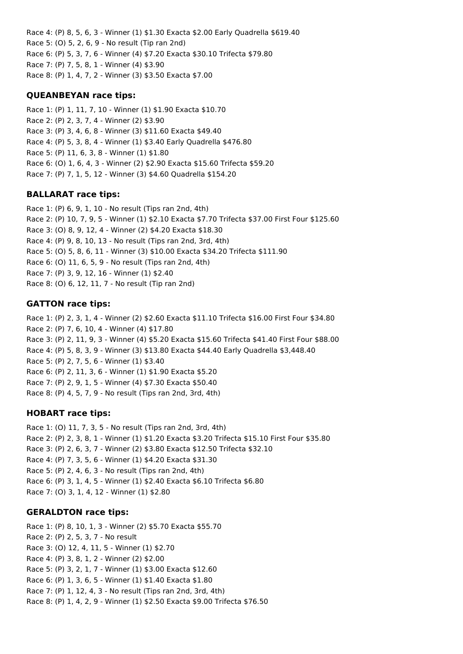Race 4: (P) 8, 5, 6, 3 - Winner (1) \$1.30 Exacta \$2.00 Early Quadrella \$619.40 Race 5: (O) 5, 2, 6, 9 - No result (Tip ran 2nd) Race 6: (P) 5, 3, 7, 6 - Winner (4) \$7.20 Exacta \$30.10 Trifecta \$79.80 Race 7: (P) 7, 5, 8, 1 - Winner (4) \$3.90 Race 8: (P) 1, 4, 7, 2 - Winner (3) \$3.50 Exacta \$7.00

#### **QUEANBEYAN race tips:**

Race 1: (P) 1, 11, 7, 10 - Winner (1) \$1.90 Exacta \$10.70 Race 2: (P) 2, 3, 7, 4 - Winner (2) \$3.90 Race 3: (P) 3, 4, 6, 8 - Winner (3) \$11.60 Exacta \$49.40 Race 4: (P) 5, 3, 8, 4 - Winner (1) \$3.40 Early Quadrella \$476.80 Race 5: (P) 11, 6, 3, 8 - Winner (1) \$1.80 Race 6: (O) 1, 6, 4, 3 - Winner (2) \$2.90 Exacta \$15.60 Trifecta \$59.20 Race 7: (P) 7, 1, 5, 12 - Winner (3) \$4.60 Quadrella \$154.20

#### **BALLARAT race tips:**

Race 1: (P) 6, 9, 1, 10 - No result (Tips ran 2nd, 4th) Race 2: (P) 10, 7, 9, 5 - Winner (1) \$2.10 Exacta \$7.70 Trifecta \$37.00 First Four \$125.60 Race 3: (O) 8, 9, 12, 4 - Winner (2) \$4.20 Exacta \$18.30 Race 4: (P) 9, 8, 10, 13 - No result (Tips ran 2nd, 3rd, 4th) Race 5: (O) 5, 8, 6, 11 - Winner (3) \$10.00 Exacta \$34.20 Trifecta \$111.90 Race 6: (O) 11, 6, 5, 9 - No result (Tips ran 2nd, 4th) Race 7: (P) 3, 9, 12, 16 - Winner (1) \$2.40 Race 8: (O) 6, 12, 11, 7 - No result (Tip ran 2nd)

#### **GATTON race tips:**

Race 1: (P) 2, 3, 1, 4 - Winner (2) \$2.60 Exacta \$11.10 Trifecta \$16.00 First Four \$34.80 Race 2: (P) 7, 6, 10, 4 - Winner (4) \$17.80 Race 3: (P) 2, 11, 9, 3 - Winner (4) \$5.20 Exacta \$15.60 Trifecta \$41.40 First Four \$88.00 Race 4: (P) 5, 8, 3, 9 - Winner (3) \$13.80 Exacta \$44.40 Early Quadrella \$3,448.40 Race 5: (P) 2, 7, 5, 6 - Winner (1) \$3.40 Race 6: (P) 2, 11, 3, 6 - Winner (1) \$1.90 Exacta \$5.20 Race 7: (P) 2, 9, 1, 5 - Winner (4) \$7.30 Exacta \$50.40 Race 8: (P) 4, 5, 7, 9 - No result (Tips ran 2nd, 3rd, 4th)

## **HOBART race tips:**

Race 1: (O) 11, 7, 3, 5 - No result (Tips ran 2nd, 3rd, 4th) Race 2: (P) 2, 3, 8, 1 - Winner (1) \$1.20 Exacta \$3.20 Trifecta \$15.10 First Four \$35.80 Race 3: (P) 2, 6, 3, 7 - Winner (2) \$3.80 Exacta \$12.50 Trifecta \$32.10 Race 4: (P) 7, 3, 5, 6 - Winner (1) \$4.20 Exacta \$31.30 Race 5: (P) 2, 4, 6, 3 - No result (Tips ran 2nd, 4th) Race 6: (P) 3, 1, 4, 5 - Winner (1) \$2.40 Exacta \$6.10 Trifecta \$6.80 Race 7: (O) 3, 1, 4, 12 - Winner (1) \$2.80

#### **GERALDTON race tips:**

Race 1: (P) 8, 10, 1, 3 - Winner (2) \$5.70 Exacta \$55.70 Race 2: (P) 2, 5, 3, 7 - No result Race 3: (O) 12, 4, 11, 5 - Winner (1) \$2.70 Race 4: (P) 3, 8, 1, 2 - Winner (2) \$2.00 Race 5: (P) 3, 2, 1, 7 - Winner (1) \$3.00 Exacta \$12.60 Race 6: (P) 1, 3, 6, 5 - Winner (1) \$1.40 Exacta \$1.80 Race 7: (P) 1, 12, 4, 3 - No result (Tips ran 2nd, 3rd, 4th) Race 8: (P) 1, 4, 2, 9 - Winner (1) \$2.50 Exacta \$9.00 Trifecta \$76.50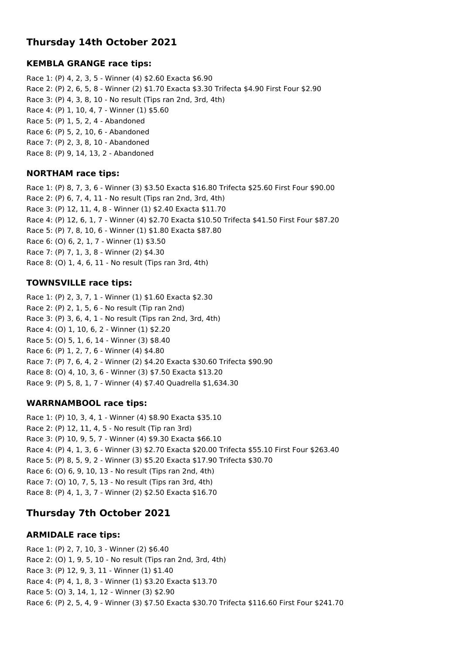# **Thursday 14th October 2021**

## **KEMBLA GRANGE race tips:**

Race 1: (P) 4, 2, 3, 5 - Winner (4) \$2.60 Exacta \$6.90 Race 2: (P) 2, 6, 5, 8 - Winner (2) \$1.70 Exacta \$3.30 Trifecta \$4.90 First Four \$2.90 Race 3: (P) 4, 3, 8, 10 - No result (Tips ran 2nd, 3rd, 4th) Race 4: (P) 1, 10, 4, 7 - Winner (1) \$5.60 Race 5: (P) 1, 5, 2, 4 - Abandoned Race 6: (P) 5, 2, 10, 6 - Abandoned Race 7: (P) 2, 3, 8, 10 - Abandoned Race 8: (P) 9, 14, 13, 2 - Abandoned

## **NORTHAM race tips:**

Race 1: (P) 8, 7, 3, 6 - Winner (3) \$3.50 Exacta \$16.80 Trifecta \$25.60 First Four \$90.00 Race 2: (P) 6, 7, 4, 11 - No result (Tips ran 2nd, 3rd, 4th) Race 3: (P) 12, 11, 4, 8 - Winner (1) \$2.40 Exacta \$11.70 Race 4: (P) 12, 6, 1, 7 - Winner (4) \$2.70 Exacta \$10.50 Trifecta \$41.50 First Four \$87.20 Race 5: (P) 7, 8, 10, 6 - Winner (1) \$1.80 Exacta \$87.80 Race 6: (O) 6, 2, 1, 7 - Winner (1) \$3.50 Race 7: (P) 7, 1, 3, 8 - Winner (2) \$4.30 Race 8: (O) 1, 4, 6, 11 - No result (Tips ran 3rd, 4th)

## **TOWNSVILLE race tips:**

Race 1: (P) 2, 3, 7, 1 - Winner (1) \$1.60 Exacta \$2.30 Race 2: (P) 2, 1, 5, 6 - No result (Tip ran 2nd) Race 3: (P) 3, 6, 4, 1 - No result (Tips ran 2nd, 3rd, 4th) Race 4: (O) 1, 10, 6, 2 - Winner (1) \$2.20 Race 5: (O) 5, 1, 6, 14 - Winner (3) \$8.40 Race 6: (P) 1, 2, 7, 6 - Winner (4) \$4.80 Race 7: (P) 7, 6, 4, 2 - Winner (2) \$4.20 Exacta \$30.60 Trifecta \$90.90 Race 8: (O) 4, 10, 3, 6 - Winner (3) \$7.50 Exacta \$13.20 Race 9: (P) 5, 8, 1, 7 - Winner (4) \$7.40 Quadrella \$1,634.30

# **WARRNAMBOOL race tips:**

Race 1: (P) 10, 3, 4, 1 - Winner (4) \$8.90 Exacta \$35.10 Race 2: (P) 12, 11, 4, 5 - No result (Tip ran 3rd) Race 3: (P) 10, 9, 5, 7 - Winner (4) \$9.30 Exacta \$66.10 Race 4: (P) 4, 1, 3, 6 - Winner (3) \$2.70 Exacta \$20.00 Trifecta \$55.10 First Four \$263.40 Race 5: (P) 8, 5, 9, 2 - Winner (3) \$5.20 Exacta \$17.90 Trifecta \$30.70 Race 6: (O) 6, 9, 10, 13 - No result (Tips ran 2nd, 4th) Race 7: (O) 10, 7, 5, 13 - No result (Tips ran 3rd, 4th) Race 8: (P) 4, 1, 3, 7 - Winner (2) \$2.50 Exacta \$16.70

# **Thursday 7th October 2021**

# **ARMIDALE race tips:**

Race 1: (P) 2, 7, 10, 3 - Winner (2) \$6.40 Race 2: (O) 1, 9, 5, 10 - No result (Tips ran 2nd, 3rd, 4th) Race 3: (P) 12, 9, 3, 11 - Winner (1) \$1.40 Race 4: (P) 4, 1, 8, 3 - Winner (1) \$3.20 Exacta \$13.70 Race 5: (O) 3, 14, 1, 12 - Winner (3) \$2.90 Race 6: (P) 2, 5, 4, 9 - Winner (3) \$7.50 Exacta \$30.70 Trifecta \$116.60 First Four \$241.70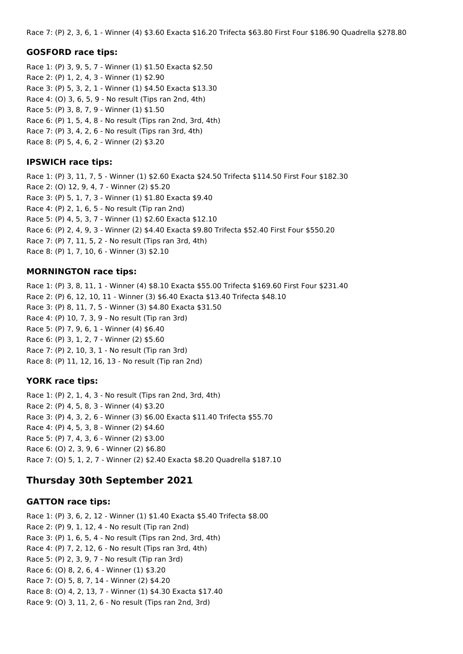Race 7: (P) 2, 3, 6, 1 - Winner (4) \$3.60 Exacta \$16.20 Trifecta \$63.80 First Four \$186.90 Quadrella \$278.80

#### **GOSFORD race tips:**

Race 1: (P) 3, 9, 5, 7 - Winner (1) \$1.50 Exacta \$2.50 Race 2: (P) 1, 2, 4, 3 - Winner (1) \$2.90 Race 3: (P) 5, 3, 2, 1 - Winner (1) \$4.50 Exacta \$13.30 Race 4: (O) 3, 6, 5, 9 - No result (Tips ran 2nd, 4th) Race 5: (P) 3, 8, 7, 9 - Winner (1) \$1.50 Race 6: (P) 1, 5, 4, 8 - No result (Tips ran 2nd, 3rd, 4th) Race 7: (P) 3, 4, 2, 6 - No result (Tips ran 3rd, 4th) Race 8: (P) 5, 4, 6, 2 - Winner (2) \$3.20

## **IPSWICH race tips:**

Race 1: (P) 3, 11, 7, 5 - Winner (1) \$2.60 Exacta \$24.50 Trifecta \$114.50 First Four \$182.30 Race 2: (O) 12, 9, 4, 7 - Winner (2) \$5.20 Race 3: (P) 5, 1, 7, 3 - Winner (1) \$1.80 Exacta \$9.40 Race 4: (P) 2, 1, 6, 5 - No result (Tip ran 2nd) Race 5: (P) 4, 5, 3, 7 - Winner (1) \$2.60 Exacta \$12.10 Race 6: (P) 2, 4, 9, 3 - Winner (2) \$4.40 Exacta \$9.80 Trifecta \$52.40 First Four \$550.20 Race 7: (P) 7, 11, 5, 2 - No result (Tips ran 3rd, 4th) Race 8: (P) 1, 7, 10, 6 - Winner (3) \$2.10

#### **MORNINGTON race tips:**

Race 1: (P) 3, 8, 11, 1 - Winner (4) \$8.10 Exacta \$55.00 Trifecta \$169.60 First Four \$231.40 Race 2: (P) 6, 12, 10, 11 - Winner (3) \$6.40 Exacta \$13.40 Trifecta \$48.10 Race 3: (P) 8, 11, 7, 5 - Winner (3) \$4.80 Exacta \$31.50 Race 4: (P) 10, 7, 3, 9 - No result (Tip ran 3rd) Race 5: (P) 7, 9, 6, 1 - Winner (4) \$6.40 Race 6: (P) 3, 1, 2, 7 - Winner (2) \$5.60 Race 7: (P) 2, 10, 3, 1 - No result (Tip ran 3rd) Race 8: (P) 11, 12, 16, 13 - No result (Tip ran 2nd)

## **YORK race tips:**

Race 1: (P) 2, 1, 4, 3 - No result (Tips ran 2nd, 3rd, 4th) Race 2: (P) 4, 5, 8, 3 - Winner (4) \$3.20 Race 3: (P) 4, 3, 2, 6 - Winner (3) \$6.00 Exacta \$11.40 Trifecta \$55.70 Race 4: (P) 4, 5, 3, 8 - Winner (2) \$4.60 Race 5: (P) 7, 4, 3, 6 - Winner (2) \$3.00 Race 6: (O) 2, 3, 9, 6 - Winner (2) \$6.80 Race 7: (O) 5, 1, 2, 7 - Winner (2) \$2.40 Exacta \$8.20 Quadrella \$187.10

# **Thursday 30th September 2021**

## **GATTON race tips:**

Race 1: (P) 3, 6, 2, 12 - Winner (1) \$1.40 Exacta \$5.40 Trifecta \$8.00 Race 2: (P) 9, 1, 12, 4 - No result (Tip ran 2nd) Race 3: (P) 1, 6, 5, 4 - No result (Tips ran 2nd, 3rd, 4th) Race 4: (P) 7, 2, 12, 6 - No result (Tips ran 3rd, 4th) Race 5: (P) 2, 3, 9, 7 - No result (Tip ran 3rd) Race 6: (O) 8, 2, 6, 4 - Winner (1) \$3.20 Race 7: (O) 5, 8, 7, 14 - Winner (2) \$4.20 Race 8: (O) 4, 2, 13, 7 - Winner (1) \$4.30 Exacta \$17.40 Race 9: (O) 3, 11, 2, 6 - No result (Tips ran 2nd, 3rd)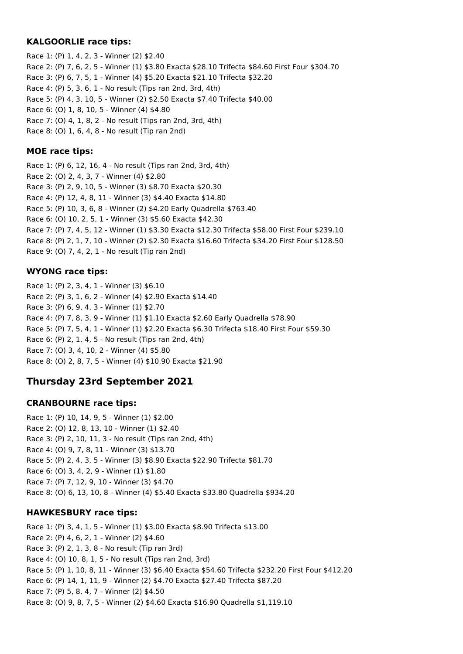#### **KALGOORLIE race tips:**

Race 1: (P) 1, 4, 2, 3 - Winner (2) \$2.40 Race 2: (P) 7, 6, 2, 5 - Winner (1) \$3.80 Exacta \$28.10 Trifecta \$84.60 First Four \$304.70 Race 3: (P) 6, 7, 5, 1 - Winner (4) \$5.20 Exacta \$21.10 Trifecta \$32.20 Race 4: (P) 5, 3, 6, 1 - No result (Tips ran 2nd, 3rd, 4th) Race 5: (P) 4, 3, 10, 5 - Winner (2) \$2.50 Exacta \$7.40 Trifecta \$40.00 Race 6: (O) 1, 8, 10, 5 - Winner (4) \$4.80 Race 7: (O) 4, 1, 8, 2 - No result (Tips ran 2nd, 3rd, 4th) Race 8: (O) 1, 6, 4, 8 - No result (Tip ran 2nd)

#### **MOE race tips:**

Race 1: (P) 6, 12, 16, 4 - No result (Tips ran 2nd, 3rd, 4th) Race 2: (O) 2, 4, 3, 7 - Winner (4) \$2.80 Race 3: (P) 2, 9, 10, 5 - Winner (3) \$8.70 Exacta \$20.30 Race 4: (P) 12, 4, 8, 11 - Winner (3) \$4.40 Exacta \$14.80 Race 5: (P) 10, 3, 6, 8 - Winner (2) \$4.20 Early Quadrella \$763.40 Race 6: (O) 10, 2, 5, 1 - Winner (3) \$5.60 Exacta \$42.30 Race 7: (P) 7, 4, 5, 12 - Winner (1) \$3.30 Exacta \$12.30 Trifecta \$58.00 First Four \$239.10 Race 8: (P) 2, 1, 7, 10 - Winner (2) \$2.30 Exacta \$16.60 Trifecta \$34.20 First Four \$128.50 Race 9: (O) 7, 4, 2, 1 - No result (Tip ran 2nd)

## **WYONG race tips:**

Race 1: (P) 2, 3, 4, 1 - Winner (3) \$6.10 Race 2: (P) 3, 1, 6, 2 - Winner (4) \$2.90 Exacta \$14.40 Race 3: (P) 6, 9, 4, 3 - Winner (1) \$2.70 Race 4: (P) 7, 8, 3, 9 - Winner (1) \$1.10 Exacta \$2.60 Early Quadrella \$78.90 Race 5: (P) 7, 5, 4, 1 - Winner (1) \$2.20 Exacta \$6.30 Trifecta \$18.40 First Four \$59.30 Race 6: (P) 2, 1, 4, 5 - No result (Tips ran 2nd, 4th) Race 7: (O) 3, 4, 10, 2 - Winner (4) \$5.80 Race 8: (O) 2, 8, 7, 5 - Winner (4) \$10.90 Exacta \$21.90

# **Thursday 23rd September 2021**

## **CRANBOURNE race tips:**

Race 1: (P) 10, 14, 9, 5 - Winner (1) \$2.00 Race 2: (O) 12, 8, 13, 10 - Winner (1) \$2.40 Race 3: (P) 2, 10, 11, 3 - No result (Tips ran 2nd, 4th) Race 4: (O) 9, 7, 8, 11 - Winner (3) \$13.70 Race 5: (P) 2, 4, 3, 5 - Winner (3) \$8.90 Exacta \$22.90 Trifecta \$81.70 Race 6: (O) 3, 4, 2, 9 - Winner (1) \$1.80 Race 7: (P) 7, 12, 9, 10 - Winner (3) \$4.70 Race 8: (O) 6, 13, 10, 8 - Winner (4) \$5.40 Exacta \$33.80 Quadrella \$934.20

## **HAWKESBURY race tips:**

Race 1: (P) 3, 4, 1, 5 - Winner (1) \$3.00 Exacta \$8.90 Trifecta \$13.00 Race 2: (P) 4, 6, 2, 1 - Winner (2) \$4.60 Race 3: (P) 2, 1, 3, 8 - No result (Tip ran 3rd) Race 4: (O) 10, 8, 1, 5 - No result (Tips ran 2nd, 3rd) Race 5: (P) 1, 10, 8, 11 - Winner (3) \$6.40 Exacta \$54.60 Trifecta \$232.20 First Four \$412.20 Race 6: (P) 14, 1, 11, 9 - Winner (2) \$4.70 Exacta \$27.40 Trifecta \$87.20 Race 7: (P) 5, 8, 4, 7 - Winner (2) \$4.50 Race 8: (O) 9, 8, 7, 5 - Winner (2) \$4.60 Exacta \$16.90 Quadrella \$1,119.10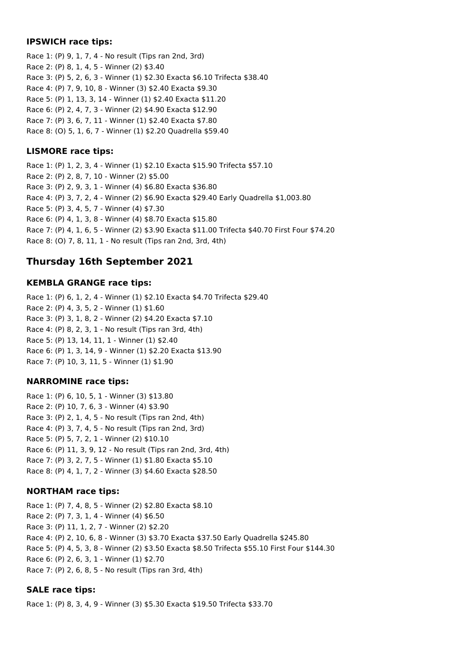#### **IPSWICH race tips:**

Race 1: (P) 9, 1, 7, 4 - No result (Tips ran 2nd, 3rd) Race 2: (P) 8, 1, 4, 5 - Winner (2) \$3.40 Race 3: (P) 5, 2, 6, 3 - Winner (1) \$2.30 Exacta \$6.10 Trifecta \$38.40 Race 4: (P) 7, 9, 10, 8 - Winner (3) \$2.40 Exacta \$9.30 Race 5: (P) 1, 13, 3, 14 - Winner (1) \$2.40 Exacta \$11.20 Race 6: (P) 2, 4, 7, 3 - Winner (2) \$4.90 Exacta \$12.90 Race 7: (P) 3, 6, 7, 11 - Winner (1) \$2.40 Exacta \$7.80 Race 8: (O) 5, 1, 6, 7 - Winner (1) \$2.20 Quadrella \$59.40

## **LISMORE race tips:**

Race 1: (P) 1, 2, 3, 4 - Winner (1) \$2.10 Exacta \$15.90 Trifecta \$57.10 Race 2: (P) 2, 8, 7, 10 - Winner (2) \$5.00 Race 3: (P) 2, 9, 3, 1 - Winner (4) \$6.80 Exacta \$36.80 Race 4: (P) 3, 7, 2, 4 - Winner (2) \$6.90 Exacta \$29.40 Early Quadrella \$1,003.80 Race 5: (P) 3, 4, 5, 7 - Winner (4) \$7.30 Race 6: (P) 4, 1, 3, 8 - Winner (4) \$8.70 Exacta \$15.80 Race 7: (P) 4, 1, 6, 5 - Winner (2) \$3.90 Exacta \$11.00 Trifecta \$40.70 First Four \$74.20 Race 8: (O) 7, 8, 11, 1 - No result (Tips ran 2nd, 3rd, 4th)

# **Thursday 16th September 2021**

## **KEMBLA GRANGE race tips:**

Race 1: (P) 6, 1, 2, 4 - Winner (1) \$2.10 Exacta \$4.70 Trifecta \$29.40 Race 2: (P) 4, 3, 5, 2 - Winner (1) \$1.60 Race 3: (P) 3, 1, 8, 2 - Winner (2) \$4.20 Exacta \$7.10 Race 4: (P) 8, 2, 3, 1 - No result (Tips ran 3rd, 4th) Race 5: (P) 13, 14, 11, 1 - Winner (1) \$2.40 Race 6: (P) 1, 3, 14, 9 - Winner (1) \$2.20 Exacta \$13.90 Race 7: (P) 10, 3, 11, 5 - Winner (1) \$1.90

## **NARROMINE race tips:**

Race 1: (P) 6, 10, 5, 1 - Winner (3) \$13.80 Race 2: (P) 10, 7, 6, 3 - Winner (4) \$3.90 Race 3: (P) 2, 1, 4, 5 - No result (Tips ran 2nd, 4th) Race 4: (P) 3, 7, 4, 5 - No result (Tips ran 2nd, 3rd) Race 5: (P) 5, 7, 2, 1 - Winner (2) \$10.10 Race 6: (P) 11, 3, 9, 12 - No result (Tips ran 2nd, 3rd, 4th) Race 7: (P) 3, 2, 7, 5 - Winner (1) \$1.80 Exacta \$5.10 Race 8: (P) 4, 1, 7, 2 - Winner (3) \$4.60 Exacta \$28.50

# **NORTHAM race tips:**

Race 1: (P) 7, 4, 8, 5 - Winner (2) \$2.80 Exacta \$8.10 Race 2: (P) 7, 3, 1, 4 - Winner (4) \$6.50 Race 3: (P) 11, 1, 2, 7 - Winner (2) \$2.20 Race 4: (P) 2, 10, 6, 8 - Winner (3) \$3.70 Exacta \$37.50 Early Quadrella \$245.80 Race 5: (P) 4, 5, 3, 8 - Winner (2) \$3.50 Exacta \$8.50 Trifecta \$55.10 First Four \$144.30 Race 6: (P) 2, 6, 3, 1 - Winner (1) \$2.70 Race 7: (P) 2, 6, 8, 5 - No result (Tips ran 3rd, 4th)

# **SALE race tips:**

Race 1: (P) 8, 3, 4, 9 - Winner (3) \$5.30 Exacta \$19.50 Trifecta \$33.70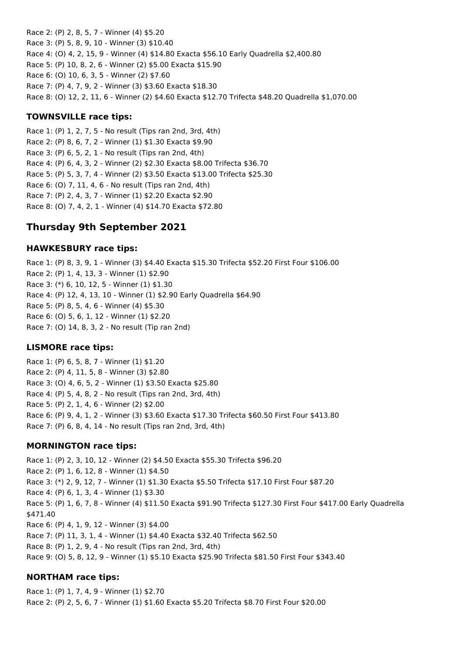Race 2: (P) 2, 8, 5, 7 - Winner (4) \$5.20 Race 3: (P) 5, 8, 9, 10 - Winner (3) \$10.40 Race 4: (O) 4, 2, 15, 9 - Winner (4) \$14.80 Exacta \$56.10 Early Quadrella \$2,400.80 Race 5: (P) 10, 8, 2, 6 - Winner (2) \$5.00 Exacta \$15.90 Race 6: (O) 10, 6, 3, 5 - Winner (2) \$7.60 Race 7: (P) 4, 7, 9, 2 - Winner (3) \$3.60 Exacta \$18.30 Race 8: (O) 12, 2, 11, 6 - Winner (2) \$4.60 Exacta \$12.70 Trifecta \$48.20 Quadrella \$1,070.00

#### **TOWNSVILLE race tips:**

Race 1: (P) 1, 2, 7, 5 - No result (Tips ran 2nd, 3rd, 4th) Race 2: (P) 8, 6, 7, 2 - Winner (1) \$1.30 Exacta \$9.90 Race 3: (P) 6, 5, 2, 1 - No result (Tips ran 2nd, 4th) Race 4: (P) 6, 4, 3, 2 - Winner (2) \$2.30 Exacta \$8.00 Trifecta \$36.70 Race 5: (P) 5, 3, 7, 4 - Winner (2) \$3.50 Exacta \$13.00 Trifecta \$25.30 Race 6: (O) 7, 11, 4, 6 - No result (Tips ran 2nd, 4th) Race 7: (P) 2, 4, 3, 7 - Winner (1) \$2.20 Exacta \$2.90 Race 8: (O) 7, 4, 2, 1 - Winner (4) \$14.70 Exacta \$72.80

# **Thursday 9th September 2021**

#### **HAWKESBURY race tips:**

Race 1: (P) 8, 3, 9, 1 - Winner (3) \$4.40 Exacta \$15.30 Trifecta \$52.20 First Four \$106.00 Race 2: (P) 1, 4, 13, 3 - Winner (1) \$2.90 Race 3: (\*) 6, 10, 12, 5 - Winner (1) \$1.30 Race 4: (P) 12, 4, 13, 10 - Winner (1) \$2.90 Early Quadrella \$64.90 Race 5: (P) 8, 5, 4, 6 - Winner (4) \$5.30 Race 6: (O) 5, 6, 1, 12 - Winner (1) \$2.20 Race 7: (O) 14, 8, 3, 2 - No result (Tip ran 2nd)

## **LISMORE race tips:**

Race 1: (P) 6, 5, 8, 7 - Winner (1) \$1.20 Race 2: (P) 4, 11, 5, 8 - Winner (3) \$2.80 Race 3: (O) 4, 6, 5, 2 - Winner (1) \$3.50 Exacta \$25.80 Race 4: (P) 5, 4, 8, 2 - No result (Tips ran 2nd, 3rd, 4th) Race 5: (P) 2, 1, 4, 6 - Winner (2) \$2.00 Race 6: (P) 9, 4, 1, 2 - Winner (3) \$3.60 Exacta \$17.30 Trifecta \$60.50 First Four \$413.80 Race 7: (P) 6, 8, 4, 14 - No result (Tips ran 2nd, 3rd, 4th)

#### **MORNINGTON race tips:**

Race 1: (P) 2, 3, 10, 12 - Winner (2) \$4.50 Exacta \$55.30 Trifecta \$96.20 Race 2: (P) 1, 6, 12, 8 - Winner (1) \$4.50 Race 3: (\*) 2, 9, 12, 7 - Winner (1) \$1.30 Exacta \$5.50 Trifecta \$17.10 First Four \$87.20 Race 4: (P) 6, 1, 3, 4 - Winner (1) \$3.30 Race 5: (P) 1, 6, 7, 8 - Winner (4) \$11.50 Exacta \$91.90 Trifecta \$127.30 First Four \$417.00 Early Quadrella \$471.40 Race 6: (P) 4, 1, 9, 12 - Winner (3) \$4.00 Race 7: (P) 11, 3, 1, 4 - Winner (1) \$4.40 Exacta \$32.40 Trifecta \$62.50 Race 8: (P) 1, 2, 9, 4 - No result (Tips ran 2nd, 3rd, 4th) Race 9: (O) 5, 8, 12, 9 - Winner (1) \$5.10 Exacta \$25.90 Trifecta \$81.50 First Four \$343.40

#### **NORTHAM race tips:**

Race 1: (P) 1, 7, 4, 9 - Winner (1) \$2.70 Race 2: (P) 2, 5, 6, 7 - Winner (1) \$1.60 Exacta \$5.20 Trifecta \$8.70 First Four \$20.00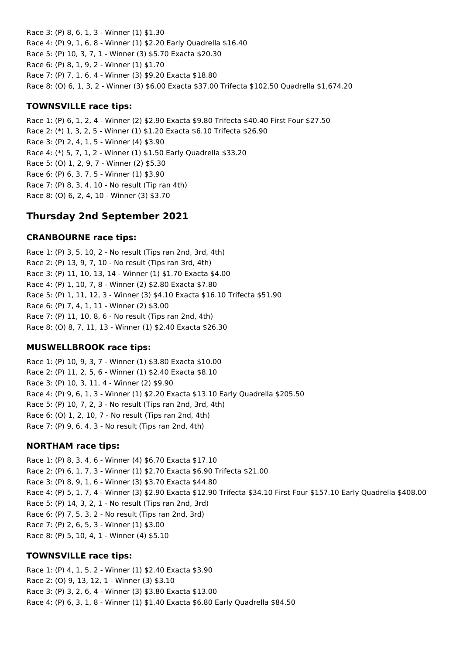Race 3: (P) 8, 6, 1, 3 - Winner (1) \$1.30 Race 4: (P) 9, 1, 6, 8 - Winner (1) \$2.20 Early Quadrella \$16.40 Race 5: (P) 10, 3, 7, 1 - Winner (3) \$5.70 Exacta \$20.30 Race 6: (P) 8, 1, 9, 2 - Winner (1) \$1.70 Race 7: (P) 7, 1, 6, 4 - Winner (3) \$9.20 Exacta \$18.80 Race 8: (O) 6, 1, 3, 2 - Winner (3) \$6.00 Exacta \$37.00 Trifecta \$102.50 Quadrella \$1,674.20

#### **TOWNSVILLE race tips:**

Race 1: (P) 6, 1, 2, 4 - Winner (2) \$2.90 Exacta \$9.80 Trifecta \$40.40 First Four \$27.50 Race 2: (\*) 1, 3, 2, 5 - Winner (1) \$1.20 Exacta \$6.10 Trifecta \$26.90 Race 3: (P) 2, 4, 1, 5 - Winner (4) \$3.90 Race 4: (\*) 5, 7, 1, 2 - Winner (1) \$1.50 Early Quadrella \$33.20 Race 5: (O) 1, 2, 9, 7 - Winner (2) \$5.30 Race 6: (P) 6, 3, 7, 5 - Winner (1) \$3.90 Race 7: (P) 8, 3, 4, 10 - No result (Tip ran 4th) Race 8: (O) 6, 2, 4, 10 - Winner (3) \$3.70

# **Thursday 2nd September 2021**

#### **CRANBOURNE race tips:**

Race 1: (P) 3, 5, 10, 2 - No result (Tips ran 2nd, 3rd, 4th) Race 2: (P) 13, 9, 7, 10 - No result (Tips ran 3rd, 4th) Race 3: (P) 11, 10, 13, 14 - Winner (1) \$1.70 Exacta \$4.00 Race 4: (P) 1, 10, 7, 8 - Winner (2) \$2.80 Exacta \$7.80 Race 5: (P) 1, 11, 12, 3 - Winner (3) \$4.10 Exacta \$16.10 Trifecta \$51.90 Race 6: (P) 7, 4, 1, 11 - Winner (2) \$3.00 Race 7: (P) 11, 10, 8, 6 - No result (Tips ran 2nd, 4th) Race 8: (O) 8, 7, 11, 13 - Winner (1) \$2.40 Exacta \$26.30

## **MUSWELLBROOK race tips:**

Race 1: (P) 10, 9, 3, 7 - Winner (1) \$3.80 Exacta \$10.00 Race 2: (P) 11, 2, 5, 6 - Winner (1) \$2.40 Exacta \$8.10 Race 3: (P) 10, 3, 11, 4 - Winner (2) \$9.90 Race 4: (P) 9, 6, 1, 3 - Winner (1) \$2.20 Exacta \$13.10 Early Quadrella \$205.50 Race 5: (P) 10, 7, 2, 3 - No result (Tips ran 2nd, 3rd, 4th) Race 6: (O) 1, 2, 10, 7 - No result (Tips ran 2nd, 4th) Race 7: (P) 9, 6, 4, 3 - No result (Tips ran 2nd, 4th)

#### **NORTHAM race tips:**

Race 1: (P) 8, 3, 4, 6 - Winner (4) \$6.70 Exacta \$17.10 Race 2: (P) 6, 1, 7, 3 - Winner (1) \$2.70 Exacta \$6.90 Trifecta \$21.00 Race 3: (P) 8, 9, 1, 6 - Winner (3) \$3.70 Exacta \$44.80 Race 4: (P) 5, 1, 7, 4 - Winner (3) \$2.90 Exacta \$12.90 Trifecta \$34.10 First Four \$157.10 Early Quadrella \$408.00 Race 5: (P) 14, 3, 2, 1 - No result (Tips ran 2nd, 3rd) Race 6: (P) 7, 5, 3, 2 - No result (Tips ran 2nd, 3rd) Race 7: (P) 2, 6, 5, 3 - Winner (1) \$3.00 Race 8: (P) 5, 10, 4, 1 - Winner (4) \$5.10

#### **TOWNSVILLE race tips:**

Race 1: (P) 4, 1, 5, 2 - Winner (1) \$2.40 Exacta \$3.90 Race 2: (O) 9, 13, 12, 1 - Winner (3) \$3.10 Race 3: (P) 3, 2, 6, 4 - Winner (3) \$3.80 Exacta \$13.00 Race 4: (P) 6, 3, 1, 8 - Winner (1) \$1.40 Exacta \$6.80 Early Quadrella \$84.50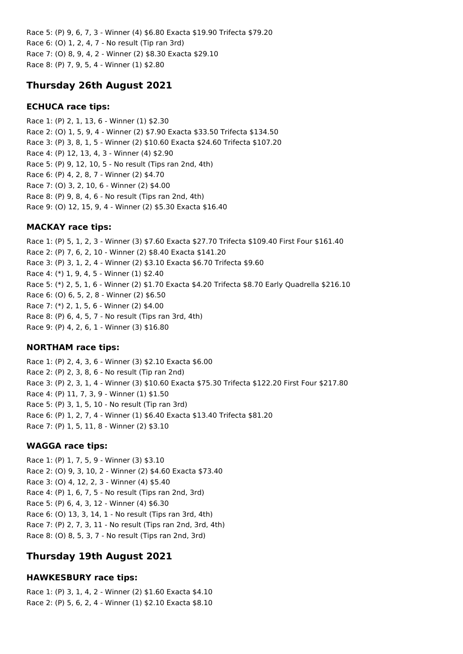Race 5: (P) 9, 6, 7, 3 - Winner (4) \$6.80 Exacta \$19.90 Trifecta \$79.20 Race 6: (O) 1, 2, 4, 7 - No result (Tip ran 3rd) Race 7: (O) 8, 9, 4, 2 - Winner (2) \$8.30 Exacta \$29.10 Race 8: (P) 7, 9, 5, 4 - Winner (1) \$2.80

# **Thursday 26th August 2021**

#### **ECHUCA race tips:**

Race 1: (P) 2, 1, 13, 6 - Winner (1) \$2.30 Race 2: (O) 1, 5, 9, 4 - Winner (2) \$7.90 Exacta \$33.50 Trifecta \$134.50 Race 3: (P) 3, 8, 1, 5 - Winner (2) \$10.60 Exacta \$24.60 Trifecta \$107.20 Race 4: (P) 12, 13, 4, 3 - Winner (4) \$2.90 Race 5: (P) 9, 12, 10, 5 - No result (Tips ran 2nd, 4th) Race 6: (P) 4, 2, 8, 7 - Winner (2) \$4.70 Race 7: (O) 3, 2, 10, 6 - Winner (2) \$4.00 Race 8: (P) 9, 8, 4, 6 - No result (Tips ran 2nd, 4th) Race 9: (O) 12, 15, 9, 4 - Winner (2) \$5.30 Exacta \$16.40

#### **MACKAY race tips:**

Race 1: (P) 5, 1, 2, 3 - Winner (3) \$7.60 Exacta \$27.70 Trifecta \$109.40 First Four \$161.40 Race 2: (P) 7, 6, 2, 10 - Winner (2) \$8.40 Exacta \$141.20 Race 3: (P) 3, 1, 2, 4 - Winner (2) \$3.10 Exacta \$6.70 Trifecta \$9.60 Race 4: (\*) 1, 9, 4, 5 - Winner (1) \$2.40 Race 5: (\*) 2, 5, 1, 6 - Winner (2) \$1.70 Exacta \$4.20 Trifecta \$8.70 Early Quadrella \$216.10 Race 6: (O) 6, 5, 2, 8 - Winner (2) \$6.50 Race 7: (\*) 2, 1, 5, 6 - Winner (2) \$4.00 Race 8: (P) 6, 4, 5, 7 - No result (Tips ran 3rd, 4th) Race 9: (P) 4, 2, 6, 1 - Winner (3) \$16.80

#### **NORTHAM race tips:**

Race 1: (P) 2, 4, 3, 6 - Winner (3) \$2.10 Exacta \$6.00 Race 2: (P) 2, 3, 8, 6 - No result (Tip ran 2nd) Race 3: (P) 2, 3, 1, 4 - Winner (3) \$10.60 Exacta \$75.30 Trifecta \$122.20 First Four \$217.80 Race 4: (P) 11, 7, 3, 9 - Winner (1) \$1.50 Race 5: (P) 3, 1, 5, 10 - No result (Tip ran 3rd) Race 6: (P) 1, 2, 7, 4 - Winner (1) \$6.40 Exacta \$13.40 Trifecta \$81.20 Race 7: (P) 1, 5, 11, 8 - Winner (2) \$3.10

#### **WAGGA race tips:**

Race 1: (P) 1, 7, 5, 9 - Winner (3) \$3.10 Race 2: (O) 9, 3, 10, 2 - Winner (2) \$4.60 Exacta \$73.40 Race 3: (O) 4, 12, 2, 3 - Winner (4) \$5.40 Race 4: (P) 1, 6, 7, 5 - No result (Tips ran 2nd, 3rd) Race 5: (P) 6, 4, 3, 12 - Winner (4) \$6.30 Race 6: (O) 13, 3, 14, 1 - No result (Tips ran 3rd, 4th) Race 7: (P) 2, 7, 3, 11 - No result (Tips ran 2nd, 3rd, 4th) Race 8: (O) 8, 5, 3, 7 - No result (Tips ran 2nd, 3rd)

# **Thursday 19th August 2021**

#### **HAWKESBURY race tips:**

Race 1: (P) 3, 1, 4, 2 - Winner (2) \$1.60 Exacta \$4.10 Race 2: (P) 5, 6, 2, 4 - Winner (1) \$2.10 Exacta \$8.10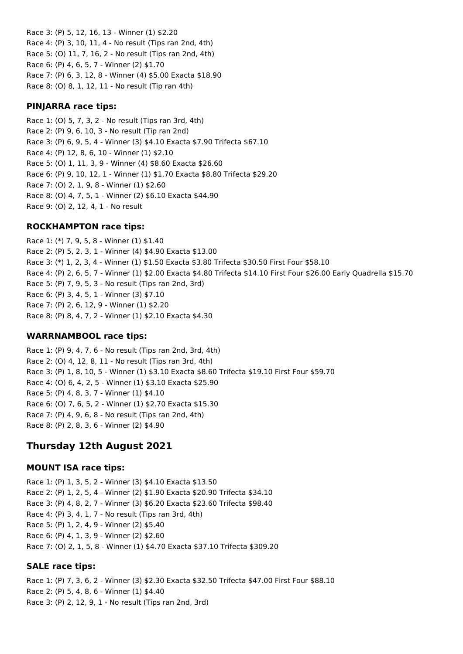Race 3: (P) 5, 12, 16, 13 - Winner (1) \$2.20 Race 4: (P) 3, 10, 11, 4 - No result (Tips ran 2nd, 4th) Race 5: (O) 11, 7, 16, 2 - No result (Tips ran 2nd, 4th) Race 6: (P) 4, 6, 5, 7 - Winner (2) \$1.70 Race 7: (P) 6, 3, 12, 8 - Winner (4) \$5.00 Exacta \$18.90 Race 8: (O) 8, 1, 12, 11 - No result (Tip ran 4th)

#### **PINJARRA race tips:**

Race 1: (O) 5, 7, 3, 2 - No result (Tips ran 3rd, 4th) Race 2: (P) 9, 6, 10, 3 - No result (Tip ran 2nd) Race 3: (P) 6, 9, 5, 4 - Winner (3) \$4.10 Exacta \$7.90 Trifecta \$67.10 Race 4: (P) 12, 8, 6, 10 - Winner (1) \$2.10 Race 5: (O) 1, 11, 3, 9 - Winner (4) \$8.60 Exacta \$26.60 Race 6: (P) 9, 10, 12, 1 - Winner (1) \$1.70 Exacta \$8.80 Trifecta \$29.20 Race 7: (O) 2, 1, 9, 8 - Winner (1) \$2.60 Race 8: (O) 4, 7, 5, 1 - Winner (2) \$6.10 Exacta \$44.90 Race 9: (O) 2, 12, 4, 1 - No result

## **ROCKHAMPTON race tips:**

Race 1: (\*) 7, 9, 5, 8 - Winner (1) \$1.40 Race 2: (P) 5, 2, 3, 1 - Winner (4) \$4.90 Exacta \$13.00 Race 3: (\*) 1, 2, 3, 4 - Winner (1) \$1.50 Exacta \$3.80 Trifecta \$30.50 First Four \$58.10 Race 4: (P) 2, 6, 5, 7 - Winner (1) \$2.00 Exacta \$4.80 Trifecta \$14.10 First Four \$26.00 Early Quadrella \$15.70 Race 5: (P) 7, 9, 5, 3 - No result (Tips ran 2nd, 3rd) Race 6: (P) 3, 4, 5, 1 - Winner (3) \$7.10 Race 7: (P) 2, 6, 12, 9 - Winner (1) \$2.20 Race 8: (P) 8, 4, 7, 2 - Winner (1) \$2.10 Exacta \$4.30

## **WARRNAMBOOL race tips:**

Race 1: (P) 9, 4, 7, 6 - No result (Tips ran 2nd, 3rd, 4th) Race 2: (O) 4, 12, 8, 11 - No result (Tips ran 3rd, 4th) Race 3: (P) 1, 8, 10, 5 - Winner (1) \$3.10 Exacta \$8.60 Trifecta \$19.10 First Four \$59.70 Race 4: (O) 6, 4, 2, 5 - Winner (1) \$3.10 Exacta \$25.90 Race 5: (P) 4, 8, 3, 7 - Winner (1) \$4.10 Race 6: (O) 7, 6, 5, 2 - Winner (1) \$2.70 Exacta \$15.30 Race 7: (P) 4, 9, 6, 8 - No result (Tips ran 2nd, 4th) Race 8: (P) 2, 8, 3, 6 - Winner (2) \$4.90

# **Thursday 12th August 2021**

## **MOUNT ISA race tips:**

Race 1: (P) 1, 3, 5, 2 - Winner (3) \$4.10 Exacta \$13.50 Race 2: (P) 1, 2, 5, 4 - Winner (2) \$1.90 Exacta \$20.90 Trifecta \$34.10 Race 3: (P) 4, 8, 2, 7 - Winner (3) \$6.20 Exacta \$23.60 Trifecta \$98.40 Race 4: (P) 3, 4, 1, 7 - No result (Tips ran 3rd, 4th) Race 5: (P) 1, 2, 4, 9 - Winner (2) \$5.40 Race 6: (P) 4, 1, 3, 9 - Winner (2) \$2.60 Race 7: (O) 2, 1, 5, 8 - Winner (1) \$4.70 Exacta \$37.10 Trifecta \$309.20

## **SALE race tips:**

Race 1: (P) 7, 3, 6, 2 - Winner (3) \$2.30 Exacta \$32.50 Trifecta \$47.00 First Four \$88.10 Race 2: (P) 5, 4, 8, 6 - Winner (1) \$4.40 Race 3: (P) 2, 12, 9, 1 - No result (Tips ran 2nd, 3rd)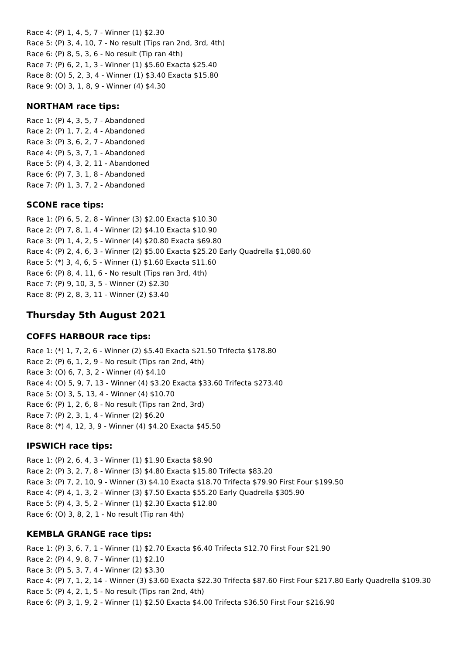Race 4: (P) 1, 4, 5, 7 - Winner (1) \$2.30 Race 5: (P) 3, 4, 10, 7 - No result (Tips ran 2nd, 3rd, 4th) Race 6: (P) 8, 5, 3, 6 - No result (Tip ran 4th) Race 7: (P) 6, 2, 1, 3 - Winner (1) \$5.60 Exacta \$25.40 Race 8: (O) 5, 2, 3, 4 - Winner (1) \$3.40 Exacta \$15.80 Race 9: (O) 3, 1, 8, 9 - Winner (4) \$4.30

#### **NORTHAM race tips:**

Race 1: (P) 4, 3, 5, 7 - Abandoned Race 2: (P) 1, 7, 2, 4 - Abandoned Race 3: (P) 3, 6, 2, 7 - Abandoned Race 4: (P) 5, 3, 7, 1 - Abandoned Race 5: (P) 4, 3, 2, 11 - Abandoned Race 6: (P) 7, 3, 1, 8 - Abandoned Race 7: (P) 1, 3, 7, 2 - Abandoned

#### **SCONE race tips:**

Race 1: (P) 6, 5, 2, 8 - Winner (3) \$2.00 Exacta \$10.30 Race 2: (P) 7, 8, 1, 4 - Winner (2) \$4.10 Exacta \$10.90 Race 3: (P) 1, 4, 2, 5 - Winner (4) \$20.80 Exacta \$69.80 Race 4: (P) 2, 4, 6, 3 - Winner (2) \$5.00 Exacta \$25.20 Early Quadrella \$1,080.60 Race 5: (\*) 3, 4, 6, 5 - Winner (1) \$1.60 Exacta \$11.60 Race 6: (P) 8, 4, 11, 6 - No result (Tips ran 3rd, 4th) Race 7: (P) 9, 10, 3, 5 - Winner (2) \$2.30 Race 8: (P) 2, 8, 3, 11 - Winner (2) \$3.40

# **Thursday 5th August 2021**

## **COFFS HARBOUR race tips:**

Race 1: (\*) 1, 7, 2, 6 - Winner (2) \$5.40 Exacta \$21.50 Trifecta \$178.80 Race 2: (P) 6, 1, 2, 9 - No result (Tips ran 2nd, 4th) Race 3: (O) 6, 7, 3, 2 - Winner (4) \$4.10 Race 4: (O) 5, 9, 7, 13 - Winner (4) \$3.20 Exacta \$33.60 Trifecta \$273.40 Race 5: (O) 3, 5, 13, 4 - Winner (4) \$10.70 Race 6: (P) 1, 2, 6, 8 - No result (Tips ran 2nd, 3rd) Race 7: (P) 2, 3, 1, 4 - Winner (2) \$6.20 Race 8: (\*) 4, 12, 3, 9 - Winner (4) \$4.20 Exacta \$45.50

#### **IPSWICH race tips:**

Race 1: (P) 2, 6, 4, 3 - Winner (1) \$1.90 Exacta \$8.90 Race 2: (P) 3, 2, 7, 8 - Winner (3) \$4.80 Exacta \$15.80 Trifecta \$83.20 Race 3: (P) 7, 2, 10, 9 - Winner (3) \$4.10 Exacta \$18.70 Trifecta \$79.90 First Four \$199.50 Race 4: (P) 4, 1, 3, 2 - Winner (3) \$7.50 Exacta \$55.20 Early Quadrella \$305.90 Race 5: (P) 4, 3, 5, 2 - Winner (1) \$2.30 Exacta \$12.80 Race 6: (O) 3, 8, 2, 1 - No result (Tip ran 4th)

## **KEMBLA GRANGE race tips:**

Race 1: (P) 3, 6, 7, 1 - Winner (1) \$2.70 Exacta \$6.40 Trifecta \$12.70 First Four \$21.90 Race 2: (P) 4, 9, 8, 7 - Winner (1) \$2.10 Race 3: (P) 5, 3, 7, 4 - Winner (2) \$3.30 Race 4: (P) 7, 1, 2, 14 - Winner (3) \$3.60 Exacta \$22.30 Trifecta \$87.60 First Four \$217.80 Early Quadrella \$109.30 Race 5: (P) 4, 2, 1, 5 - No result (Tips ran 2nd, 4th) Race 6: (P) 3, 1, 9, 2 - Winner (1) \$2.50 Exacta \$4.00 Trifecta \$36.50 First Four \$216.90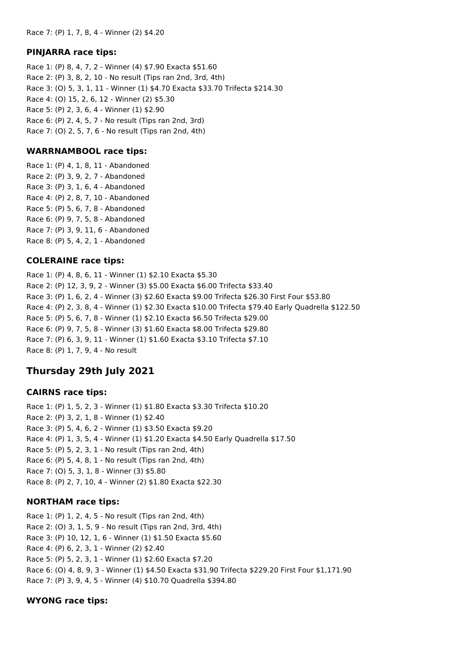#### **PINJARRA race tips:**

Race 1: (P) 8, 4, 7, 2 - Winner (4) \$7.90 Exacta \$51.60 Race 2: (P) 3, 8, 2, 10 - No result (Tips ran 2nd, 3rd, 4th) Race 3: (O) 5, 3, 1, 11 - Winner (1) \$4.70 Exacta \$33.70 Trifecta \$214.30 Race 4: (O) 15, 2, 6, 12 - Winner (2) \$5.30 Race 5: (P) 2, 3, 6, 4 - Winner (1) \$2.90 Race 6: (P) 2, 4, 5, 7 - No result (Tips ran 2nd, 3rd) Race 7: (O) 2, 5, 7, 6 - No result (Tips ran 2nd, 4th)

#### **WARRNAMBOOL race tips:**

Race 1: (P) 4, 1, 8, 11 - Abandoned Race 2: (P) 3, 9, 2, 7 - Abandoned Race 3: (P) 3, 1, 6, 4 - Abandoned Race 4: (P) 2, 8, 7, 10 - Abandoned Race 5: (P) 5, 6, 7, 8 - Abandoned Race 6: (P) 9, 7, 5, 8 - Abandoned Race 7: (P) 3, 9, 11, 6 - Abandoned Race 8: (P) 5, 4, 2, 1 - Abandoned

## **COLERAINE race tips:**

Race 1: (P) 4, 8, 6, 11 - Winner (1) \$2.10 Exacta \$5.30 Race 2: (P) 12, 3, 9, 2 - Winner (3) \$5.00 Exacta \$6.00 Trifecta \$33.40 Race 3: (P) 1, 6, 2, 4 - Winner (3) \$2.60 Exacta \$9.00 Trifecta \$26.30 First Four \$53.80 Race 4: (P) 2, 3, 8, 4 - Winner (1) \$2.30 Exacta \$10.00 Trifecta \$79.40 Early Quadrella \$122.50 Race 5: (P) 5, 6, 7, 8 - Winner (1) \$2.10 Exacta \$6.50 Trifecta \$29.00 Race 6: (P) 9, 7, 5, 8 - Winner (3) \$1.60 Exacta \$8.00 Trifecta \$29.80 Race 7: (P) 6, 3, 9, 11 - Winner (1) \$1.60 Exacta \$3.10 Trifecta \$7.10 Race 8: (P) 1, 7, 9, 4 - No result

# **Thursday 29th July 2021**

#### **CAIRNS race tips:**

Race 1: (P) 1, 5, 2, 3 - Winner (1) \$1.80 Exacta \$3.30 Trifecta \$10.20 Race 2: (P) 3, 2, 1, 8 - Winner (1) \$2.40 Race 3: (P) 5, 4, 6, 2 - Winner (1) \$3.50 Exacta \$9.20 Race 4: (P) 1, 3, 5, 4 - Winner (1) \$1.20 Exacta \$4.50 Early Quadrella \$17.50 Race 5: (P) 5, 2, 3, 1 - No result (Tips ran 2nd, 4th) Race 6: (P) 5, 4, 8, 1 - No result (Tips ran 2nd, 4th) Race 7: (O) 5, 3, 1, 8 - Winner (3) \$5.80 Race 8: (P) 2, 7, 10, 4 - Winner (2) \$1.80 Exacta \$22.30

#### **NORTHAM race tips:**

Race 1: (P) 1, 2, 4, 5 - No result (Tips ran 2nd, 4th) Race 2: (O) 3, 1, 5, 9 - No result (Tips ran 2nd, 3rd, 4th) Race 3: (P) 10, 12, 1, 6 - Winner (1) \$1.50 Exacta \$5.60 Race 4: (P) 6, 2, 3, 1 - Winner (2) \$2.40 Race 5: (P) 5, 2, 3, 1 - Winner (1) \$2.60 Exacta \$7.20 Race 6: (O) 4, 8, 9, 3 - Winner (1) \$4.50 Exacta \$31.90 Trifecta \$229.20 First Four \$1,171.90 Race 7: (P) 3, 9, 4, 5 - Winner (4) \$10.70 Quadrella \$394.80

#### **WYONG race tips:**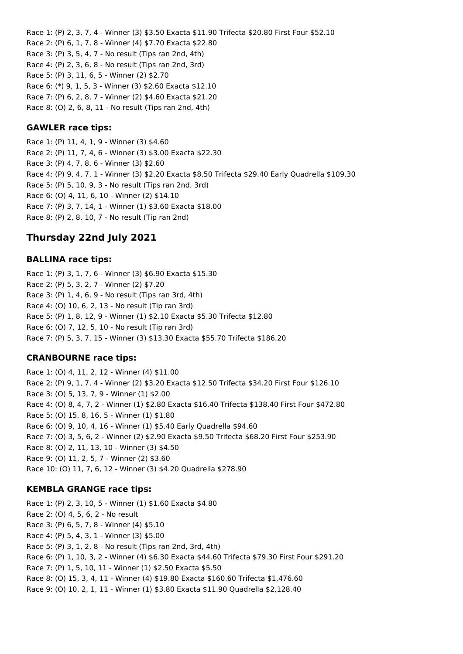Race 1: (P) 2, 3, 7, 4 - Winner (3) \$3.50 Exacta \$11.90 Trifecta \$20.80 First Four \$52.10 Race 2: (P) 6, 1, 7, 8 - Winner (4) \$7.70 Exacta \$22.80 Race 3: (P) 3, 5, 4, 7 - No result (Tips ran 2nd, 4th) Race 4: (P) 2, 3, 6, 8 - No result (Tips ran 2nd, 3rd) Race 5: (P) 3, 11, 6, 5 - Winner (2) \$2.70 Race 6: (\*) 9, 1, 5, 3 - Winner (3) \$2.60 Exacta \$12.10 Race 7: (P) 6, 2, 8, 7 - Winner (2) \$4.60 Exacta \$21.20 Race 8: (O) 2, 6, 8, 11 - No result (Tips ran 2nd, 4th)

#### **GAWLER race tips:**

Race 1: (P) 11, 4, 1, 9 - Winner (3) \$4.60 Race 2: (P) 11, 7, 4, 6 - Winner (3) \$3.00 Exacta \$22.30 Race 3: (P) 4, 7, 8, 6 - Winner (3) \$2.60 Race 4: (P) 9, 4, 7, 1 - Winner (3) \$2.20 Exacta \$8.50 Trifecta \$29.40 Early Quadrella \$109.30 Race 5: (P) 5, 10, 9, 3 - No result (Tips ran 2nd, 3rd) Race 6: (O) 4, 11, 6, 10 - Winner (2) \$14.10 Race 7: (P) 3, 7, 14, 1 - Winner (1) \$3.60 Exacta \$18.00 Race 8: (P) 2, 8, 10, 7 - No result (Tip ran 2nd)

# **Thursday 22nd July 2021**

#### **BALLINA race tips:**

Race 1: (P) 3, 1, 7, 6 - Winner (3) \$6.90 Exacta \$15.30 Race 2: (P) 5, 3, 2, 7 - Winner (2) \$7.20 Race 3: (P) 1, 4, 6, 9 - No result (Tips ran 3rd, 4th) Race 4: (O) 10, 6, 2, 13 - No result (Tip ran 3rd) Race 5: (P) 1, 8, 12, 9 - Winner (1) \$2.10 Exacta \$5.30 Trifecta \$12.80 Race 6: (O) 7, 12, 5, 10 - No result (Tip ran 3rd) Race 7: (P) 5, 3, 7, 15 - Winner (3) \$13.30 Exacta \$55.70 Trifecta \$186.20

## **CRANBOURNE race tips:**

Race 1: (O) 4, 11, 2, 12 - Winner (4) \$11.00 Race 2: (P) 9, 1, 7, 4 - Winner (2) \$3.20 Exacta \$12.50 Trifecta \$34.20 First Four \$126.10 Race 3: (O) 5, 13, 7, 9 - Winner (1) \$2.00 Race 4: (O) 8, 4, 7, 2 - Winner (1) \$2.80 Exacta \$16.40 Trifecta \$138.40 First Four \$472.80 Race 5: (O) 15, 8, 16, 5 - Winner (1) \$1.80 Race 6: (O) 9, 10, 4, 16 - Winner (1) \$5.40 Early Quadrella \$94.60 Race 7: (O) 3, 5, 6, 2 - Winner (2) \$2.90 Exacta \$9.50 Trifecta \$68.20 First Four \$253.90 Race 8: (O) 2, 11, 13, 10 - Winner (3) \$4.50 Race 9: (O) 11, 2, 5, 7 - Winner (2) \$3.60 Race 10: (O) 11, 7, 6, 12 - Winner (3) \$4.20 Quadrella \$278.90

## **KEMBLA GRANGE race tips:**

Race 1: (P) 2, 3, 10, 5 - Winner (1) \$1.60 Exacta \$4.80 Race 2: (O) 4, 5, 6, 2 - No result Race 3: (P) 6, 5, 7, 8 - Winner (4) \$5.10 Race 4: (P) 5, 4, 3, 1 - Winner (3) \$5.00 Race 5: (P) 3, 1, 2, 8 - No result (Tips ran 2nd, 3rd, 4th) Race 6: (P) 1, 10, 3, 2 - Winner (4) \$6.30 Exacta \$44.60 Trifecta \$79.30 First Four \$291.20 Race 7: (P) 1, 5, 10, 11 - Winner (1) \$2.50 Exacta \$5.50 Race 8: (O) 15, 3, 4, 11 - Winner (4) \$19.80 Exacta \$160.60 Trifecta \$1,476.60 Race 9: (O) 10, 2, 1, 11 - Winner (1) \$3.80 Exacta \$11.90 Quadrella \$2,128.40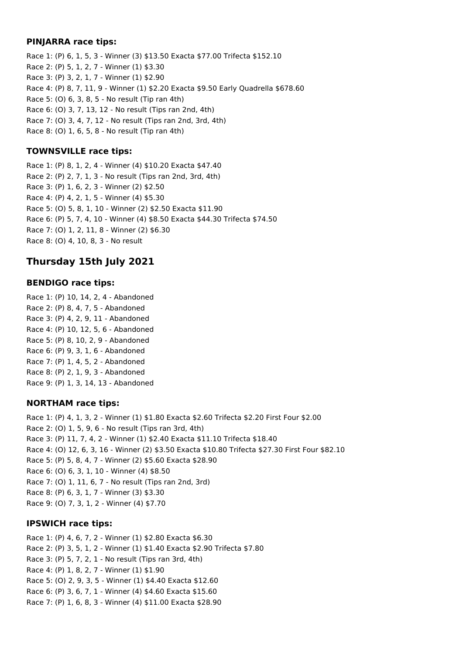#### **PINJARRA race tips:**

Race 1: (P) 6, 1, 5, 3 - Winner (3) \$13.50 Exacta \$77.00 Trifecta \$152.10 Race 2: (P) 5, 1, 2, 7 - Winner (1) \$3.30 Race 3: (P) 3, 2, 1, 7 - Winner (1) \$2.90 Race 4: (P) 8, 7, 11, 9 - Winner (1) \$2.20 Exacta \$9.50 Early Quadrella \$678.60 Race 5: (O) 6, 3, 8, 5 - No result (Tip ran 4th) Race 6: (O) 3, 7, 13, 12 - No result (Tips ran 2nd, 4th) Race 7: (O) 3, 4, 7, 12 - No result (Tips ran 2nd, 3rd, 4th) Race 8: (O) 1, 6, 5, 8 - No result (Tip ran 4th)

## **TOWNSVILLE race tips:**

Race 1: (P) 8, 1, 2, 4 - Winner (4) \$10.20 Exacta \$47.40 Race 2: (P) 2, 7, 1, 3 - No result (Tips ran 2nd, 3rd, 4th) Race 3: (P) 1, 6, 2, 3 - Winner (2) \$2.50 Race 4: (P) 4, 2, 1, 5 - Winner (4) \$5.30 Race 5: (O) 5, 8, 1, 10 - Winner (2) \$2.50 Exacta \$11.90 Race 6: (P) 5, 7, 4, 10 - Winner (4) \$8.50 Exacta \$44.30 Trifecta \$74.50 Race 7: (O) 1, 2, 11, 8 - Winner (2) \$6.30 Race 8: (O) 4, 10, 8, 3 - No result

# **Thursday 15th July 2021**

## **BENDIGO race tips:**

Race 1: (P) 10, 14, 2, 4 - Abandoned Race 2: (P) 8, 4, 7, 5 - Abandoned Race 3: (P) 4, 2, 9, 11 - Abandoned Race 4: (P) 10, 12, 5, 6 - Abandoned Race 5: (P) 8, 10, 2, 9 - Abandoned Race 6: (P) 9, 3, 1, 6 - Abandoned Race 7: (P) 1, 4, 5, 2 - Abandoned Race 8: (P) 2, 1, 9, 3 - Abandoned Race 9: (P) 1, 3, 14, 13 - Abandoned

## **NORTHAM race tips:**

Race 1: (P) 4, 1, 3, 2 - Winner (1) \$1.80 Exacta \$2.60 Trifecta \$2.20 First Four \$2.00 Race 2: (O) 1, 5, 9, 6 - No result (Tips ran 3rd, 4th) Race 3: (P) 11, 7, 4, 2 - Winner (1) \$2.40 Exacta \$11.10 Trifecta \$18.40 Race 4: (O) 12, 6, 3, 16 - Winner (2) \$3.50 Exacta \$10.80 Trifecta \$27.30 First Four \$82.10 Race 5: (P) 5, 8, 4, 7 - Winner (2) \$5.60 Exacta \$28.90 Race 6: (O) 6, 3, 1, 10 - Winner (4) \$8.50 Race 7: (O) 1, 11, 6, 7 - No result (Tips ran 2nd, 3rd) Race 8: (P) 6, 3, 1, 7 - Winner (3) \$3.30 Race 9: (O) 7, 3, 1, 2 - Winner (4) \$7.70

## **IPSWICH race tips:**

Race 1: (P) 4, 6, 7, 2 - Winner (1) \$2.80 Exacta \$6.30 Race 2: (P) 3, 5, 1, 2 - Winner (1) \$1.40 Exacta \$2.90 Trifecta \$7.80 Race 3: (P) 5, 7, 2, 1 - No result (Tips ran 3rd, 4th) Race 4: (P) 1, 8, 2, 7 - Winner (1) \$1.90 Race 5: (O) 2, 9, 3, 5 - Winner (1) \$4.40 Exacta \$12.60 Race 6: (P) 3, 6, 7, 1 - Winner (4) \$4.60 Exacta \$15.60 Race 7: (P) 1, 6, 8, 3 - Winner (4) \$11.00 Exacta \$28.90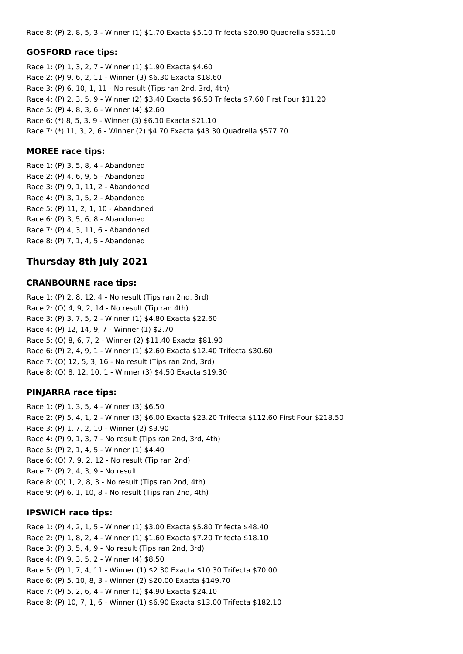Race 8: (P) 2, 8, 5, 3 - Winner (1) \$1.70 Exacta \$5.10 Trifecta \$20.90 Quadrella \$531.10

#### **GOSFORD race tips:**

Race 1: (P) 1, 3, 2, 7 - Winner (1) \$1.90 Exacta \$4.60 Race 2: (P) 9, 6, 2, 11 - Winner (3) \$6.30 Exacta \$18.60 Race 3: (P) 6, 10, 1, 11 - No result (Tips ran 2nd, 3rd, 4th) Race 4: (P) 2, 3, 5, 9 - Winner (2) \$3.40 Exacta \$6.50 Trifecta \$7.60 First Four \$11.20 Race 5: (P) 4, 8, 3, 6 - Winner (4) \$2.60 Race 6: (\*) 8, 5, 3, 9 - Winner (3) \$6.10 Exacta \$21.10 Race 7: (\*) 11, 3, 2, 6 - Winner (2) \$4.70 Exacta \$43.30 Quadrella \$577.70

#### **MOREE race tips:**

Race 1: (P) 3, 5, 8, 4 - Abandoned Race 2: (P) 4, 6, 9, 5 - Abandoned Race 3: (P) 9, 1, 11, 2 - Abandoned Race 4: (P) 3, 1, 5, 2 - Abandoned Race 5: (P) 11, 2, 1, 10 - Abandoned Race 6: (P) 3, 5, 6, 8 - Abandoned Race 7: (P) 4, 3, 11, 6 - Abandoned Race 8: (P) 7, 1, 4, 5 - Abandoned

## **Thursday 8th July 2021**

#### **CRANBOURNE race tips:**

Race 1: (P) 2, 8, 12, 4 - No result (Tips ran 2nd, 3rd) Race 2: (O) 4, 9, 2, 14 - No result (Tip ran 4th) Race 3: (P) 3, 7, 5, 2 - Winner (1) \$4.80 Exacta \$22.60 Race 4: (P) 12, 14, 9, 7 - Winner (1) \$2.70 Race 5: (O) 8, 6, 7, 2 - Winner (2) \$11.40 Exacta \$81.90 Race 6: (P) 2, 4, 9, 1 - Winner (1) \$2.60 Exacta \$12.40 Trifecta \$30.60 Race 7: (O) 12, 5, 3, 16 - No result (Tips ran 2nd, 3rd) Race 8: (O) 8, 12, 10, 1 - Winner (3) \$4.50 Exacta \$19.30

#### **PINJARRA race tips:**

Race 1: (P) 1, 3, 5, 4 - Winner (3) \$6.50 Race 2: (P) 5, 4, 1, 2 - Winner (3) \$6.00 Exacta \$23.20 Trifecta \$112.60 First Four \$218.50 Race 3: (P) 1, 7, 2, 10 - Winner (2) \$3.90 Race 4: (P) 9, 1, 3, 7 - No result (Tips ran 2nd, 3rd, 4th) Race 5: (P) 2, 1, 4, 5 - Winner (1) \$4.40 Race 6: (O) 7, 9, 2, 12 - No result (Tip ran 2nd) Race 7: (P) 2, 4, 3, 9 - No result Race 8: (O) 1, 2, 8, 3 - No result (Tips ran 2nd, 4th) Race 9: (P) 6, 1, 10, 8 - No result (Tips ran 2nd, 4th)

#### **IPSWICH race tips:**

Race 1: (P) 4, 2, 1, 5 - Winner (1) \$3.00 Exacta \$5.80 Trifecta \$48.40 Race 2: (P) 1, 8, 2, 4 - Winner (1) \$1.60 Exacta \$7.20 Trifecta \$18.10 Race 3: (P) 3, 5, 4, 9 - No result (Tips ran 2nd, 3rd) Race 4: (P) 9, 3, 5, 2 - Winner (4) \$8.50 Race 5: (P) 1, 7, 4, 11 - Winner (1) \$2.30 Exacta \$10.30 Trifecta \$70.00 Race 6: (P) 5, 10, 8, 3 - Winner (2) \$20.00 Exacta \$149.70 Race 7: (P) 5, 2, 6, 4 - Winner (1) \$4.90 Exacta \$24.10 Race 8: (P) 10, 7, 1, 6 - Winner (1) \$6.90 Exacta \$13.00 Trifecta \$182.10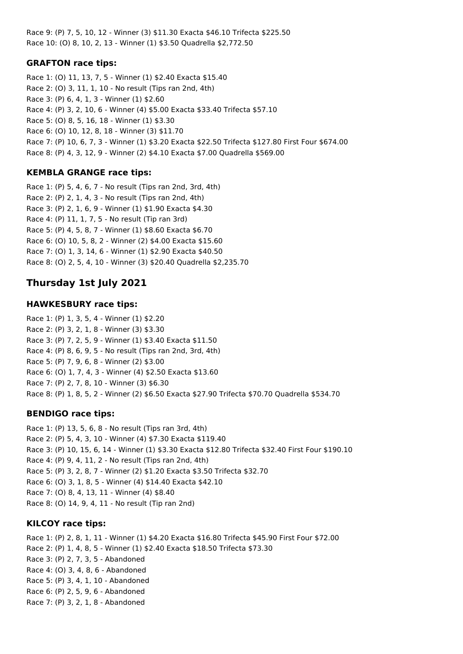Race 9: (P) 7, 5, 10, 12 - Winner (3) \$11.30 Exacta \$46.10 Trifecta \$225.50 Race 10: (O) 8, 10, 2, 13 - Winner (1) \$3.50 Quadrella \$2,772.50

## **GRAFTON race tips:**

Race 1: (O) 11, 13, 7, 5 - Winner (1) \$2.40 Exacta \$15.40 Race 2: (O) 3, 11, 1, 10 - No result (Tips ran 2nd, 4th) Race 3: (P) 6, 4, 1, 3 - Winner (1) \$2.60 Race 4: (P) 3, 2, 10, 6 - Winner (4) \$5.00 Exacta \$33.40 Trifecta \$57.10 Race 5: (O) 8, 5, 16, 18 - Winner (1) \$3.30 Race 6: (O) 10, 12, 8, 18 - Winner (3) \$11.70 Race 7: (P) 10, 6, 7, 3 - Winner (1) \$3.20 Exacta \$22.50 Trifecta \$127.80 First Four \$674.00 Race 8: (P) 4, 3, 12, 9 - Winner (2) \$4.10 Exacta \$7.00 Quadrella \$569.00

# **KEMBLA GRANGE race tips:**

Race 1: (P) 5, 4, 6, 7 - No result (Tips ran 2nd, 3rd, 4th) Race 2: (P) 2, 1, 4, 3 - No result (Tips ran 2nd, 4th) Race 3: (P) 2, 1, 6, 9 - Winner (1) \$1.90 Exacta \$4.30 Race 4: (P) 11, 1, 7, 5 - No result (Tip ran 3rd) Race 5: (P) 4, 5, 8, 7 - Winner (1) \$8.60 Exacta \$6.70 Race 6: (O) 10, 5, 8, 2 - Winner (2) \$4.00 Exacta \$15.60 Race 7: (O) 1, 3, 14, 6 - Winner (1) \$2.90 Exacta \$40.50 Race 8: (O) 2, 5, 4, 10 - Winner (3) \$20.40 Quadrella \$2,235.70

# **Thursday 1st July 2021**

## **HAWKESBURY race tips:**

Race 1: (P) 1, 3, 5, 4 - Winner (1) \$2.20 Race 2: (P) 3, 2, 1, 8 - Winner (3) \$3.30 Race 3: (P) 7, 2, 5, 9 - Winner (1) \$3.40 Exacta \$11.50 Race 4: (P) 8, 6, 9, 5 - No result (Tips ran 2nd, 3rd, 4th) Race 5: (P) 7, 9, 6, 8 - Winner (2) \$3.00 Race 6: (O) 1, 7, 4, 3 - Winner (4) \$2.50 Exacta \$13.60 Race 7: (P) 2, 7, 8, 10 - Winner (3) \$6.30 Race 8: (P) 1, 8, 5, 2 - Winner (2) \$6.50 Exacta \$27.90 Trifecta \$70.70 Quadrella \$534.70

## **BENDIGO race tips:**

Race 1: (P) 13, 5, 6, 8 - No result (Tips ran 3rd, 4th) Race 2: (P) 5, 4, 3, 10 - Winner (4) \$7.30 Exacta \$119.40 Race 3: (P) 10, 15, 6, 14 - Winner (1) \$3.30 Exacta \$12.80 Trifecta \$32.40 First Four \$190.10 Race 4: (P) 9, 4, 11, 2 - No result (Tips ran 2nd, 4th) Race 5: (P) 3, 2, 8, 7 - Winner (2) \$1.20 Exacta \$3.50 Trifecta \$32.70 Race 6: (O) 3, 1, 8, 5 - Winner (4) \$14.40 Exacta \$42.10 Race 7: (O) 8, 4, 13, 11 - Winner (4) \$8.40 Race 8: (O) 14, 9, 4, 11 - No result (Tip ran 2nd)

## **KILCOY race tips:**

Race 1: (P) 2, 8, 1, 11 - Winner (1) \$4.20 Exacta \$16.80 Trifecta \$45.90 First Four \$72.00 Race 2: (P) 1, 4, 8, 5 - Winner (1) \$2.40 Exacta \$18.50 Trifecta \$73.30 Race 3: (P) 2, 7, 3, 5 - Abandoned Race 4: (O) 3, 4, 8, 6 - Abandoned Race 5: (P) 3, 4, 1, 10 - Abandoned Race 6: (P) 2, 5, 9, 6 - Abandoned Race 7: (P) 3, 2, 1, 8 - Abandoned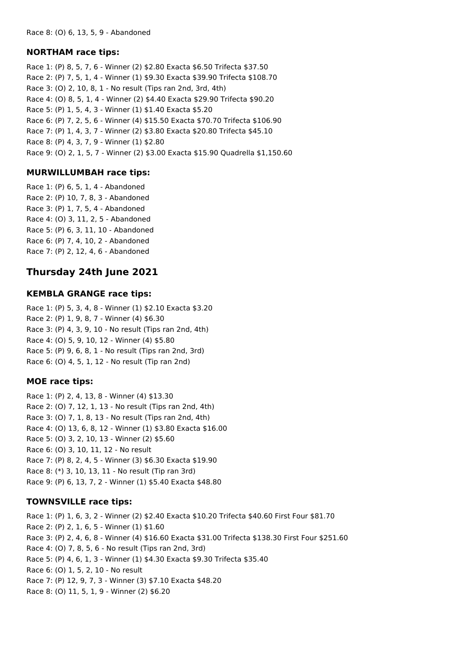#### **NORTHAM race tips:**

Race 1: (P) 8, 5, 7, 6 - Winner (2) \$2.80 Exacta \$6.50 Trifecta \$37.50 Race 2: (P) 7, 5, 1, 4 - Winner (1) \$9.30 Exacta \$39.90 Trifecta \$108.70 Race 3: (O) 2, 10, 8, 1 - No result (Tips ran 2nd, 3rd, 4th) Race 4: (O) 8, 5, 1, 4 - Winner (2) \$4.40 Exacta \$29.90 Trifecta \$90.20 Race 5: (P) 1, 5, 4, 3 - Winner (1) \$1.40 Exacta \$5.20 Race 6: (P) 7, 2, 5, 6 - Winner (4) \$15.50 Exacta \$70.70 Trifecta \$106.90 Race 7: (P) 1, 4, 3, 7 - Winner (2) \$3.80 Exacta \$20.80 Trifecta \$45.10 Race 8: (P) 4, 3, 7, 9 - Winner (1) \$2.80 Race 9: (O) 2, 1, 5, 7 - Winner (2) \$3.00 Exacta \$15.90 Quadrella \$1,150.60

## **MURWILLUMBAH race tips:**

Race 1: (P) 6, 5, 1, 4 - Abandoned Race 2: (P) 10, 7, 8, 3 - Abandoned Race 3: (P) 1, 7, 5, 4 - Abandoned Race 4: (O) 3, 11, 2, 5 - Abandoned Race 5: (P) 6, 3, 11, 10 - Abandoned Race 6: (P) 7, 4, 10, 2 - Abandoned Race 7: (P) 2, 12, 4, 6 - Abandoned

# **Thursday 24th June 2021**

#### **KEMBLA GRANGE race tips:**

Race 1: (P) 5, 3, 4, 8 - Winner (1) \$2.10 Exacta \$3.20 Race 2: (P) 1, 9, 8, 7 - Winner (4) \$6.30 Race 3: (P) 4, 3, 9, 10 - No result (Tips ran 2nd, 4th) Race 4: (O) 5, 9, 10, 12 - Winner (4) \$5.80 Race 5: (P) 9, 6, 8, 1 - No result (Tips ran 2nd, 3rd) Race 6: (O) 4, 5, 1, 12 - No result (Tip ran 2nd)

#### **MOE race tips:**

Race 1: (P) 2, 4, 13, 8 - Winner (4) \$13.30 Race 2: (O) 7, 12, 1, 13 - No result (Tips ran 2nd, 4th) Race 3: (O) 7, 1, 8, 13 - No result (Tips ran 2nd, 4th) Race 4: (O) 13, 6, 8, 12 - Winner (1) \$3.80 Exacta \$16.00 Race 5: (O) 3, 2, 10, 13 - Winner (2) \$5.60 Race 6: (O) 3, 10, 11, 12 - No result Race 7: (P) 8, 2, 4, 5 - Winner (3) \$6.30 Exacta \$19.90 Race 8: (\*) 3, 10, 13, 11 - No result (Tip ran 3rd) Race 9: (P) 6, 13, 7, 2 - Winner (1) \$5.40 Exacta \$48.80

## **TOWNSVILLE race tips:**

Race 1: (P) 1, 6, 3, 2 - Winner (2) \$2.40 Exacta \$10.20 Trifecta \$40.60 First Four \$81.70 Race 2: (P) 2, 1, 6, 5 - Winner (1) \$1.60 Race 3: (P) 2, 4, 6, 8 - Winner (4) \$16.60 Exacta \$31.00 Trifecta \$138.30 First Four \$251.60 Race 4: (O) 7, 8, 5, 6 - No result (Tips ran 2nd, 3rd) Race 5: (P) 4, 6, 1, 3 - Winner (1) \$4.30 Exacta \$9.30 Trifecta \$35.40 Race 6: (O) 1, 5, 2, 10 - No result Race 7: (P) 12, 9, 7, 3 - Winner (3) \$7.10 Exacta \$48.20 Race 8: (O) 11, 5, 1, 9 - Winner (2) \$6.20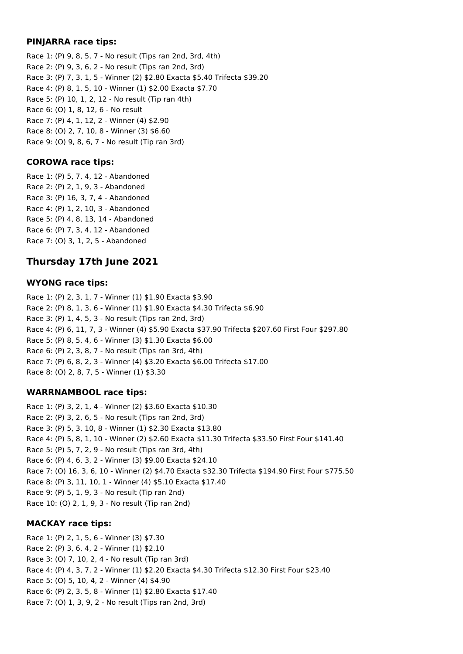#### **PINJARRA race tips:**

Race 1: (P) 9, 8, 5, 7 - No result (Tips ran 2nd, 3rd, 4th) Race 2: (P) 9, 3, 6, 2 - No result (Tips ran 2nd, 3rd) Race 3: (P) 7, 3, 1, 5 - Winner (2) \$2.80 Exacta \$5.40 Trifecta \$39.20 Race 4: (P) 8, 1, 5, 10 - Winner (1) \$2.00 Exacta \$7.70 Race 5: (P) 10, 1, 2, 12 - No result (Tip ran 4th) Race 6: (O) 1, 8, 12, 6 - No result Race 7: (P) 4, 1, 12, 2 - Winner (4) \$2.90 Race 8: (O) 2, 7, 10, 8 - Winner (3) \$6.60 Race 9: (O) 9, 8, 6, 7 - No result (Tip ran 3rd)

## **COROWA race tips:**

Race 1: (P) 5, 7, 4, 12 - Abandoned Race 2: (P) 2, 1, 9, 3 - Abandoned Race 3: (P) 16, 3, 7, 4 - Abandoned Race 4: (P) 1, 2, 10, 3 - Abandoned Race 5: (P) 4, 8, 13, 14 - Abandoned Race 6: (P) 7, 3, 4, 12 - Abandoned Race 7: (O) 3, 1, 2, 5 - Abandoned

# **Thursday 17th June 2021**

#### **WYONG race tips:**

Race 1: (P) 2, 3, 1, 7 - Winner (1) \$1.90 Exacta \$3.90 Race 2: (P) 8, 1, 3, 6 - Winner (1) \$1.90 Exacta \$4.30 Trifecta \$6.90 Race 3: (P) 1, 4, 5, 3 - No result (Tips ran 2nd, 3rd) Race 4: (P) 6, 11, 7, 3 - Winner (4) \$5.90 Exacta \$37.90 Trifecta \$207.60 First Four \$297.80 Race 5: (P) 8, 5, 4, 6 - Winner (3) \$1.30 Exacta \$6.00 Race 6: (P) 2, 3, 8, 7 - No result (Tips ran 3rd, 4th) Race 7: (P) 6, 8, 2, 3 - Winner (4) \$3.20 Exacta \$6.00 Trifecta \$17.00 Race 8: (O) 2, 8, 7, 5 - Winner (1) \$3.30

#### **WARRNAMBOOL race tips:**

Race 1: (P) 3, 2, 1, 4 - Winner (2) \$3.60 Exacta \$10.30 Race 2: (P) 3, 2, 6, 5 - No result (Tips ran 2nd, 3rd) Race 3: (P) 5, 3, 10, 8 - Winner (1) \$2.30 Exacta \$13.80 Race 4: (P) 5, 8, 1, 10 - Winner (2) \$2.60 Exacta \$11.30 Trifecta \$33.50 First Four \$141.40 Race 5: (P) 5, 7, 2, 9 - No result (Tips ran 3rd, 4th) Race 6: (P) 4, 6, 3, 2 - Winner (3) \$9.00 Exacta \$24.10 Race 7: (O) 16, 3, 6, 10 - Winner (2) \$4.70 Exacta \$32.30 Trifecta \$194.90 First Four \$775.50 Race 8: (P) 3, 11, 10, 1 - Winner (4) \$5.10 Exacta \$17.40 Race 9: (P) 5, 1, 9, 3 - No result (Tip ran 2nd) Race 10: (O) 2, 1, 9, 3 - No result (Tip ran 2nd)

## **MACKAY race tips:**

Race 1: (P) 2, 1, 5, 6 - Winner (3) \$7.30 Race 2: (P) 3, 6, 4, 2 - Winner (1) \$2.10 Race 3: (O) 7, 10, 2, 4 - No result (Tip ran 3rd) Race 4: (P) 4, 3, 7, 2 - Winner (1) \$2.20 Exacta \$4.30 Trifecta \$12.30 First Four \$23.40 Race 5: (O) 5, 10, 4, 2 - Winner (4) \$4.90 Race 6: (P) 2, 3, 5, 8 - Winner (1) \$2.80 Exacta \$17.40 Race 7: (O) 1, 3, 9, 2 - No result (Tips ran 2nd, 3rd)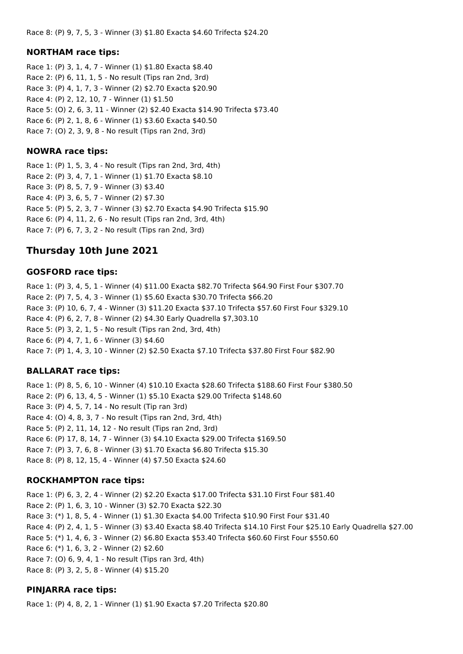#### **NORTHAM race tips:**

Race 1: (P) 3, 1, 4, 7 - Winner (1) \$1.80 Exacta \$8.40 Race 2: (P) 6, 11, 1, 5 - No result (Tips ran 2nd, 3rd) Race 3: (P) 4, 1, 7, 3 - Winner (2) \$2.70 Exacta \$20.90 Race 4: (P) 2, 12, 10, 7 - Winner (1) \$1.50 Race 5: (O) 2, 6, 3, 11 - Winner (2) \$2.40 Exacta \$14.90 Trifecta \$73.40 Race 6: (P) 2, 1, 8, 6 - Winner (1) \$3.60 Exacta \$40.50 Race 7: (O) 2, 3, 9, 8 - No result (Tips ran 2nd, 3rd)

#### **NOWRA race tips:**

Race 1: (P) 1, 5, 3, 4 - No result (Tips ran 2nd, 3rd, 4th) Race 2: (P) 3, 4, 7, 1 - Winner (1) \$1.70 Exacta \$8.10 Race 3: (P) 8, 5, 7, 9 - Winner (3) \$3.40 Race 4: (P) 3, 6, 5, 7 - Winner (2) \$7.30 Race 5: (P) 5, 2, 3, 7 - Winner (3) \$2.70 Exacta \$4.90 Trifecta \$15.90 Race 6: (P) 4, 11, 2, 6 - No result (Tips ran 2nd, 3rd, 4th) Race 7: (P) 6, 7, 3, 2 - No result (Tips ran 2nd, 3rd)

# **Thursday 10th June 2021**

#### **GOSFORD race tips:**

Race 1: (P) 3, 4, 5, 1 - Winner (4) \$11.00 Exacta \$82.70 Trifecta \$64.90 First Four \$307.70 Race 2: (P) 7, 5, 4, 3 - Winner (1) \$5.60 Exacta \$30.70 Trifecta \$66.20 Race 3: (P) 10, 6, 7, 4 - Winner (3) \$11.20 Exacta \$37.10 Trifecta \$57.60 First Four \$329.10 Race 4: (P) 6, 2, 7, 8 - Winner (2) \$4.30 Early Quadrella \$7,303.10 Race 5: (P) 3, 2, 1, 5 - No result (Tips ran 2nd, 3rd, 4th) Race 6: (P) 4, 7, 1, 6 - Winner (3) \$4.60 Race 7: (P) 1, 4, 3, 10 - Winner (2) \$2.50 Exacta \$7.10 Trifecta \$37.80 First Four \$82.90

## **BALLARAT race tips:**

Race 1: (P) 8, 5, 6, 10 - Winner (4) \$10.10 Exacta \$28.60 Trifecta \$188.60 First Four \$380.50 Race 2: (P) 6, 13, 4, 5 - Winner (1) \$5.10 Exacta \$29.00 Trifecta \$148.60 Race 3: (P) 4, 5, 7, 14 - No result (Tip ran 3rd) Race 4: (O) 4, 8, 3, 7 - No result (Tips ran 2nd, 3rd, 4th) Race 5: (P) 2, 11, 14, 12 - No result (Tips ran 2nd, 3rd) Race 6: (P) 17, 8, 14, 7 - Winner (3) \$4.10 Exacta \$29.00 Trifecta \$169.50 Race 7: (P) 3, 7, 6, 8 - Winner (3) \$1.70 Exacta \$6.80 Trifecta \$15.30 Race 8: (P) 8, 12, 15, 4 - Winner (4) \$7.50 Exacta \$24.60

## **ROCKHAMPTON race tips:**

Race 1: (P) 6, 3, 2, 4 - Winner (2) \$2.20 Exacta \$17.00 Trifecta \$31.10 First Four \$81.40 Race 2: (P) 1, 6, 3, 10 - Winner (3) \$2.70 Exacta \$22.30 Race 3: (\*) 1, 8, 5, 4 - Winner (1) \$1.30 Exacta \$4.00 Trifecta \$10.90 First Four \$31.40 Race 4: (P) 2, 4, 1, 5 - Winner (3) \$3.40 Exacta \$8.40 Trifecta \$14.10 First Four \$25.10 Early Quadrella \$27.00 Race 5: (\*) 1, 4, 6, 3 - Winner (2) \$6.80 Exacta \$53.40 Trifecta \$60.60 First Four \$550.60 Race 6: (\*) 1, 6, 3, 2 - Winner (2) \$2.60 Race 7: (O) 6, 9, 4, 1 - No result (Tips ran 3rd, 4th) Race 8: (P) 3, 2, 5, 8 - Winner (4) \$15.20

# **PINJARRA race tips:**

Race 1: (P) 4, 8, 2, 1 - Winner (1) \$1.90 Exacta \$7.20 Trifecta \$20.80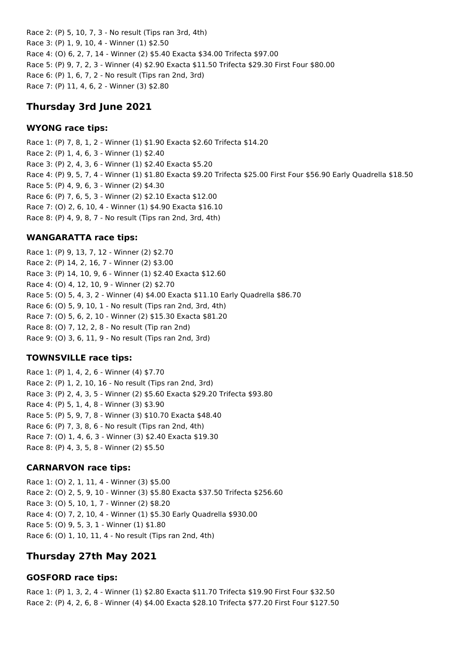Race 2: (P) 5, 10, 7, 3 - No result (Tips ran 3rd, 4th) Race 3: (P) 1, 9, 10, 4 - Winner (1) \$2.50 Race 4: (O) 6, 2, 7, 14 - Winner (2) \$5.40 Exacta \$34.00 Trifecta \$97.00 Race 5: (P) 9, 7, 2, 3 - Winner (4) \$2.90 Exacta \$11.50 Trifecta \$29.30 First Four \$80.00 Race 6: (P) 1, 6, 7, 2 - No result (Tips ran 2nd, 3rd) Race 7: (P) 11, 4, 6, 2 - Winner (3) \$2.80

## **Thursday 3rd June 2021**

#### **WYONG race tips:**

Race 1: (P) 7, 8, 1, 2 - Winner (1) \$1.90 Exacta \$2.60 Trifecta \$14.20 Race 2: (P) 1, 4, 6, 3 - Winner (1) \$2.40 Race 3: (P) 2, 4, 3, 6 - Winner (1) \$2.40 Exacta \$5.20 Race 4: (P) 9, 5, 7, 4 - Winner (1) \$1.80 Exacta \$9.20 Trifecta \$25.00 First Four \$56.90 Early Quadrella \$18.50 Race 5: (P) 4, 9, 6, 3 - Winner (2) \$4.30 Race 6: (P) 7, 6, 5, 3 - Winner (2) \$2.10 Exacta \$12.00 Race 7: (O) 2, 6, 10, 4 - Winner (1) \$4.90 Exacta \$16.10 Race 8: (P) 4, 9, 8, 7 - No result (Tips ran 2nd, 3rd, 4th)

## **WANGARATTA race tips:**

Race 1: (P) 9, 13, 7, 12 - Winner (2) \$2.70 Race 2: (P) 14, 2, 16, 7 - Winner (2) \$3.00 Race 3: (P) 14, 10, 9, 6 - Winner (1) \$2.40 Exacta \$12.60 Race 4: (O) 4, 12, 10, 9 - Winner (2) \$2.70 Race 5: (O) 5, 4, 3, 2 - Winner (4) \$4.00 Exacta \$11.10 Early Quadrella \$86.70 Race 6: (O) 5, 9, 10, 1 - No result (Tips ran 2nd, 3rd, 4th) Race 7: (O) 5, 6, 2, 10 - Winner (2) \$15.30 Exacta \$81.20 Race 8: (O) 7, 12, 2, 8 - No result (Tip ran 2nd) Race 9: (O) 3, 6, 11, 9 - No result (Tips ran 2nd, 3rd)

## **TOWNSVILLE race tips:**

Race 1: (P) 1, 4, 2, 6 - Winner (4) \$7.70 Race 2: (P) 1, 2, 10, 16 - No result (Tips ran 2nd, 3rd) Race 3: (P) 2, 4, 3, 5 - Winner (2) \$5.60 Exacta \$29.20 Trifecta \$93.80 Race 4: (P) 5, 1, 4, 8 - Winner (3) \$3.90 Race 5: (P) 5, 9, 7, 8 - Winner (3) \$10.70 Exacta \$48.40 Race 6: (P) 7, 3, 8, 6 - No result (Tips ran 2nd, 4th) Race 7: (O) 1, 4, 6, 3 - Winner (3) \$2.40 Exacta \$19.30 Race 8: (P) 4, 3, 5, 8 - Winner (2) \$5.50

## **CARNARVON race tips:**

Race 1: (O) 2, 1, 11, 4 - Winner (3) \$5.00 Race 2: (O) 2, 5, 9, 10 - Winner (3) \$5.80 Exacta \$37.50 Trifecta \$256.60 Race 3: (O) 5, 10, 1, 7 - Winner (2) \$8.20 Race 4: (O) 7, 2, 10, 4 - Winner (1) \$5.30 Early Quadrella \$930.00 Race 5: (O) 9, 5, 3, 1 - Winner (1) \$1.80 Race 6: (O) 1, 10, 11, 4 - No result (Tips ran 2nd, 4th)

# **Thursday 27th May 2021**

## **GOSFORD race tips:**

Race 1: (P) 1, 3, 2, 4 - Winner (1) \$2.80 Exacta \$11.70 Trifecta \$19.90 First Four \$32.50 Race 2: (P) 4, 2, 6, 8 - Winner (4) \$4.00 Exacta \$28.10 Trifecta \$77.20 First Four \$127.50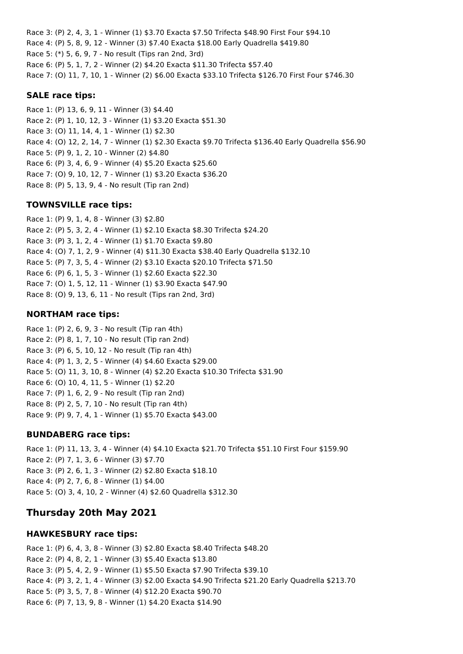Race 3: (P) 2, 4, 3, 1 - Winner (1) \$3.70 Exacta \$7.50 Trifecta \$48.90 First Four \$94.10 Race 4: (P) 5, 8, 9, 12 - Winner (3) \$7.40 Exacta \$18.00 Early Quadrella \$419.80 Race 5: (\*) 5, 6, 9, 7 - No result (Tips ran 2nd, 3rd) Race 6: (P) 5, 1, 7, 2 - Winner (2) \$4.20 Exacta \$11.30 Trifecta \$57.40 Race 7: (O) 11, 7, 10, 1 - Winner (2) \$6.00 Exacta \$33.10 Trifecta \$126.70 First Four \$746.30

#### **SALE race tips:**

Race 1: (P) 13, 6, 9, 11 - Winner (3) \$4.40 Race 2: (P) 1, 10, 12, 3 - Winner (1) \$3.20 Exacta \$51.30 Race 3: (O) 11, 14, 4, 1 - Winner (1) \$2.30 Race 4: (O) 12, 2, 14, 7 - Winner (1) \$2.30 Exacta \$9.70 Trifecta \$136.40 Early Quadrella \$56.90 Race 5: (P) 9, 1, 2, 10 - Winner (2) \$4.80 Race 6: (P) 3, 4, 6, 9 - Winner (4) \$5.20 Exacta \$25.60 Race 7: (O) 9, 10, 12, 7 - Winner (1) \$3.20 Exacta \$36.20 Race 8: (P) 5, 13, 9, 4 - No result (Tip ran 2nd)

## **TOWNSVILLE race tips:**

Race 1: (P) 9, 1, 4, 8 - Winner (3) \$2.80 Race 2: (P) 5, 3, 2, 4 - Winner (1) \$2.10 Exacta \$8.30 Trifecta \$24.20 Race 3: (P) 3, 1, 2, 4 - Winner (1) \$1.70 Exacta \$9.80 Race 4: (O) 7, 1, 2, 9 - Winner (4) \$11.30 Exacta \$38.40 Early Quadrella \$132.10 Race 5: (P) 7, 3, 5, 4 - Winner (2) \$3.10 Exacta \$20.10 Trifecta \$71.50 Race 6: (P) 6, 1, 5, 3 - Winner (1) \$2.60 Exacta \$22.30 Race 7: (O) 1, 5, 12, 11 - Winner (1) \$3.90 Exacta \$47.90 Race 8: (O) 9, 13, 6, 11 - No result (Tips ran 2nd, 3rd)

## **NORTHAM race tips:**

Race 1: (P) 2, 6, 9, 3 - No result (Tip ran 4th) Race 2: (P) 8, 1, 7, 10 - No result (Tip ran 2nd) Race 3: (P) 6, 5, 10, 12 - No result (Tip ran 4th) Race 4: (P) 1, 3, 2, 5 - Winner (4) \$4.60 Exacta \$29.00 Race 5: (O) 11, 3, 10, 8 - Winner (4) \$2.20 Exacta \$10.30 Trifecta \$31.90 Race 6: (O) 10, 4, 11, 5 - Winner (1) \$2.20 Race 7: (P) 1, 6, 2, 9 - No result (Tip ran 2nd) Race 8: (P) 2, 5, 7, 10 - No result (Tip ran 4th) Race 9: (P) 9, 7, 4, 1 - Winner (1) \$5.70 Exacta \$43.00

## **BUNDABERG race tips:**

Race 1: (P) 11, 13, 3, 4 - Winner (4) \$4.10 Exacta \$21.70 Trifecta \$51.10 First Four \$159.90 Race 2: (P) 7, 1, 3, 6 - Winner (3) \$7.70 Race 3: (P) 2, 6, 1, 3 - Winner (2) \$2.80 Exacta \$18.10 Race 4: (P) 2, 7, 6, 8 - Winner (1) \$4.00 Race 5: (O) 3, 4, 10, 2 - Winner (4) \$2.60 Quadrella \$312.30

# **Thursday 20th May 2021**

## **HAWKESBURY race tips:**

Race 1: (P) 6, 4, 3, 8 - Winner (3) \$2.80 Exacta \$8.40 Trifecta \$48.20 Race 2: (P) 4, 8, 2, 1 - Winner (3) \$5.40 Exacta \$13.80 Race 3: (P) 5, 4, 2, 9 - Winner (1) \$5.50 Exacta \$7.90 Trifecta \$39.10 Race 4: (P) 3, 2, 1, 4 - Winner (3) \$2.00 Exacta \$4.90 Trifecta \$21.20 Early Quadrella \$213.70 Race 5: (P) 3, 5, 7, 8 - Winner (4) \$12.20 Exacta \$90.70 Race 6: (P) 7, 13, 9, 8 - Winner (1) \$4.20 Exacta \$14.90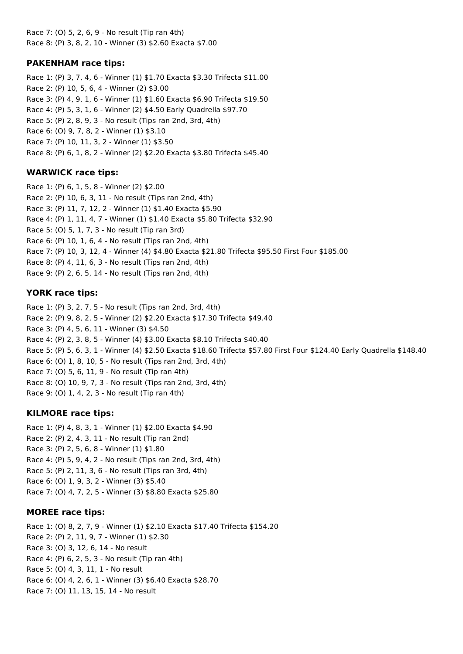Race 7: (O) 5, 2, 6, 9 - No result (Tip ran 4th) Race 8: (P) 3, 8, 2, 10 - Winner (3) \$2.60 Exacta \$7.00

#### **PAKENHAM race tips:**

Race 1: (P) 3, 7, 4, 6 - Winner (1) \$1.70 Exacta \$3.30 Trifecta \$11.00 Race 2: (P) 10, 5, 6, 4 - Winner (2) \$3.00 Race 3: (P) 4, 9, 1, 6 - Winner (1) \$1.60 Exacta \$6.90 Trifecta \$19.50 Race 4: (P) 5, 3, 1, 6 - Winner (2) \$4.50 Early Quadrella \$97.70 Race 5: (P) 2, 8, 9, 3 - No result (Tips ran 2nd, 3rd, 4th) Race 6: (O) 9, 7, 8, 2 - Winner (1) \$3.10 Race 7: (P) 10, 11, 3, 2 - Winner (1) \$3.50 Race 8: (P) 6, 1, 8, 2 - Winner (2) \$2.20 Exacta \$3.80 Trifecta \$45.40

#### **WARWICK race tips:**

Race 1: (P) 6, 1, 5, 8 - Winner (2) \$2.00 Race 2: (P) 10, 6, 3, 11 - No result (Tips ran 2nd, 4th) Race 3: (P) 11, 7, 12, 2 - Winner (1) \$1.40 Exacta \$5.90 Race 4: (P) 1, 11, 4, 7 - Winner (1) \$1.40 Exacta \$5.80 Trifecta \$32.90 Race 5: (O) 5, 1, 7, 3 - No result (Tip ran 3rd) Race 6: (P) 10, 1, 6, 4 - No result (Tips ran 2nd, 4th) Race 7: (P) 10, 3, 12, 4 - Winner (4) \$4.80 Exacta \$21.80 Trifecta \$95.50 First Four \$185.00 Race 8: (P) 4, 11, 6, 3 - No result (Tips ran 2nd, 4th) Race 9: (P) 2, 6, 5, 14 - No result (Tips ran 2nd, 4th)

#### **YORK race tips:**

Race 1: (P) 3, 2, 7, 5 - No result (Tips ran 2nd, 3rd, 4th) Race 2: (P) 9, 8, 2, 5 - Winner (2) \$2.20 Exacta \$17.30 Trifecta \$49.40 Race 3: (P) 4, 5, 6, 11 - Winner (3) \$4.50 Race 4: (P) 2, 3, 8, 5 - Winner (4) \$3.00 Exacta \$8.10 Trifecta \$40.40 Race 5: (P) 5, 6, 3, 1 - Winner (4) \$2.50 Exacta \$18.60 Trifecta \$57.80 First Four \$124.40 Early Quadrella \$148.40 Race 6: (O) 1, 8, 10, 5 - No result (Tips ran 2nd, 3rd, 4th) Race 7: (O) 5, 6, 11, 9 - No result (Tip ran 4th) Race 8: (O) 10, 9, 7, 3 - No result (Tips ran 2nd, 3rd, 4th) Race 9: (O) 1, 4, 2, 3 - No result (Tip ran 4th)

#### **KILMORE race tips:**

Race 1: (P) 4, 8, 3, 1 - Winner (1) \$2.00 Exacta \$4.90 Race 2: (P) 2, 4, 3, 11 - No result (Tip ran 2nd) Race 3: (P) 2, 5, 6, 8 - Winner (1) \$1.80 Race 4: (P) 5, 9, 4, 2 - No result (Tips ran 2nd, 3rd, 4th) Race 5: (P) 2, 11, 3, 6 - No result (Tips ran 3rd, 4th) Race 6: (O) 1, 9, 3, 2 - Winner (3) \$5.40 Race 7: (O) 4, 7, 2, 5 - Winner (3) \$8.80 Exacta \$25.80

#### **MOREE race tips:**

Race 1: (O) 8, 2, 7, 9 - Winner (1) \$2.10 Exacta \$17.40 Trifecta \$154.20 Race 2: (P) 2, 11, 9, 7 - Winner (1) \$2.30 Race 3: (O) 3, 12, 6, 14 - No result Race 4: (P) 6, 2, 5, 3 - No result (Tip ran 4th) Race 5: (O) 4, 3, 11, 1 - No result Race 6: (O) 4, 2, 6, 1 - Winner (3) \$6.40 Exacta \$28.70 Race 7: (O) 11, 13, 15, 14 - No result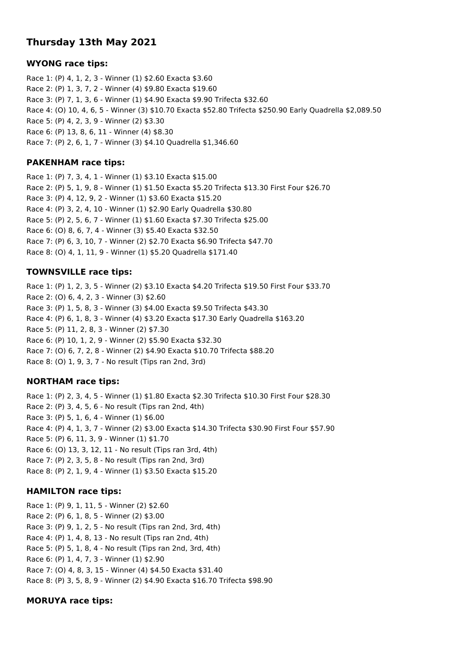# **Thursday 13th May 2021**

#### **WYONG race tips:**

Race 1: (P) 4, 1, 2, 3 - Winner (1) \$2.60 Exacta \$3.60 Race 2: (P) 1, 3, 7, 2 - Winner (4) \$9.80 Exacta \$19.60 Race 3: (P) 7, 1, 3, 6 - Winner (1) \$4.90 Exacta \$9.90 Trifecta \$32.60 Race 4: (O) 10, 4, 6, 5 - Winner (3) \$10.70 Exacta \$52.80 Trifecta \$250.90 Early Quadrella \$2,089.50 Race 5: (P) 4, 2, 3, 9 - Winner (2) \$3.30 Race 6: (P) 13, 8, 6, 11 - Winner (4) \$8.30 Race 7: (P) 2, 6, 1, 7 - Winner (3) \$4.10 Quadrella \$1,346.60

## **PAKENHAM race tips:**

Race 1: (P) 7, 3, 4, 1 - Winner (1) \$3.10 Exacta \$15.00 Race 2: (P) 5, 1, 9, 8 - Winner (1) \$1.50 Exacta \$5.20 Trifecta \$13.30 First Four \$26.70 Race 3: (P) 4, 12, 9, 2 - Winner (1) \$3.60 Exacta \$15.20 Race 4: (P) 3, 2, 4, 10 - Winner (1) \$2.90 Early Quadrella \$30.80 Race 5: (P) 2, 5, 6, 7 - Winner (1) \$1.60 Exacta \$7.30 Trifecta \$25.00 Race 6: (O) 8, 6, 7, 4 - Winner (3) \$5.40 Exacta \$32.50 Race 7: (P) 6, 3, 10, 7 - Winner (2) \$2.70 Exacta \$6.90 Trifecta \$47.70 Race 8: (O) 4, 1, 11, 9 - Winner (1) \$5.20 Quadrella \$171.40

## **TOWNSVILLE race tips:**

Race 1: (P) 1, 2, 3, 5 - Winner (2) \$3.10 Exacta \$4.20 Trifecta \$19.50 First Four \$33.70 Race 2: (O) 6, 4, 2, 3 - Winner (3) \$2.60 Race 3: (P) 1, 5, 8, 3 - Winner (3) \$4.00 Exacta \$9.50 Trifecta \$43.30 Race 4: (P) 6, 1, 8, 3 - Winner (4) \$3.20 Exacta \$17.30 Early Quadrella \$163.20 Race 5: (P) 11, 2, 8, 3 - Winner (2) \$7.30 Race 6: (P) 10, 1, 2, 9 - Winner (2) \$5.90 Exacta \$32.30 Race 7: (O) 6, 7, 2, 8 - Winner (2) \$4.90 Exacta \$10.70 Trifecta \$88.20 Race 8: (O) 1, 9, 3, 7 - No result (Tips ran 2nd, 3rd)

## **NORTHAM race tips:**

Race 1: (P) 2, 3, 4, 5 - Winner (1) \$1.80 Exacta \$2.30 Trifecta \$10.30 First Four \$28.30 Race 2: (P) 3, 4, 5, 6 - No result (Tips ran 2nd, 4th) Race 3: (P) 5, 1, 6, 4 - Winner (1) \$6.00 Race 4: (P) 4, 1, 3, 7 - Winner (2) \$3.00 Exacta \$14.30 Trifecta \$30.90 First Four \$57.90 Race 5: (P) 6, 11, 3, 9 - Winner (1) \$1.70 Race 6: (O) 13, 3, 12, 11 - No result (Tips ran 3rd, 4th) Race 7: (P) 2, 3, 5, 8 - No result (Tips ran 2nd, 3rd) Race 8: (P) 2, 1, 9, 4 - Winner (1) \$3.50 Exacta \$15.20

## **HAMILTON race tips:**

Race 1: (P) 9, 1, 11, 5 - Winner (2) \$2.60 Race 2: (P) 6, 1, 8, 5 - Winner (2) \$3.00 Race 3: (P) 9, 1, 2, 5 - No result (Tips ran 2nd, 3rd, 4th) Race 4: (P) 1, 4, 8, 13 - No result (Tips ran 2nd, 4th) Race 5: (P) 5, 1, 8, 4 - No result (Tips ran 2nd, 3rd, 4th) Race 6: (P) 1, 4, 7, 3 - Winner (1) \$2.90 Race 7: (O) 4, 8, 3, 15 - Winner (4) \$4.50 Exacta \$31.40 Race 8: (P) 3, 5, 8, 9 - Winner (2) \$4.90 Exacta \$16.70 Trifecta \$98.90

## **MORUYA race tips:**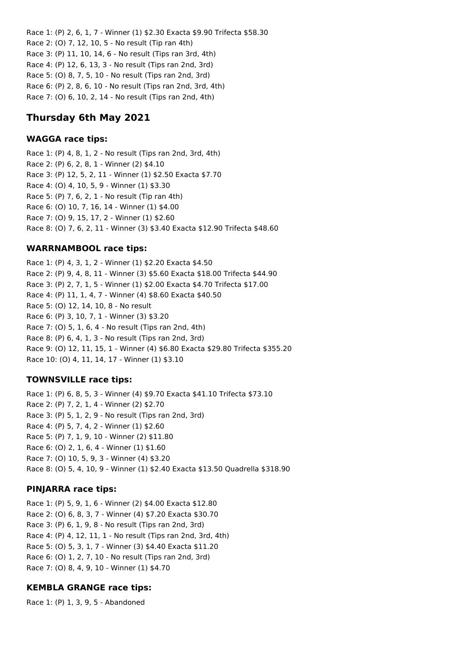Race 1: (P) 2, 6, 1, 7 - Winner (1) \$2.30 Exacta \$9.90 Trifecta \$58.30 Race 2: (O) 7, 12, 10, 5 - No result (Tip ran 4th) Race 3: (P) 11, 10, 14, 6 - No result (Tips ran 3rd, 4th) Race 4: (P) 12, 6, 13, 3 - No result (Tips ran 2nd, 3rd) Race 5: (O) 8, 7, 5, 10 - No result (Tips ran 2nd, 3rd) Race 6: (P) 2, 8, 6, 10 - No result (Tips ran 2nd, 3rd, 4th) Race 7: (O) 6, 10, 2, 14 - No result (Tips ran 2nd, 4th)

# **Thursday 6th May 2021**

## **WAGGA race tips:**

Race 1: (P) 4, 8, 1, 2 - No result (Tips ran 2nd, 3rd, 4th) Race 2: (P) 6, 2, 8, 1 - Winner (2) \$4.10 Race 3: (P) 12, 5, 2, 11 - Winner (1) \$2.50 Exacta \$7.70 Race 4: (O) 4, 10, 5, 9 - Winner (1) \$3.30 Race 5: (P) 7, 6, 2, 1 - No result (Tip ran 4th) Race 6: (O) 10, 7, 16, 14 - Winner (1) \$4.00 Race 7: (O) 9, 15, 17, 2 - Winner (1) \$2.60 Race 8: (O) 7, 6, 2, 11 - Winner (3) \$3.40 Exacta \$12.90 Trifecta \$48.60

## **WARRNAMBOOL race tips:**

Race 1: (P) 4, 3, 1, 2 - Winner (1) \$2.20 Exacta \$4.50 Race 2: (P) 9, 4, 8, 11 - Winner (3) \$5.60 Exacta \$18.00 Trifecta \$44.90 Race 3: (P) 2, 7, 1, 5 - Winner (1) \$2.00 Exacta \$4.70 Trifecta \$17.00 Race 4: (P) 11, 1, 4, 7 - Winner (4) \$8.60 Exacta \$40.50 Race 5: (O) 12, 14, 10, 8 - No result Race 6: (P) 3, 10, 7, 1 - Winner (3) \$3.20 Race 7: (O) 5, 1, 6, 4 - No result (Tips ran 2nd, 4th) Race 8: (P) 6, 4, 1, 3 - No result (Tips ran 2nd, 3rd) Race 9: (O) 12, 11, 15, 1 - Winner (4) \$6.80 Exacta \$29.80 Trifecta \$355.20 Race 10: (O) 4, 11, 14, 17 - Winner (1) \$3.10

## **TOWNSVILLE race tips:**

Race 1: (P) 6, 8, 5, 3 - Winner (4) \$9.70 Exacta \$41.10 Trifecta \$73.10 Race 2: (P) 7, 2, 1, 4 - Winner (2) \$2.70 Race 3: (P) 5, 1, 2, 9 - No result (Tips ran 2nd, 3rd) Race 4: (P) 5, 7, 4, 2 - Winner (1) \$2.60 Race 5: (P) 7, 1, 9, 10 - Winner (2) \$11.80 Race 6: (O) 2, 1, 6, 4 - Winner (1) \$1.60 Race 7: (O) 10, 5, 9, 3 - Winner (4) \$3.20 Race 8: (O) 5, 4, 10, 9 - Winner (1) \$2.40 Exacta \$13.50 Quadrella \$318.90

## **PINJARRA race tips:**

Race 1: (P) 5, 9, 1, 6 - Winner (2) \$4.00 Exacta \$12.80 Race 2: (O) 6, 8, 3, 7 - Winner (4) \$7.20 Exacta \$30.70 Race 3: (P) 6, 1, 9, 8 - No result (Tips ran 2nd, 3rd) Race 4: (P) 4, 12, 11, 1 - No result (Tips ran 2nd, 3rd, 4th) Race 5: (O) 5, 3, 1, 7 - Winner (3) \$4.40 Exacta \$11.20 Race 6: (O) 1, 2, 7, 10 - No result (Tips ran 2nd, 3rd) Race 7: (O) 8, 4, 9, 10 - Winner (1) \$4.70

# **KEMBLA GRANGE race tips:**

Race 1: (P) 1, 3, 9, 5 - Abandoned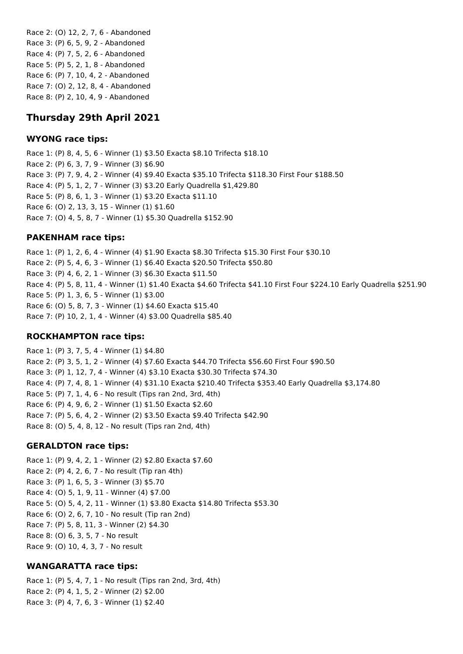Race 2: (O) 12, 2, 7, 6 - Abandoned Race 3: (P) 6, 5, 9, 2 - Abandoned Race 4: (P) 7, 5, 2, 6 - Abandoned Race 5: (P) 5, 2, 1, 8 - Abandoned Race 6: (P) 7, 10, 4, 2 - Abandoned Race 7: (O) 2, 12, 8, 4 - Abandoned Race 8: (P) 2, 10, 4, 9 - Abandoned

# **Thursday 29th April 2021**

#### **WYONG race tips:**

Race 1: (P) 8, 4, 5, 6 - Winner (1) \$3.50 Exacta \$8.10 Trifecta \$18.10 Race 2: (P) 6, 3, 7, 9 - Winner (3) \$6.90 Race 3: (P) 7, 9, 4, 2 - Winner (4) \$9.40 Exacta \$35.10 Trifecta \$118.30 First Four \$188.50 Race 4: (P) 5, 1, 2, 7 - Winner (3) \$3.20 Early Quadrella \$1,429.80 Race 5: (P) 8, 6, 1, 3 - Winner (1) \$3.20 Exacta \$11.10 Race 6: (O) 2, 13, 3, 15 - Winner (1) \$1.60 Race 7: (O) 4, 5, 8, 7 - Winner (1) \$5.30 Quadrella \$152.90

#### **PAKENHAM race tips:**

Race 1: (P) 1, 2, 6, 4 - Winner (4) \$1.90 Exacta \$8.30 Trifecta \$15.30 First Four \$30.10 Race 2: (P) 5, 4, 6, 3 - Winner (1) \$6.40 Exacta \$20.50 Trifecta \$50.80 Race 3: (P) 4, 6, 2, 1 - Winner (3) \$6.30 Exacta \$11.50 Race 4: (P) 5, 8, 11, 4 - Winner (1) \$1.40 Exacta \$4.60 Trifecta \$41.10 First Four \$224.10 Early Quadrella \$251.90 Race 5: (P) 1, 3, 6, 5 - Winner (1) \$3.00 Race 6: (O) 5, 8, 7, 3 - Winner (1) \$4.60 Exacta \$15.40 Race 7: (P) 10, 2, 1, 4 - Winner (4) \$3.00 Quadrella \$85.40

#### **ROCKHAMPTON race tips:**

Race 1: (P) 3, 7, 5, 4 - Winner (1) \$4.80 Race 2: (P) 3, 5, 1, 2 - Winner (4) \$7.60 Exacta \$44.70 Trifecta \$56.60 First Four \$90.50 Race 3: (P) 1, 12, 7, 4 - Winner (4) \$3.10 Exacta \$30.30 Trifecta \$74.30 Race 4: (P) 7, 4, 8, 1 - Winner (4) \$31.10 Exacta \$210.40 Trifecta \$353.40 Early Quadrella \$3,174.80 Race 5: (P) 7, 1, 4, 6 - No result (Tips ran 2nd, 3rd, 4th) Race 6: (P) 4, 9, 6, 2 - Winner (1) \$1.50 Exacta \$2.60 Race 7: (P) 5, 6, 4, 2 - Winner (2) \$3.50 Exacta \$9.40 Trifecta \$42.90 Race 8: (O) 5, 4, 8, 12 - No result (Tips ran 2nd, 4th)

#### **GERALDTON race tips:**

Race 1: (P) 9, 4, 2, 1 - Winner (2) \$2.80 Exacta \$7.60 Race 2: (P) 4, 2, 6, 7 - No result (Tip ran 4th) Race 3: (P) 1, 6, 5, 3 - Winner (3) \$5.70 Race 4: (O) 5, 1, 9, 11 - Winner (4) \$7.00 Race 5: (O) 5, 4, 2, 11 - Winner (1) \$3.80 Exacta \$14.80 Trifecta \$53.30 Race 6: (O) 2, 6, 7, 10 - No result (Tip ran 2nd) Race 7: (P) 5, 8, 11, 3 - Winner (2) \$4.30 Race 8: (O) 6, 3, 5, 7 - No result Race 9: (O) 10, 4, 3, 7 - No result

#### **WANGARATTA race tips:**

Race 1: (P) 5, 4, 7, 1 - No result (Tips ran 2nd, 3rd, 4th) Race 2: (P) 4, 1, 5, 2 - Winner (2) \$2.00 Race 3: (P) 4, 7, 6, 3 - Winner (1) \$2.40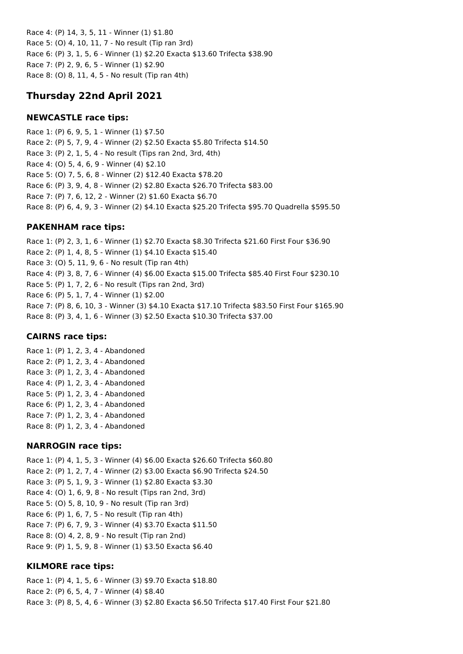Race 4: (P) 14, 3, 5, 11 - Winner (1) \$1.80 Race 5: (O) 4, 10, 11, 7 - No result (Tip ran 3rd) Race 6: (P) 3, 1, 5, 6 - Winner (1) \$2.20 Exacta \$13.60 Trifecta \$38.90 Race 7: (P) 2, 9, 6, 5 - Winner (1) \$2.90 Race 8: (O) 8, 11, 4, 5 - No result (Tip ran 4th)

# **Thursday 22nd April 2021**

#### **NEWCASTLE race tips:**

Race 1: (P) 6, 9, 5, 1 - Winner (1) \$7.50 Race 2: (P) 5, 7, 9, 4 - Winner (2) \$2.50 Exacta \$5.80 Trifecta \$14.50 Race 3: (P) 2, 1, 5, 4 - No result (Tips ran 2nd, 3rd, 4th) Race 4: (O) 5, 4, 6, 9 - Winner (4) \$2.10 Race 5: (O) 7, 5, 6, 8 - Winner (2) \$12.40 Exacta \$78.20 Race 6: (P) 3, 9, 4, 8 - Winner (2) \$2.80 Exacta \$26.70 Trifecta \$83.00 Race 7: (P) 7, 6, 12, 2 - Winner (2) \$1.60 Exacta \$6.70 Race 8: (P) 6, 4, 9, 3 - Winner (2) \$4.10 Exacta \$25.20 Trifecta \$95.70 Quadrella \$595.50

#### **PAKENHAM race tips:**

Race 1: (P) 2, 3, 1, 6 - Winner (1) \$2.70 Exacta \$8.30 Trifecta \$21.60 First Four \$36.90 Race 2: (P) 1, 4, 8, 5 - Winner (1) \$4.10 Exacta \$15.40 Race 3: (O) 5, 11, 9, 6 - No result (Tip ran 4th) Race 4: (P) 3, 8, 7, 6 - Winner (4) \$6.00 Exacta \$15.00 Trifecta \$85.40 First Four \$230.10 Race 5: (P) 1, 7, 2, 6 - No result (Tips ran 2nd, 3rd) Race 6: (P) 5, 1, 7, 4 - Winner (1) \$2.00 Race 7: (P) 8, 6, 10, 3 - Winner (3) \$4.10 Exacta \$17.10 Trifecta \$83.50 First Four \$165.90 Race 8: (P) 3, 4, 1, 6 - Winner (3) \$2.50 Exacta \$10.30 Trifecta \$37.00

#### **CAIRNS race tips:**

Race 1: (P) 1, 2, 3, 4 - Abandoned Race 2: (P) 1, 2, 3, 4 - Abandoned Race 3: (P) 1, 2, 3, 4 - Abandoned Race 4: (P) 1, 2, 3, 4 - Abandoned Race 5: (P) 1, 2, 3, 4 - Abandoned Race 6: (P) 1, 2, 3, 4 - Abandoned Race 7: (P) 1, 2, 3, 4 - Abandoned Race 8: (P) 1, 2, 3, 4 - Abandoned

#### **NARROGIN race tips:**

Race 1: (P) 4, 1, 5, 3 - Winner (4) \$6.00 Exacta \$26.60 Trifecta \$60.80 Race 2: (P) 1, 2, 7, 4 - Winner (2) \$3.00 Exacta \$6.90 Trifecta \$24.50 Race 3: (P) 5, 1, 9, 3 - Winner (1) \$2.80 Exacta \$3.30 Race 4: (O) 1, 6, 9, 8 - No result (Tips ran 2nd, 3rd) Race 5: (O) 5, 8, 10, 9 - No result (Tip ran 3rd) Race 6: (P) 1, 6, 7, 5 - No result (Tip ran 4th) Race 7: (P) 6, 7, 9, 3 - Winner (4) \$3.70 Exacta \$11.50 Race 8: (O) 4, 2, 8, 9 - No result (Tip ran 2nd) Race 9: (P) 1, 5, 9, 8 - Winner (1) \$3.50 Exacta \$6.40

## **KILMORE race tips:**

Race 1: (P) 4, 1, 5, 6 - Winner (3) \$9.70 Exacta \$18.80 Race 2: (P) 6, 5, 4, 7 - Winner (4) \$8.40 Race 3: (P) 8, 5, 4, 6 - Winner (3) \$2.80 Exacta \$6.50 Trifecta \$17.40 First Four \$21.80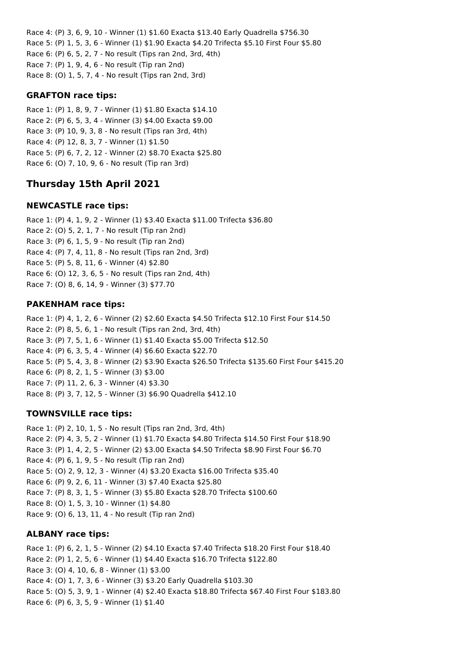Race 4: (P) 3, 6, 9, 10 - Winner (1) \$1.60 Exacta \$13.40 Early Quadrella \$756.30 Race 5: (P) 1, 5, 3, 6 - Winner (1) \$1.90 Exacta \$4.20 Trifecta \$5.10 First Four \$5.80 Race 6: (P) 6, 5, 2, 7 - No result (Tips ran 2nd, 3rd, 4th) Race 7: (P) 1, 9, 4, 6 - No result (Tip ran 2nd) Race 8: (O) 1, 5, 7, 4 - No result (Tips ran 2nd, 3rd)

#### **GRAFTON race tips:**

Race 1: (P) 1, 8, 9, 7 - Winner (1) \$1.80 Exacta \$14.10 Race 2: (P) 6, 5, 3, 4 - Winner (3) \$4.00 Exacta \$9.00 Race 3: (P) 10, 9, 3, 8 - No result (Tips ran 3rd, 4th) Race 4: (P) 12, 8, 3, 7 - Winner (1) \$1.50 Race 5: (P) 6, 7, 2, 12 - Winner (2) \$8.70 Exacta \$25.80 Race 6: (O) 7, 10, 9, 6 - No result (Tip ran 3rd)

# **Thursday 15th April 2021**

## **NEWCASTLE race tips:**

Race 1: (P) 4, 1, 9, 2 - Winner (1) \$3.40 Exacta \$11.00 Trifecta \$36.80 Race 2: (O) 5, 2, 1, 7 - No result (Tip ran 2nd) Race 3: (P) 6, 1, 5, 9 - No result (Tip ran 2nd) Race 4: (P) 7, 4, 11, 8 - No result (Tips ran 2nd, 3rd) Race 5: (P) 5, 8, 11, 6 - Winner (4) \$2.80 Race 6: (O) 12, 3, 6, 5 - No result (Tips ran 2nd, 4th) Race 7: (O) 8, 6, 14, 9 - Winner (3) \$77.70

## **PAKENHAM race tips:**

Race 1: (P) 4, 1, 2, 6 - Winner (2) \$2.60 Exacta \$4.50 Trifecta \$12.10 First Four \$14.50 Race 2: (P) 8, 5, 6, 1 - No result (Tips ran 2nd, 3rd, 4th) Race 3: (P) 7, 5, 1, 6 - Winner (1) \$1.40 Exacta \$5.00 Trifecta \$12.50 Race 4: (P) 6, 3, 5, 4 - Winner (4) \$6.60 Exacta \$22.70 Race 5: (P) 5, 4, 3, 8 - Winner (2) \$3.90 Exacta \$26.50 Trifecta \$135.60 First Four \$415.20 Race 6: (P) 8, 2, 1, 5 - Winner (3) \$3.00 Race 7: (P) 11, 2, 6, 3 - Winner (4) \$3.30 Race 8: (P) 3, 7, 12, 5 - Winner (3) \$6.90 Quadrella \$412.10

## **TOWNSVILLE race tips:**

Race 1: (P) 2, 10, 1, 5 - No result (Tips ran 2nd, 3rd, 4th) Race 2: (P) 4, 3, 5, 2 - Winner (1) \$1.70 Exacta \$4.80 Trifecta \$14.50 First Four \$18.90 Race 3: (P) 1, 4, 2, 5 - Winner (2) \$3.00 Exacta \$4.50 Trifecta \$8.90 First Four \$6.70 Race 4: (P) 6, 1, 9, 5 - No result (Tip ran 2nd) Race 5: (O) 2, 9, 12, 3 - Winner (4) \$3.20 Exacta \$16.00 Trifecta \$35.40 Race 6: (P) 9, 2, 6, 11 - Winner (3) \$7.40 Exacta \$25.80 Race 7: (P) 8, 3, 1, 5 - Winner (3) \$5.80 Exacta \$28.70 Trifecta \$100.60 Race 8: (O) 1, 5, 3, 10 - Winner (1) \$4.80 Race 9: (O) 6, 13, 11, 4 - No result (Tip ran 2nd)

#### **ALBANY race tips:**

Race 1: (P) 6, 2, 1, 5 - Winner (2) \$4.10 Exacta \$7.40 Trifecta \$18.20 First Four \$18.40 Race 2: (P) 1, 2, 5, 6 - Winner (1) \$4.40 Exacta \$16.70 Trifecta \$122.80 Race 3: (O) 4, 10, 6, 8 - Winner (1) \$3.00 Race 4: (O) 1, 7, 3, 6 - Winner (3) \$3.20 Early Quadrella \$103.30 Race 5: (O) 5, 3, 9, 1 - Winner (4) \$2.40 Exacta \$18.80 Trifecta \$67.40 First Four \$183.80 Race 6: (P) 6, 3, 5, 9 - Winner (1) \$1.40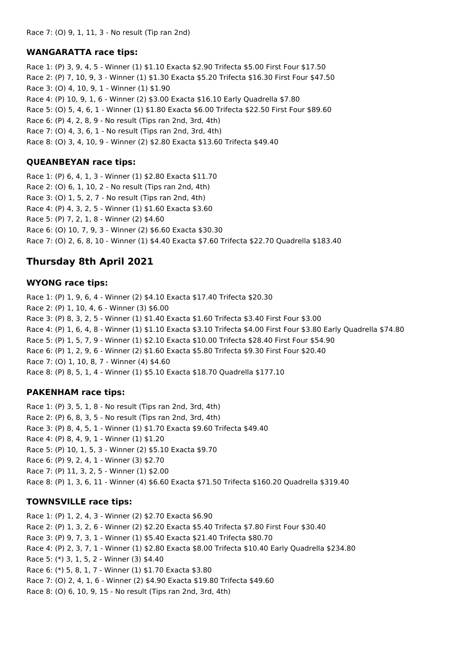#### **WANGARATTA race tips:**

Race 1: (P) 3, 9, 4, 5 - Winner (1) \$1.10 Exacta \$2.90 Trifecta \$5.00 First Four \$17.50 Race 2: (P) 7, 10, 9, 3 - Winner (1) \$1.30 Exacta \$5.20 Trifecta \$16.30 First Four \$47.50 Race 3: (O) 4, 10, 9, 1 - Winner (1) \$1.90 Race 4: (P) 10, 9, 1, 6 - Winner (2) \$3.00 Exacta \$16.10 Early Quadrella \$7.80 Race 5: (O) 5, 4, 6, 1 - Winner (1) \$1.80 Exacta \$6.00 Trifecta \$22.50 First Four \$89.60 Race 6: (P) 4, 2, 8, 9 - No result (Tips ran 2nd, 3rd, 4th) Race 7: (O) 4, 3, 6, 1 - No result (Tips ran 2nd, 3rd, 4th) Race 8: (O) 3, 4, 10, 9 - Winner (2) \$2.80 Exacta \$13.60 Trifecta \$49.40

#### **QUEANBEYAN race tips:**

Race 1: (P) 6, 4, 1, 3 - Winner (1) \$2.80 Exacta \$11.70 Race 2: (O) 6, 1, 10, 2 - No result (Tips ran 2nd, 4th) Race 3: (O) 1, 5, 2, 7 - No result (Tips ran 2nd, 4th) Race 4: (P) 4, 3, 2, 5 - Winner (1) \$1.60 Exacta \$3.60 Race 5: (P) 7, 2, 1, 8 - Winner (2) \$4.60 Race 6: (O) 10, 7, 9, 3 - Winner (2) \$6.60 Exacta \$30.30 Race 7: (O) 2, 6, 8, 10 - Winner (1) \$4.40 Exacta \$7.60 Trifecta \$22.70 Quadrella \$183.40

## **Thursday 8th April 2021**

#### **WYONG race tips:**

Race 1: (P) 1, 9, 6, 4 - Winner (2) \$4.10 Exacta \$17.40 Trifecta \$20.30 Race 2: (P) 1, 10, 4, 6 - Winner (3) \$6.00 Race 3: (P) 8, 3, 2, 5 - Winner (1) \$1.40 Exacta \$1.60 Trifecta \$3.40 First Four \$3.00 Race 4: (P) 1, 6, 4, 8 - Winner (1) \$1.10 Exacta \$3.10 Trifecta \$4.00 First Four \$3.80 Early Quadrella \$74.80 Race 5: (P) 1, 5, 7, 9 - Winner (1) \$2.10 Exacta \$10.00 Trifecta \$28.40 First Four \$54.90 Race 6: (P) 1, 2, 9, 6 - Winner (2) \$1.60 Exacta \$5.80 Trifecta \$9.30 First Four \$20.40 Race 7: (O) 1, 10, 8, 7 - Winner (4) \$4.60 Race 8: (P) 8, 5, 1, 4 - Winner (1) \$5.10 Exacta \$18.70 Quadrella \$177.10

#### **PAKENHAM race tips:**

Race 1: (P) 3, 5, 1, 8 - No result (Tips ran 2nd, 3rd, 4th) Race 2: (P) 6, 8, 3, 5 - No result (Tips ran 2nd, 3rd, 4th) Race 3: (P) 8, 4, 5, 1 - Winner (1) \$1.70 Exacta \$9.60 Trifecta \$49.40 Race 4: (P) 8, 4, 9, 1 - Winner (1) \$1.20 Race 5: (P) 10, 1, 5, 3 - Winner (2) \$5.10 Exacta \$9.70 Race 6: (P) 9, 2, 4, 1 - Winner (3) \$2.70 Race 7: (P) 11, 3, 2, 5 - Winner (1) \$2.00 Race 8: (P) 1, 3, 6, 11 - Winner (4) \$6.60 Exacta \$71.50 Trifecta \$160.20 Quadrella \$319.40

#### **TOWNSVILLE race tips:**

Race 1: (P) 1, 2, 4, 3 - Winner (2) \$2.70 Exacta \$6.90 Race 2: (P) 1, 3, 2, 6 - Winner (2) \$2.20 Exacta \$5.40 Trifecta \$7.80 First Four \$30.40 Race 3: (P) 9, 7, 3, 1 - Winner (1) \$5.40 Exacta \$21.40 Trifecta \$80.70 Race 4: (P) 2, 3, 7, 1 - Winner (1) \$2.80 Exacta \$8.00 Trifecta \$10.40 Early Quadrella \$234.80 Race 5: (\*) 3, 1, 5, 2 - Winner (3) \$4.40 Race 6: (\*) 5, 8, 1, 7 - Winner (1) \$1.70 Exacta \$3.80 Race 7: (O) 2, 4, 1, 6 - Winner (2) \$4.90 Exacta \$19.80 Trifecta \$49.60 Race 8: (O) 6, 10, 9, 15 - No result (Tips ran 2nd, 3rd, 4th)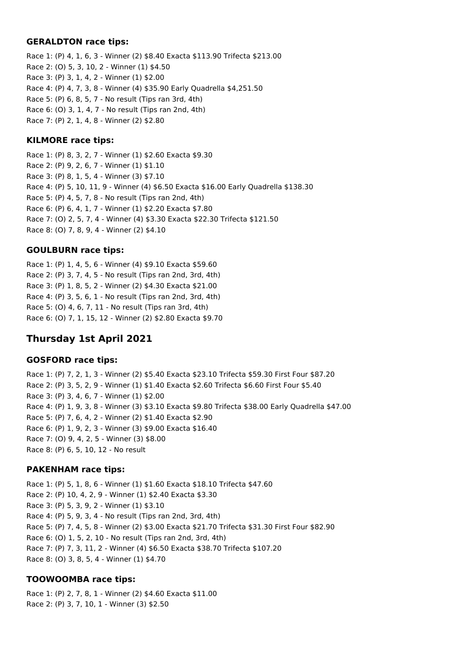#### **GERALDTON race tips:**

Race 1: (P) 4, 1, 6, 3 - Winner (2) \$8.40 Exacta \$113.90 Trifecta \$213.00 Race 2: (O) 5, 3, 10, 2 - Winner (1) \$4.50 Race 3: (P) 3, 1, 4, 2 - Winner (1) \$2.00 Race 4: (P) 4, 7, 3, 8 - Winner (4) \$35.90 Early Quadrella \$4,251.50 Race 5: (P) 6, 8, 5, 7 - No result (Tips ran 3rd, 4th) Race 6: (O) 3, 1, 4, 7 - No result (Tips ran 2nd, 4th) Race 7: (P) 2, 1, 4, 8 - Winner (2) \$2.80

#### **KILMORE race tips:**

Race 1: (P) 8, 3, 2, 7 - Winner (1) \$2.60 Exacta \$9.30 Race 2: (P) 9, 2, 6, 7 - Winner (1) \$1.10 Race 3: (P) 8, 1, 5, 4 - Winner (3) \$7.10 Race 4: (P) 5, 10, 11, 9 - Winner (4) \$6.50 Exacta \$16.00 Early Quadrella \$138.30 Race 5: (P) 4, 5, 7, 8 - No result (Tips ran 2nd, 4th) Race 6: (P) 6, 4, 1, 7 - Winner (1) \$2.20 Exacta \$7.80 Race 7: (O) 2, 5, 7, 4 - Winner (4) \$3.30 Exacta \$22.30 Trifecta \$121.50 Race 8: (O) 7, 8, 9, 4 - Winner (2) \$4.10

#### **GOULBURN race tips:**

Race 1: (P) 1, 4, 5, 6 - Winner (4) \$9.10 Exacta \$59.60 Race 2: (P) 3, 7, 4, 5 - No result (Tips ran 2nd, 3rd, 4th) Race 3: (P) 1, 8, 5, 2 - Winner (2) \$4.30 Exacta \$21.00 Race 4: (P) 3, 5, 6, 1 - No result (Tips ran 2nd, 3rd, 4th) Race 5: (O) 4, 6, 7, 11 - No result (Tips ran 3rd, 4th) Race 6: (O) 7, 1, 15, 12 - Winner (2) \$2.80 Exacta \$9.70

# **Thursday 1st April 2021**

#### **GOSFORD race tips:**

Race 1: (P) 7, 2, 1, 3 - Winner (2) \$5.40 Exacta \$23.10 Trifecta \$59.30 First Four \$87.20 Race 2: (P) 3, 5, 2, 9 - Winner (1) \$1.40 Exacta \$2.60 Trifecta \$6.60 First Four \$5.40 Race 3: (P) 3, 4, 6, 7 - Winner (1) \$2.00 Race 4: (P) 1, 9, 3, 8 - Winner (3) \$3.10 Exacta \$9.80 Trifecta \$38.00 Early Quadrella \$47.00 Race 5: (P) 7, 6, 4, 2 - Winner (2) \$1.40 Exacta \$2.90 Race 6: (P) 1, 9, 2, 3 - Winner (3) \$9.00 Exacta \$16.40 Race 7: (O) 9, 4, 2, 5 - Winner (3) \$8.00 Race 8: (P) 6, 5, 10, 12 - No result

#### **PAKENHAM race tips:**

Race 1: (P) 5, 1, 8, 6 - Winner (1) \$1.60 Exacta \$18.10 Trifecta \$47.60 Race 2: (P) 10, 4, 2, 9 - Winner (1) \$2.40 Exacta \$3.30 Race 3: (P) 5, 3, 9, 2 - Winner (1) \$3.10 Race 4: (P) 5, 9, 3, 4 - No result (Tips ran 2nd, 3rd, 4th) Race 5: (P) 7, 4, 5, 8 - Winner (2) \$3.00 Exacta \$21.70 Trifecta \$31.30 First Four \$82.90 Race 6: (O) 1, 5, 2, 10 - No result (Tips ran 2nd, 3rd, 4th) Race 7: (P) 7, 3, 11, 2 - Winner (4) \$6.50 Exacta \$38.70 Trifecta \$107.20 Race 8: (O) 3, 8, 5, 4 - Winner (1) \$4.70

## **TOOWOOMBA race tips:**

Race 1: (P) 2, 7, 8, 1 - Winner (2) \$4.60 Exacta \$11.00 Race 2: (P) 3, 7, 10, 1 - Winner (3) \$2.50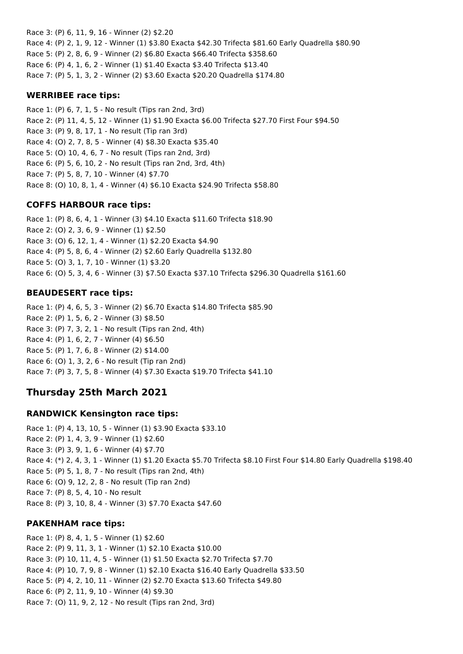Race 3: (P) 6, 11, 9, 16 - Winner (2) \$2.20 Race 4: (P) 2, 1, 9, 12 - Winner (1) \$3.80 Exacta \$42.30 Trifecta \$81.60 Early Quadrella \$80.90 Race 5: (P) 2, 8, 6, 9 - Winner (2) \$6.80 Exacta \$66.40 Trifecta \$358.60 Race 6: (P) 4, 1, 6, 2 - Winner (1) \$1.40 Exacta \$3.40 Trifecta \$13.40 Race 7: (P) 5, 1, 3, 2 - Winner (2) \$3.60 Exacta \$20.20 Quadrella \$174.80

#### **WERRIBEE race tips:**

Race 1: (P) 6, 7, 1, 5 - No result (Tips ran 2nd, 3rd) Race 2: (P) 11, 4, 5, 12 - Winner (1) \$1.90 Exacta \$6.00 Trifecta \$27.70 First Four \$94.50 Race 3: (P) 9, 8, 17, 1 - No result (Tip ran 3rd) Race 4: (O) 2, 7, 8, 5 - Winner (4) \$8.30 Exacta \$35.40 Race 5: (O) 10, 4, 6, 7 - No result (Tips ran 2nd, 3rd) Race 6: (P) 5, 6, 10, 2 - No result (Tips ran 2nd, 3rd, 4th) Race 7: (P) 5, 8, 7, 10 - Winner (4) \$7.70 Race 8: (O) 10, 8, 1, 4 - Winner (4) \$6.10 Exacta \$24.90 Trifecta \$58.80

## **COFFS HARBOUR race tips:**

Race 1: (P) 8, 6, 4, 1 - Winner (3) \$4.10 Exacta \$11.60 Trifecta \$18.90 Race 2: (O) 2, 3, 6, 9 - Winner (1) \$2.50 Race 3: (O) 6, 12, 1, 4 - Winner (1) \$2.20 Exacta \$4.90 Race 4: (P) 5, 8, 6, 4 - Winner (2) \$2.60 Early Quadrella \$132.80 Race 5: (O) 3, 1, 7, 10 - Winner (1) \$3.20 Race 6: (O) 5, 3, 4, 6 - Winner (3) \$7.50 Exacta \$37.10 Trifecta \$296.30 Quadrella \$161.60

## **BEAUDESERT race tips:**

Race 1: (P) 4, 6, 5, 3 - Winner (2) \$6.70 Exacta \$14.80 Trifecta \$85.90 Race 2: (P) 1, 5, 6, 2 - Winner (3) \$8.50 Race 3: (P) 7, 3, 2, 1 - No result (Tips ran 2nd, 4th) Race 4: (P) 1, 6, 2, 7 - Winner (4) \$6.50 Race 5: (P) 1, 7, 6, 8 - Winner (2) \$14.00 Race 6: (O) 1, 3, 2, 6 - No result (Tip ran 2nd) Race 7: (P) 3, 7, 5, 8 - Winner (4) \$7.30 Exacta \$19.70 Trifecta \$41.10

# **Thursday 25th March 2021**

#### **RANDWICK Kensington race tips:**

Race 1: (P) 4, 13, 10, 5 - Winner (1) \$3.90 Exacta \$33.10 Race 2: (P) 1, 4, 3, 9 - Winner (1) \$2.60 Race 3: (P) 3, 9, 1, 6 - Winner (4) \$7.70 Race 4: (\*) 2, 4, 3, 1 - Winner (1) \$1.20 Exacta \$5.70 Trifecta \$8.10 First Four \$14.80 Early Quadrella \$198.40 Race 5: (P) 5, 1, 8, 7 - No result (Tips ran 2nd, 4th) Race 6: (O) 9, 12, 2, 8 - No result (Tip ran 2nd) Race 7: (P) 8, 5, 4, 10 - No result Race 8: (P) 3, 10, 8, 4 - Winner (3) \$7.70 Exacta \$47.60

#### **PAKENHAM race tips:**

Race 1: (P) 8, 4, 1, 5 - Winner (1) \$2.60 Race 2: (P) 9, 11, 3, 1 - Winner (1) \$2.10 Exacta \$10.00 Race 3: (P) 10, 11, 4, 5 - Winner (1) \$1.50 Exacta \$2.70 Trifecta \$7.70 Race 4: (P) 10, 7, 9, 8 - Winner (1) \$2.10 Exacta \$16.40 Early Quadrella \$33.50 Race 5: (P) 4, 2, 10, 11 - Winner (2) \$2.70 Exacta \$13.60 Trifecta \$49.80 Race 6: (P) 2, 11, 9, 10 - Winner (4) \$9.30 Race 7: (O) 11, 9, 2, 12 - No result (Tips ran 2nd, 3rd)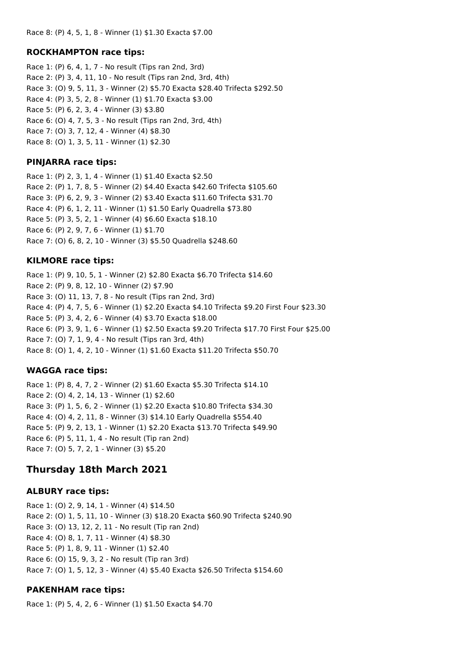#### **ROCKHAMPTON race tips:**

Race 1: (P) 6, 4, 1, 7 - No result (Tips ran 2nd, 3rd) Race 2: (P) 3, 4, 11, 10 - No result (Tips ran 2nd, 3rd, 4th) Race 3: (O) 9, 5, 11, 3 - Winner (2) \$5.70 Exacta \$28.40 Trifecta \$292.50 Race 4: (P) 3, 5, 2, 8 - Winner (1) \$1.70 Exacta \$3.00 Race 5: (P) 6, 2, 3, 4 - Winner (3) \$3.80 Race 6: (O) 4, 7, 5, 3 - No result (Tips ran 2nd, 3rd, 4th) Race 7: (O) 3, 7, 12, 4 - Winner (4) \$8.30 Race 8: (O) 1, 3, 5, 11 - Winner (1) \$2.30

#### **PINJARRA race tips:**

Race 1: (P) 2, 3, 1, 4 - Winner (1) \$1.40 Exacta \$2.50 Race 2: (P) 1, 7, 8, 5 - Winner (2) \$4.40 Exacta \$42.60 Trifecta \$105.60 Race 3: (P) 6, 2, 9, 3 - Winner (2) \$3.40 Exacta \$11.60 Trifecta \$31.70 Race 4: (P) 6, 1, 2, 11 - Winner (1) \$1.50 Early Quadrella \$73.80 Race 5: (P) 3, 5, 2, 1 - Winner (4) \$6.60 Exacta \$18.10 Race 6: (P) 2, 9, 7, 6 - Winner (1) \$1.70 Race 7: (O) 6, 8, 2, 10 - Winner (3) \$5.50 Quadrella \$248.60

#### **KILMORE race tips:**

Race 1: (P) 9, 10, 5, 1 - Winner (2) \$2.80 Exacta \$6.70 Trifecta \$14.60 Race 2: (P) 9, 8, 12, 10 - Winner (2) \$7.90 Race 3: (O) 11, 13, 7, 8 - No result (Tips ran 2nd, 3rd) Race 4: (P) 4, 7, 5, 6 - Winner (1) \$2.20 Exacta \$4.10 Trifecta \$9.20 First Four \$23.30 Race 5: (P) 3, 4, 2, 6 - Winner (4) \$3.70 Exacta \$18.00 Race 6: (P) 3, 9, 1, 6 - Winner (1) \$2.50 Exacta \$9.20 Trifecta \$17.70 First Four \$25.00 Race 7: (O) 7, 1, 9, 4 - No result (Tips ran 3rd, 4th) Race 8: (O) 1, 4, 2, 10 - Winner (1) \$1.60 Exacta \$11.20 Trifecta \$50.70

## **WAGGA race tips:**

Race 1: (P) 8, 4, 7, 2 - Winner (2) \$1.60 Exacta \$5.30 Trifecta \$14.10 Race 2: (O) 4, 2, 14, 13 - Winner (1) \$2.60 Race 3: (P) 1, 5, 6, 2 - Winner (1) \$2.20 Exacta \$10.80 Trifecta \$34.30 Race 4: (O) 4, 2, 11, 8 - Winner (3) \$14.10 Early Quadrella \$554.40 Race 5: (P) 9, 2, 13, 1 - Winner (1) \$2.20 Exacta \$13.70 Trifecta \$49.90 Race 6: (P) 5, 11, 1, 4 - No result (Tip ran 2nd) Race 7: (O) 5, 7, 2, 1 - Winner (3) \$5.20

# **Thursday 18th March 2021**

#### **ALBURY race tips:**

Race 1: (O) 2, 9, 14, 1 - Winner (4) \$14.50 Race 2: (O) 1, 5, 11, 10 - Winner (3) \$18.20 Exacta \$60.90 Trifecta \$240.90 Race 3: (O) 13, 12, 2, 11 - No result (Tip ran 2nd) Race 4: (O) 8, 1, 7, 11 - Winner (4) \$8.30 Race 5: (P) 1, 8, 9, 11 - Winner (1) \$2.40 Race 6: (O) 15, 9, 3, 2 - No result (Tip ran 3rd) Race 7: (O) 1, 5, 12, 3 - Winner (4) \$5.40 Exacta \$26.50 Trifecta \$154.60

## **PAKENHAM race tips:**

Race 1: (P) 5, 4, 2, 6 - Winner (1) \$1.50 Exacta \$4.70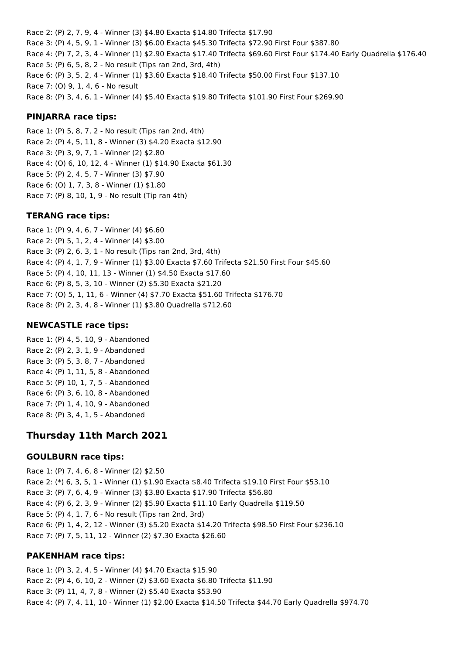Race 2: (P) 2, 7, 9, 4 - Winner (3) \$4.80 Exacta \$14.80 Trifecta \$17.90 Race 3: (P) 4, 5, 9, 1 - Winner (3) \$6.00 Exacta \$45.30 Trifecta \$72.90 First Four \$387.80 Race 4: (P) 7, 2, 3, 4 - Winner (1) \$2.90 Exacta \$17.40 Trifecta \$69.60 First Four \$174.40 Early Quadrella \$176.40 Race 5: (P) 6, 5, 8, 2 - No result (Tips ran 2nd, 3rd, 4th) Race 6: (P) 3, 5, 2, 4 - Winner (1) \$3.60 Exacta \$18.40 Trifecta \$50.00 First Four \$137.10 Race 7: (O) 9, 1, 4, 6 - No result Race 8: (P) 3, 4, 6, 1 - Winner (4) \$5.40 Exacta \$19.80 Trifecta \$101.90 First Four \$269.90

#### **PINJARRA race tips:**

Race 1: (P) 5, 8, 7, 2 - No result (Tips ran 2nd, 4th) Race 2: (P) 4, 5, 11, 8 - Winner (3) \$4.20 Exacta \$12.90 Race 3: (P) 3, 9, 7, 1 - Winner (2) \$2.80 Race 4: (O) 6, 10, 12, 4 - Winner (1) \$14.90 Exacta \$61.30 Race 5: (P) 2, 4, 5, 7 - Winner (3) \$7.90 Race 6: (O) 1, 7, 3, 8 - Winner (1) \$1.80 Race 7: (P) 8, 10, 1, 9 - No result (Tip ran 4th)

#### **TERANG race tips:**

Race 1: (P) 9, 4, 6, 7 - Winner (4) \$6.60 Race 2: (P) 5, 1, 2, 4 - Winner (4) \$3.00 Race 3: (P) 2, 6, 3, 1 - No result (Tips ran 2nd, 3rd, 4th) Race 4: (P) 4, 1, 7, 9 - Winner (1) \$3.00 Exacta \$7.60 Trifecta \$21.50 First Four \$45.60 Race 5: (P) 4, 10, 11, 13 - Winner (1) \$4.50 Exacta \$17.60 Race 6: (P) 8, 5, 3, 10 - Winner (2) \$5.30 Exacta \$21.20 Race 7: (O) 5, 1, 11, 6 - Winner (4) \$7.70 Exacta \$51.60 Trifecta \$176.70 Race 8: (P) 2, 3, 4, 8 - Winner (1) \$3.80 Quadrella \$712.60

#### **NEWCASTLE race tips:**

Race 1: (P) 4, 5, 10, 9 - Abandoned Race 2: (P) 2, 3, 1, 9 - Abandoned Race 3: (P) 5, 3, 8, 7 - Abandoned Race 4: (P) 1, 11, 5, 8 - Abandoned Race 5: (P) 10, 1, 7, 5 - Abandoned Race 6: (P) 3, 6, 10, 8 - Abandoned Race 7: (P) 1, 4, 10, 9 - Abandoned Race 8: (P) 3, 4, 1, 5 - Abandoned

# **Thursday 11th March 2021**

#### **GOULBURN race tips:**

Race 1: (P) 7, 4, 6, 8 - Winner (2) \$2.50 Race 2: (\*) 6, 3, 5, 1 - Winner (1) \$1.90 Exacta \$8.40 Trifecta \$19.10 First Four \$53.10 Race 3: (P) 7, 6, 4, 9 - Winner (3) \$3.80 Exacta \$17.90 Trifecta \$56.80 Race 4: (P) 6, 2, 3, 9 - Winner (2) \$5.90 Exacta \$11.10 Early Quadrella \$119.50 Race 5: (P) 4, 1, 7, 6 - No result (Tips ran 2nd, 3rd) Race 6: (P) 1, 4, 2, 12 - Winner (3) \$5.20 Exacta \$14.20 Trifecta \$98.50 First Four \$236.10 Race 7: (P) 7, 5, 11, 12 - Winner (2) \$7.30 Exacta \$26.60

## **PAKENHAM race tips:**

Race 1: (P) 3, 2, 4, 5 - Winner (4) \$4.70 Exacta \$15.90 Race 2: (P) 4, 6, 10, 2 - Winner (2) \$3.60 Exacta \$6.80 Trifecta \$11.90 Race 3: (P) 11, 4, 7, 8 - Winner (2) \$5.40 Exacta \$53.90 Race 4: (P) 7, 4, 11, 10 - Winner (1) \$2.00 Exacta \$14.50 Trifecta \$44.70 Early Quadrella \$974.70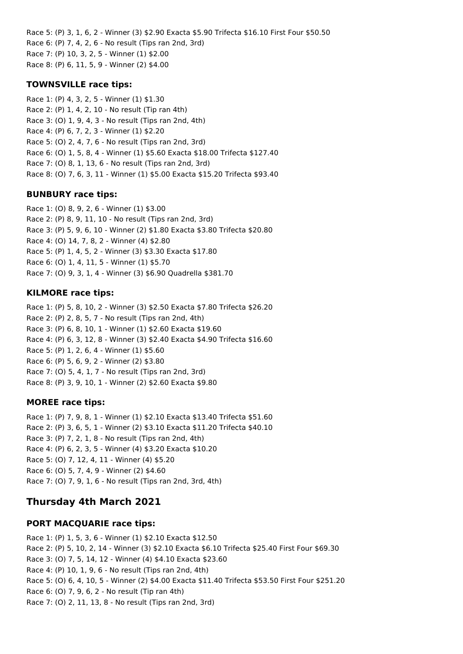Race 5: (P) 3, 1, 6, 2 - Winner (3) \$2.90 Exacta \$5.90 Trifecta \$16.10 First Four \$50.50 Race 6: (P) 7, 4, 2, 6 - No result (Tips ran 2nd, 3rd) Race 7: (P) 10, 3, 2, 5 - Winner (1) \$2.00 Race 8: (P) 6, 11, 5, 9 - Winner (2) \$4.00

#### **TOWNSVILLE race tips:**

Race 1: (P) 4, 3, 2, 5 - Winner (1) \$1.30 Race 2: (P) 1, 4, 2, 10 - No result (Tip ran 4th) Race 3: (O) 1, 9, 4, 3 - No result (Tips ran 2nd, 4th) Race 4: (P) 6, 7, 2, 3 - Winner (1) \$2.20 Race 5: (O) 2, 4, 7, 6 - No result (Tips ran 2nd, 3rd) Race 6: (O) 1, 5, 8, 4 - Winner (1) \$5.60 Exacta \$18.00 Trifecta \$127.40 Race 7: (O) 8, 1, 13, 6 - No result (Tips ran 2nd, 3rd) Race 8: (O) 7, 6, 3, 11 - Winner (1) \$5.00 Exacta \$15.20 Trifecta \$93.40

#### **BUNBURY race tips:**

Race 1: (O) 8, 9, 2, 6 - Winner (1) \$3.00 Race 2: (P) 8, 9, 11, 10 - No result (Tips ran 2nd, 3rd) Race 3: (P) 5, 9, 6, 10 - Winner (2) \$1.80 Exacta \$3.80 Trifecta \$20.80 Race 4: (O) 14, 7, 8, 2 - Winner (4) \$2.80 Race 5: (P) 1, 4, 5, 2 - Winner (3) \$3.30 Exacta \$17.80 Race 6: (O) 1, 4, 11, 5 - Winner (1) \$5.70 Race 7: (O) 9, 3, 1, 4 - Winner (3) \$6.90 Quadrella \$381.70

#### **KILMORE race tips:**

Race 1: (P) 5, 8, 10, 2 - Winner (3) \$2.50 Exacta \$7.80 Trifecta \$26.20 Race 2: (P) 2, 8, 5, 7 - No result (Tips ran 2nd, 4th) Race 3: (P) 6, 8, 10, 1 - Winner (1) \$2.60 Exacta \$19.60 Race 4: (P) 6, 3, 12, 8 - Winner (3) \$2.40 Exacta \$4.90 Trifecta \$16.60 Race 5: (P) 1, 2, 6, 4 - Winner (1) \$5.60 Race 6: (P) 5, 6, 9, 2 - Winner (2) \$3.80 Race 7: (O) 5, 4, 1, 7 - No result (Tips ran 2nd, 3rd) Race 8: (P) 3, 9, 10, 1 - Winner (2) \$2.60 Exacta \$9.80

#### **MOREE race tips:**

Race 1: (P) 7, 9, 8, 1 - Winner (1) \$2.10 Exacta \$13.40 Trifecta \$51.60 Race 2: (P) 3, 6, 5, 1 - Winner (2) \$3.10 Exacta \$11.20 Trifecta \$40.10 Race 3: (P) 7, 2, 1, 8 - No result (Tips ran 2nd, 4th) Race 4: (P) 6, 2, 3, 5 - Winner (4) \$3.20 Exacta \$10.20 Race 5: (O) 7, 12, 4, 11 - Winner (4) \$5.20 Race 6: (O) 5, 7, 4, 9 - Winner (2) \$4.60 Race 7: (O) 7, 9, 1, 6 - No result (Tips ran 2nd, 3rd, 4th)

# **Thursday 4th March 2021**

#### **PORT MACQUARIE race tips:**

Race 1: (P) 1, 5, 3, 6 - Winner (1) \$2.10 Exacta \$12.50 Race 2: (P) 5, 10, 2, 14 - Winner (3) \$2.10 Exacta \$6.10 Trifecta \$25.40 First Four \$69.30 Race 3: (O) 7, 5, 14, 12 - Winner (4) \$4.10 Exacta \$23.60 Race 4: (P) 10, 1, 9, 6 - No result (Tips ran 2nd, 4th) Race 5: (O) 6, 4, 10, 5 - Winner (2) \$4.00 Exacta \$11.40 Trifecta \$53.50 First Four \$251.20 Race 6: (O) 7, 9, 6, 2 - No result (Tip ran 4th) Race 7: (O) 2, 11, 13, 8 - No result (Tips ran 2nd, 3rd)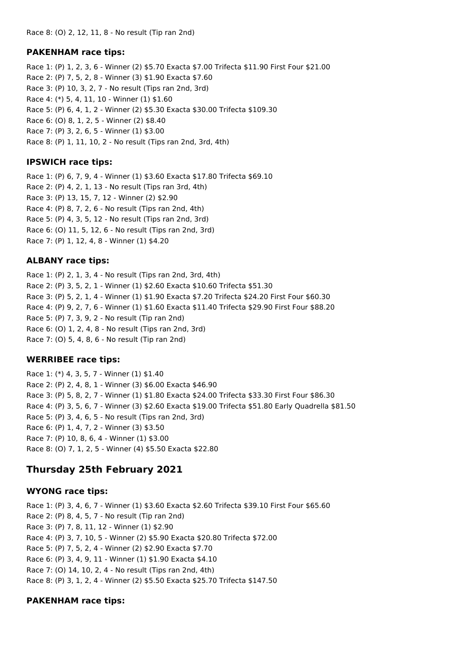#### **PAKENHAM race tips:**

Race 1: (P) 1, 2, 3, 6 - Winner (2) \$5.70 Exacta \$7.00 Trifecta \$11.90 First Four \$21.00 Race 2: (P) 7, 5, 2, 8 - Winner (3) \$1.90 Exacta \$7.60 Race 3: (P) 10, 3, 2, 7 - No result (Tips ran 2nd, 3rd) Race 4: (\*) 5, 4, 11, 10 - Winner (1) \$1.60 Race 5: (P) 6, 4, 1, 2 - Winner (2) \$5.30 Exacta \$30.00 Trifecta \$109.30 Race 6: (O) 8, 1, 2, 5 - Winner (2) \$8.40 Race 7: (P) 3, 2, 6, 5 - Winner (1) \$3.00 Race 8: (P) 1, 11, 10, 2 - No result (Tips ran 2nd, 3rd, 4th)

#### **IPSWICH race tips:**

Race 1: (P) 6, 7, 9, 4 - Winner (1) \$3.60 Exacta \$17.80 Trifecta \$69.10 Race 2: (P) 4, 2, 1, 13 - No result (Tips ran 3rd, 4th) Race 3: (P) 13, 15, 7, 12 - Winner (2) \$2.90 Race 4: (P) 8, 7, 2, 6 - No result (Tips ran 2nd, 4th) Race 5: (P) 4, 3, 5, 12 - No result (Tips ran 2nd, 3rd) Race 6: (O) 11, 5, 12, 6 - No result (Tips ran 2nd, 3rd) Race 7: (P) 1, 12, 4, 8 - Winner (1) \$4.20

#### **ALBANY race tips:**

Race 1: (P) 2, 1, 3, 4 - No result (Tips ran 2nd, 3rd, 4th) Race 2: (P) 3, 5, 2, 1 - Winner (1) \$2.60 Exacta \$10.60 Trifecta \$51.30 Race 3: (P) 5, 2, 1, 4 - Winner (1) \$1.90 Exacta \$7.20 Trifecta \$24.20 First Four \$60.30 Race 4: (P) 9, 2, 7, 6 - Winner (1) \$1.60 Exacta \$11.40 Trifecta \$29.90 First Four \$88.20 Race 5: (P) 7, 3, 9, 2 - No result (Tip ran 2nd) Race 6: (O) 1, 2, 4, 8 - No result (Tips ran 2nd, 3rd) Race 7: (O) 5, 4, 8, 6 - No result (Tip ran 2nd)

#### **WERRIBEE race tips:**

Race 1: (\*) 4, 3, 5, 7 - Winner (1) \$1.40 Race 2: (P) 2, 4, 8, 1 - Winner (3) \$6.00 Exacta \$46.90 Race 3: (P) 5, 8, 2, 7 - Winner (1) \$1.80 Exacta \$24.00 Trifecta \$33.30 First Four \$86.30 Race 4: (P) 3, 5, 6, 7 - Winner (3) \$2.60 Exacta \$19.00 Trifecta \$51.80 Early Quadrella \$81.50 Race 5: (P) 3, 4, 6, 5 - No result (Tips ran 2nd, 3rd) Race 6: (P) 1, 4, 7, 2 - Winner (3) \$3.50 Race 7: (P) 10, 8, 6, 4 - Winner (1) \$3.00 Race 8: (O) 7, 1, 2, 5 - Winner (4) \$5.50 Exacta \$22.80

## **Thursday 25th February 2021**

#### **WYONG race tips:**

Race 1: (P) 3, 4, 6, 7 - Winner (1) \$3.60 Exacta \$2.60 Trifecta \$39.10 First Four \$65.60 Race 2: (P) 8, 4, 5, 7 - No result (Tip ran 2nd) Race 3: (P) 7, 8, 11, 12 - Winner (1) \$2.90 Race 4: (P) 3, 7, 10, 5 - Winner (2) \$5.90 Exacta \$20.80 Trifecta \$72.00 Race 5: (P) 7, 5, 2, 4 - Winner (2) \$2.90 Exacta \$7.70 Race 6: (P) 3, 4, 9, 11 - Winner (1) \$1.90 Exacta \$4.10 Race 7: (O) 14, 10, 2, 4 - No result (Tips ran 2nd, 4th) Race 8: (P) 3, 1, 2, 4 - Winner (2) \$5.50 Exacta \$25.70 Trifecta \$147.50

#### **PAKENHAM race tips:**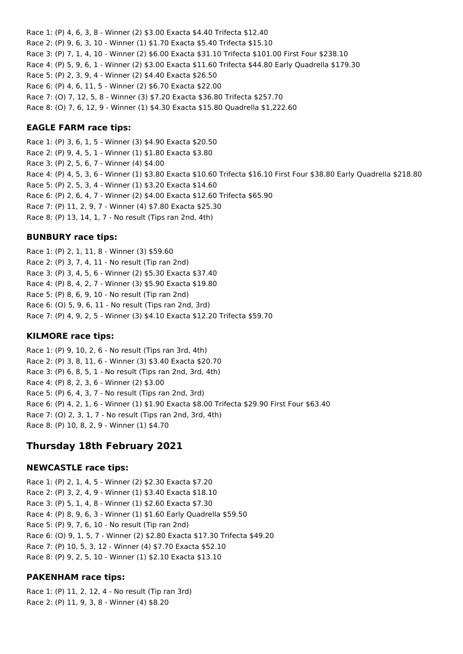Race 1: (P) 4, 6, 3, 8 - Winner (2) \$3.00 Exacta \$4.40 Trifecta \$12.40 Race 2: (P) 9, 6, 3, 10 - Winner (1) \$1.70 Exacta \$5.40 Trifecta \$15.10 Race 3: (P) 7, 1, 4, 10 - Winner (2) \$6.00 Exacta \$31.10 Trifecta \$101.00 First Four \$238.10 Race 4: (P) 5, 9, 6, 1 - Winner (2) \$3.00 Exacta \$11.60 Trifecta \$44.80 Early Quadrella \$179.30 Race 5: (P) 2, 3, 9, 4 - Winner (2) \$4.40 Exacta \$26.50 Race 6: (P) 4, 6, 11, 5 - Winner (2) \$6.70 Exacta \$22.00 Race 7: (O) 7, 12, 5, 8 - Winner (3) \$7.20 Exacta \$36.80 Trifecta \$257.70 Race 8: (O) 7, 6, 12, 9 - Winner (1) \$4.30 Exacta \$15.80 Quadrella \$1,222.60

#### **EAGLE FARM race tips:**

Race 1: (P) 3, 6, 1, 5 - Winner (3) \$4.90 Exacta \$20.50 Race 2: (P) 9, 4, 5, 1 - Winner (1) \$1.80 Exacta \$3.80 Race 3: (P) 2, 5, 6, 7 - Winner (4) \$4.00 Race 4: (P) 4, 5, 3, 6 - Winner (1) \$3.80 Exacta \$10.60 Trifecta \$16.10 First Four \$38.80 Early Quadrella \$218.80 Race 5: (P) 2, 5, 3, 4 - Winner (1) \$3.20 Exacta \$14.60 Race 6: (P) 2, 6, 4, 7 - Winner (2) \$4.00 Exacta \$12.60 Trifecta \$65.90 Race 7: (P) 11, 2, 9, 7 - Winner (4) \$7.80 Exacta \$25.30 Race 8: (P) 13, 14, 1, 7 - No result (Tips ran 2nd, 4th)

## **BUNBURY race tips:**

Race 1: (P) 2, 1, 11, 8 - Winner (3) \$59.60 Race 2: (P) 3, 7, 4, 11 - No result (Tip ran 2nd) Race 3: (P) 3, 4, 5, 6 - Winner (2) \$5.30 Exacta \$37.40 Race 4: (P) 8, 4, 2, 7 - Winner (3) \$5.90 Exacta \$19.80 Race 5: (P) 8, 6, 9, 10 - No result (Tip ran 2nd) Race 6: (O) 5, 9, 6, 11 - No result (Tips ran 2nd, 3rd) Race 7: (P) 4, 9, 2, 5 - Winner (3) \$4.10 Exacta \$12.20 Trifecta \$59.70

#### **KILMORE race tips:**

Race 1: (P) 9, 10, 2, 6 - No result (Tips ran 3rd, 4th) Race 2: (P) 3, 8, 11, 6 - Winner (3) \$3.40 Exacta \$20.70 Race 3: (P) 6, 8, 5, 1 - No result (Tips ran 2nd, 3rd, 4th) Race 4: (P) 8, 2, 3, 6 - Winner (2) \$3.00 Race 5: (P) 6, 4, 3, 7 - No result (Tips ran 2nd, 3rd) Race 6: (P) 4, 2, 1, 6 - Winner (1) \$1.90 Exacta \$8.00 Trifecta \$29.90 First Four \$63.40 Race 7: (O) 2, 3, 1, 7 - No result (Tips ran 2nd, 3rd, 4th) Race 8: (P) 10, 8, 2, 9 - Winner (1) \$4.70

# **Thursday 18th February 2021**

#### **NEWCASTLE race tips:**

Race 1: (P) 2, 1, 4, 5 - Winner (2) \$2.30 Exacta \$7.20 Race 2: (P) 3, 2, 4, 9 - Winner (1) \$3.40 Exacta \$18.10 Race 3: (P) 5, 1, 4, 8 - Winner (1) \$2.60 Exacta \$7.30 Race 4: (P) 8, 9, 6, 3 - Winner (1) \$1.60 Early Quadrella \$59.50 Race 5: (P) 9, 7, 6, 10 - No result (Tip ran 2nd) Race 6: (O) 9, 1, 5, 7 - Winner (2) \$2.80 Exacta \$17.30 Trifecta \$49.20 Race 7: (P) 10, 5, 3, 12 - Winner (4) \$7.70 Exacta \$52.10 Race 8: (P) 9, 2, 5, 10 - Winner (1) \$2.10 Exacta \$13.10

## **PAKENHAM race tips:**

Race 1: (P) 11, 2, 12, 4 - No result (Tip ran 3rd) Race 2: (P) 11, 9, 3, 8 - Winner (4) \$8.20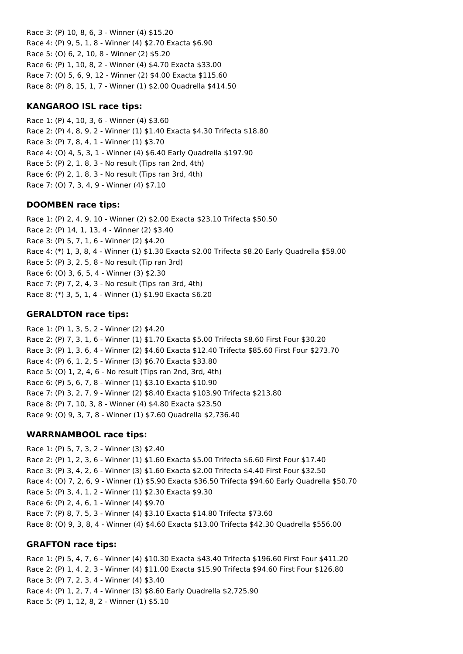Race 3: (P) 10, 8, 6, 3 - Winner (4) \$15.20 Race 4: (P) 9, 5, 1, 8 - Winner (4) \$2.70 Exacta \$6.90 Race 5: (O) 6, 2, 10, 8 - Winner (2) \$5.20 Race 6: (P) 1, 10, 8, 2 - Winner (4) \$4.70 Exacta \$33.00 Race 7: (O) 5, 6, 9, 12 - Winner (2) \$4.00 Exacta \$115.60 Race 8: (P) 8, 15, 1, 7 - Winner (1) \$2.00 Quadrella \$414.50

#### **KANGAROO ISL race tips:**

Race 1: (P) 4, 10, 3, 6 - Winner (4) \$3.60 Race 2: (P) 4, 8, 9, 2 - Winner (1) \$1.40 Exacta \$4.30 Trifecta \$18.80 Race 3: (P) 7, 8, 4, 1 - Winner (1) \$3.70 Race 4: (O) 4, 5, 3, 1 - Winner (4) \$6.40 Early Quadrella \$197.90 Race 5: (P) 2, 1, 8, 3 - No result (Tips ran 2nd, 4th) Race 6: (P) 2, 1, 8, 3 - No result (Tips ran 3rd, 4th) Race 7: (O) 7, 3, 4, 9 - Winner (4) \$7.10

#### **DOOMBEN race tips:**

Race 1: (P) 2, 4, 9, 10 - Winner (2) \$2.00 Exacta \$23.10 Trifecta \$50.50 Race 2: (P) 14, 1, 13, 4 - Winner (2) \$3.40 Race 3: (P) 5, 7, 1, 6 - Winner (2) \$4.20 Race 4: (\*) 1, 3, 8, 4 - Winner (1) \$1.30 Exacta \$2.00 Trifecta \$8.20 Early Quadrella \$59.00 Race 5: (P) 3, 2, 5, 8 - No result (Tip ran 3rd) Race 6: (O) 3, 6, 5, 4 - Winner (3) \$2.30 Race 7: (P) 7, 2, 4, 3 - No result (Tips ran 3rd, 4th) Race 8: (\*) 3, 5, 1, 4 - Winner (1) \$1.90 Exacta \$6.20

## **GERALDTON race tips:**

Race 1: (P) 1, 3, 5, 2 - Winner (2) \$4.20 Race 2: (P) 7, 3, 1, 6 - Winner (1) \$1.70 Exacta \$5.00 Trifecta \$8.60 First Four \$30.20 Race 3: (P) 1, 3, 6, 4 - Winner (2) \$4.60 Exacta \$12.40 Trifecta \$85.60 First Four \$273.70 Race 4: (P) 6, 1, 2, 5 - Winner (3) \$6.70 Exacta \$33.80 Race 5: (O) 1, 2, 4, 6 - No result (Tips ran 2nd, 3rd, 4th) Race 6: (P) 5, 6, 7, 8 - Winner (1) \$3.10 Exacta \$10.90 Race 7: (P) 3, 2, 7, 9 - Winner (2) \$8.40 Exacta \$103.90 Trifecta \$213.80 Race 8: (P) 7, 10, 3, 8 - Winner (4) \$4.80 Exacta \$23.50 Race 9: (O) 9, 3, 7, 8 - Winner (1) \$7.60 Quadrella \$2,736.40

## **WARRNAMBOOL race tips:**

Race 1: (P) 5, 7, 3, 2 - Winner (3) \$2.40 Race 2: (P) 1, 2, 3, 6 - Winner (1) \$1.60 Exacta \$5.00 Trifecta \$6.60 First Four \$17.40 Race 3: (P) 3, 4, 2, 6 - Winner (3) \$1.60 Exacta \$2.00 Trifecta \$4.40 First Four \$32.50 Race 4: (O) 7, 2, 6, 9 - Winner (1) \$5.90 Exacta \$36.50 Trifecta \$94.60 Early Quadrella \$50.70 Race 5: (P) 3, 4, 1, 2 - Winner (1) \$2.30 Exacta \$9.30 Race 6: (P) 2, 4, 6, 1 - Winner (4) \$9.70 Race 7: (P) 8, 7, 5, 3 - Winner (4) \$3.10 Exacta \$14.80 Trifecta \$73.60 Race 8: (O) 9, 3, 8, 4 - Winner (4) \$4.60 Exacta \$13.00 Trifecta \$42.30 Quadrella \$556.00

#### **GRAFTON race tips:**

Race 1: (P) 5, 4, 7, 6 - Winner (4) \$10.30 Exacta \$43.40 Trifecta \$196.60 First Four \$411.20 Race 2: (P) 1, 4, 2, 3 - Winner (4) \$11.00 Exacta \$15.90 Trifecta \$94.60 First Four \$126.80 Race 3: (P) 7, 2, 3, 4 - Winner (4) \$3.40 Race 4: (P) 1, 2, 7, 4 - Winner (3) \$8.60 Early Quadrella \$2,725.90 Race 5: (P) 1, 12, 8, 2 - Winner (1) \$5.10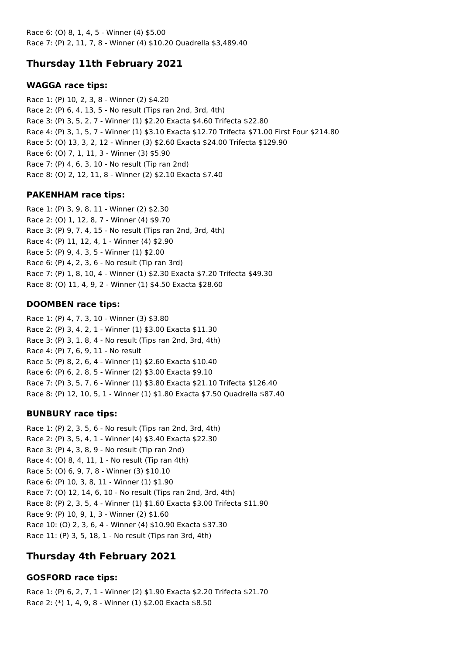Race 6: (O) 8, 1, 4, 5 - Winner (4) \$5.00 Race 7: (P) 2, 11, 7, 8 - Winner (4) \$10.20 Quadrella \$3,489.40

# **Thursday 11th February 2021**

## **WAGGA race tips:**

Race 1: (P) 10, 2, 3, 8 - Winner (2) \$4.20 Race 2: (P) 6, 4, 13, 5 - No result (Tips ran 2nd, 3rd, 4th) Race 3: (P) 3, 5, 2, 7 - Winner (1) \$2.20 Exacta \$4.60 Trifecta \$22.80 Race 4: (P) 3, 1, 5, 7 - Winner (1) \$3.10 Exacta \$12.70 Trifecta \$71.00 First Four \$214.80 Race 5: (O) 13, 3, 2, 12 - Winner (3) \$2.60 Exacta \$24.00 Trifecta \$129.90 Race 6: (O) 7, 1, 11, 3 - Winner (3) \$5.90 Race 7: (P) 4, 6, 3, 10 - No result (Tip ran 2nd) Race 8: (O) 2, 12, 11, 8 - Winner (2) \$2.10 Exacta \$7.40

## **PAKENHAM race tips:**

Race 1: (P) 3, 9, 8, 11 - Winner (2) \$2.30 Race 2: (O) 1, 12, 8, 7 - Winner (4) \$9.70 Race 3: (P) 9, 7, 4, 15 - No result (Tips ran 2nd, 3rd, 4th) Race 4: (P) 11, 12, 4, 1 - Winner (4) \$2.90 Race 5: (P) 9, 4, 3, 5 - Winner (1) \$2.00 Race 6: (P) 4, 2, 3, 6 - No result (Tip ran 3rd) Race 7: (P) 1, 8, 10, 4 - Winner (1) \$2.30 Exacta \$7.20 Trifecta \$49.30 Race 8: (O) 11, 4, 9, 2 - Winner (1) \$4.50 Exacta \$28.60

# **DOOMBEN race tips:**

Race 1: (P) 4, 7, 3, 10 - Winner (3) \$3.80 Race 2: (P) 3, 4, 2, 1 - Winner (1) \$3.00 Exacta \$11.30 Race 3: (P) 3, 1, 8, 4 - No result (Tips ran 2nd, 3rd, 4th) Race 4: (P) 7, 6, 9, 11 - No result Race 5: (P) 8, 2, 6, 4 - Winner (1) \$2.60 Exacta \$10.40 Race 6: (P) 6, 2, 8, 5 - Winner (2) \$3.00 Exacta \$9.10 Race 7: (P) 3, 5, 7, 6 - Winner (1) \$3.80 Exacta \$21.10 Trifecta \$126.40 Race 8: (P) 12, 10, 5, 1 - Winner (1) \$1.80 Exacta \$7.50 Quadrella \$87.40

# **BUNBURY race tips:**

Race 1: (P) 2, 3, 5, 6 - No result (Tips ran 2nd, 3rd, 4th) Race 2: (P) 3, 5, 4, 1 - Winner (4) \$3.40 Exacta \$22.30 Race 3: (P) 4, 3, 8, 9 - No result (Tip ran 2nd) Race 4: (O) 8, 4, 11, 1 - No result (Tip ran 4th) Race 5: (O) 6, 9, 7, 8 - Winner (3) \$10.10 Race 6: (P) 10, 3, 8, 11 - Winner (1) \$1.90 Race 7: (O) 12, 14, 6, 10 - No result (Tips ran 2nd, 3rd, 4th) Race 8: (P) 2, 3, 5, 4 - Winner (1) \$1.60 Exacta \$3.00 Trifecta \$11.90 Race 9: (P) 10, 9, 1, 3 - Winner (2) \$1.60 Race 10: (O) 2, 3, 6, 4 - Winner (4) \$10.90 Exacta \$37.30 Race 11: (P) 3, 5, 18, 1 - No result (Tips ran 3rd, 4th)

# **Thursday 4th February 2021**

# **GOSFORD race tips:**

Race 1: (P) 6, 2, 7, 1 - Winner (2) \$1.90 Exacta \$2.20 Trifecta \$21.70 Race 2: (\*) 1, 4, 9, 8 - Winner (1) \$2.00 Exacta \$8.50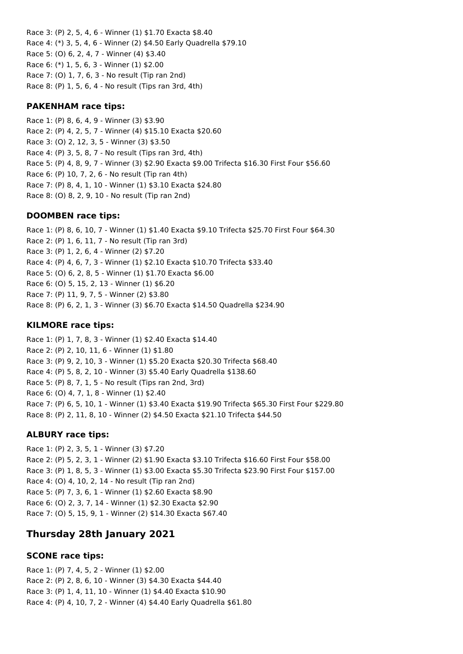Race 3: (P) 2, 5, 4, 6 - Winner (1) \$1.70 Exacta \$8.40 Race 4: (\*) 3, 5, 4, 6 - Winner (2) \$4.50 Early Quadrella \$79.10 Race 5: (O) 6, 2, 4, 7 - Winner (4) \$3.40 Race 6: (\*) 1, 5, 6, 3 - Winner (1) \$2.00 Race 7: (O) 1, 7, 6, 3 - No result (Tip ran 2nd) Race 8: (P) 1, 5, 6, 4 - No result (Tips ran 3rd, 4th)

## **PAKENHAM race tips:**

Race 1: (P) 8, 6, 4, 9 - Winner (3) \$3.90 Race 2: (P) 4, 2, 5, 7 - Winner (4) \$15.10 Exacta \$20.60 Race 3: (O) 2, 12, 3, 5 - Winner (3) \$3.50 Race 4: (P) 3, 5, 8, 7 - No result (Tips ran 3rd, 4th) Race 5: (P) 4, 8, 9, 7 - Winner (3) \$2.90 Exacta \$9.00 Trifecta \$16.30 First Four \$56.60 Race 6: (P) 10, 7, 2, 6 - No result (Tip ran 4th) Race 7: (P) 8, 4, 1, 10 - Winner (1) \$3.10 Exacta \$24.80 Race 8: (O) 8, 2, 9, 10 - No result (Tip ran 2nd)

#### **DOOMBEN race tips:**

Race 1: (P) 8, 6, 10, 7 - Winner (1) \$1.40 Exacta \$9.10 Trifecta \$25.70 First Four \$64.30 Race 2: (P) 1, 6, 11, 7 - No result (Tip ran 3rd) Race 3: (P) 1, 2, 6, 4 - Winner (2) \$7.20 Race 4: (P) 4, 6, 7, 3 - Winner (1) \$2.10 Exacta \$10.70 Trifecta \$33.40 Race 5: (O) 6, 2, 8, 5 - Winner (1) \$1.70 Exacta \$6.00 Race 6: (O) 5, 15, 2, 13 - Winner (1) \$6.20 Race 7: (P) 11, 9, 7, 5 - Winner (2) \$3.80 Race 8: (P) 6, 2, 1, 3 - Winner (3) \$6.70 Exacta \$14.50 Quadrella \$234.90

#### **KILMORE race tips:**

Race 1: (P) 1, 7, 8, 3 - Winner (1) \$2.40 Exacta \$14.40 Race 2: (P) 2, 10, 11, 6 - Winner (1) \$1.80 Race 3: (P) 9, 2, 10, 3 - Winner (1) \$5.20 Exacta \$20.30 Trifecta \$68.40 Race 4: (P) 5, 8, 2, 10 - Winner (3) \$5.40 Early Quadrella \$138.60 Race 5: (P) 8, 7, 1, 5 - No result (Tips ran 2nd, 3rd) Race 6: (O) 4, 7, 1, 8 - Winner (1) \$2.40 Race 7: (P) 6, 5, 10, 1 - Winner (1) \$3.40 Exacta \$19.90 Trifecta \$65.30 First Four \$229.80 Race 8: (P) 2, 11, 8, 10 - Winner (2) \$4.50 Exacta \$21.10 Trifecta \$44.50

#### **ALBURY race tips:**

Race 1: (P) 2, 3, 5, 1 - Winner (3) \$7.20 Race 2: (P) 5, 2, 3, 1 - Winner (2) \$1.90 Exacta \$3.10 Trifecta \$16.60 First Four \$58.00 Race 3: (P) 1, 8, 5, 3 - Winner (1) \$3.00 Exacta \$5.30 Trifecta \$23.90 First Four \$157.00 Race 4: (O) 4, 10, 2, 14 - No result (Tip ran 2nd) Race 5: (P) 7, 3, 6, 1 - Winner (1) \$2.60 Exacta \$8.90 Race 6: (O) 2, 3, 7, 14 - Winner (1) \$2.30 Exacta \$2.90 Race 7: (O) 5, 15, 9, 1 - Winner (2) \$14.30 Exacta \$67.40

# **Thursday 28th January 2021**

#### **SCONE race tips:**

Race 1: (P) 7, 4, 5, 2 - Winner (1) \$2.00 Race 2: (P) 2, 8, 6, 10 - Winner (3) \$4.30 Exacta \$44.40 Race 3: (P) 1, 4, 11, 10 - Winner (1) \$4.40 Exacta \$10.90 Race 4: (P) 4, 10, 7, 2 - Winner (4) \$4.40 Early Quadrella \$61.80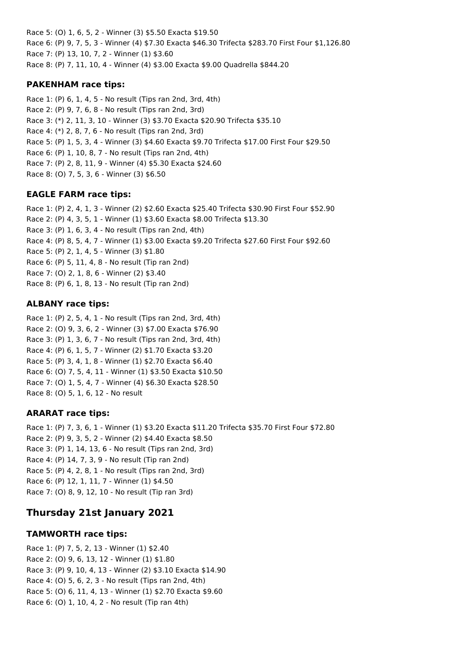Race 5: (O) 1, 6, 5, 2 - Winner (3) \$5.50 Exacta \$19.50 Race 6: (P) 9, 7, 5, 3 - Winner (4) \$7.30 Exacta \$46.30 Trifecta \$283.70 First Four \$1,126.80 Race 7: (P) 13, 10, 7, 2 - Winner (1) \$3.60 Race 8: (P) 7, 11, 10, 4 - Winner (4) \$3.00 Exacta \$9.00 Quadrella \$844.20

## **PAKENHAM race tips:**

Race 1: (P) 6, 1, 4, 5 - No result (Tips ran 2nd, 3rd, 4th) Race 2: (P) 9, 7, 6, 8 - No result (Tips ran 2nd, 3rd) Race 3: (\*) 2, 11, 3, 10 - Winner (3) \$3.70 Exacta \$20.90 Trifecta \$35.10 Race 4: (\*) 2, 8, 7, 6 - No result (Tips ran 2nd, 3rd) Race 5: (P) 1, 5, 3, 4 - Winner (3) \$4.60 Exacta \$9.70 Trifecta \$17.00 First Four \$29.50 Race 6: (P) 1, 10, 8, 7 - No result (Tips ran 2nd, 4th) Race 7: (P) 2, 8, 11, 9 - Winner (4) \$5.30 Exacta \$24.60 Race 8: (O) 7, 5, 3, 6 - Winner (3) \$6.50

# **EAGLE FARM race tips:**

Race 1: (P) 2, 4, 1, 3 - Winner (2) \$2.60 Exacta \$25.40 Trifecta \$30.90 First Four \$52.90 Race 2: (P) 4, 3, 5, 1 - Winner (1) \$3.60 Exacta \$8.00 Trifecta \$13.30 Race 3: (P) 1, 6, 3, 4 - No result (Tips ran 2nd, 4th) Race 4: (P) 8, 5, 4, 7 - Winner (1) \$3.00 Exacta \$9.20 Trifecta \$27.60 First Four \$92.60 Race 5: (P) 2, 1, 4, 5 - Winner (3) \$1.80 Race 6: (P) 5, 11, 4, 8 - No result (Tip ran 2nd) Race 7: (O) 2, 1, 8, 6 - Winner (2) \$3.40 Race 8: (P) 6, 1, 8, 13 - No result (Tip ran 2nd)

# **ALBANY race tips:**

Race 1: (P) 2, 5, 4, 1 - No result (Tips ran 2nd, 3rd, 4th) Race 2: (O) 9, 3, 6, 2 - Winner (3) \$7.00 Exacta \$76.90 Race 3: (P) 1, 3, 6, 7 - No result (Tips ran 2nd, 3rd, 4th) Race 4: (P) 6, 1, 5, 7 - Winner (2) \$1.70 Exacta \$3.20 Race 5: (P) 3, 4, 1, 8 - Winner (1) \$2.70 Exacta \$6.40 Race 6: (O) 7, 5, 4, 11 - Winner (1) \$3.50 Exacta \$10.50 Race 7: (O) 1, 5, 4, 7 - Winner (4) \$6.30 Exacta \$28.50 Race 8: (O) 5, 1, 6, 12 - No result

# **ARARAT race tips:**

Race 1: (P) 7, 3, 6, 1 - Winner (1) \$3.20 Exacta \$11.20 Trifecta \$35.70 First Four \$72.80 Race 2: (P) 9, 3, 5, 2 - Winner (2) \$4.40 Exacta \$8.50 Race 3: (P) 1, 14, 13, 6 - No result (Tips ran 2nd, 3rd) Race 4: (P) 14, 7, 3, 9 - No result (Tip ran 2nd) Race 5: (P) 4, 2, 8, 1 - No result (Tips ran 2nd, 3rd) Race 6: (P) 12, 1, 11, 7 - Winner (1) \$4.50 Race 7: (O) 8, 9, 12, 10 - No result (Tip ran 3rd)

# **Thursday 21st January 2021**

# **TAMWORTH race tips:**

Race 1: (P) 7, 5, 2, 13 - Winner (1) \$2.40 Race 2: (O) 9, 6, 13, 12 - Winner (1) \$1.80 Race 3: (P) 9, 10, 4, 13 - Winner (2) \$3.10 Exacta \$14.90 Race 4: (O) 5, 6, 2, 3 - No result (Tips ran 2nd, 4th) Race 5: (O) 6, 11, 4, 13 - Winner (1) \$2.70 Exacta \$9.60 Race 6: (O) 1, 10, 4, 2 - No result (Tip ran 4th)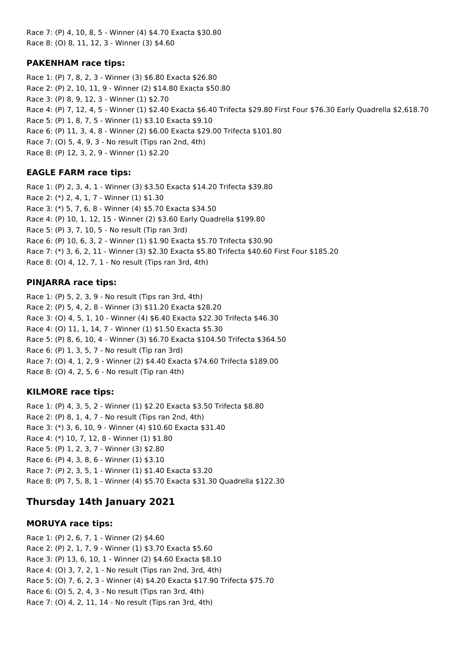Race 7: (P) 4, 10, 8, 5 - Winner (4) \$4.70 Exacta \$30.80 Race 8: (O) 8, 11, 12, 3 - Winner (3) \$4.60

## **PAKENHAM race tips:**

Race 1: (P) 7, 8, 2, 3 - Winner (3) \$6.80 Exacta \$26.80 Race 2: (P) 2, 10, 11, 9 - Winner (2) \$14.80 Exacta \$50.80 Race 3: (P) 8, 9, 12, 3 - Winner (1) \$2.70 Race 4: (P) 7, 12, 4, 5 - Winner (1) \$2.40 Exacta \$6.40 Trifecta \$29.80 First Four \$76.30 Early Quadrella \$2,618.70 Race 5: (P) 1, 8, 7, 5 - Winner (1) \$3.10 Exacta \$9.10 Race 6: (P) 11, 3, 4, 8 - Winner (2) \$6.00 Exacta \$29.00 Trifecta \$101.80 Race 7: (O) 5, 4, 9, 3 - No result (Tips ran 2nd, 4th) Race 8: (P) 12, 3, 2, 9 - Winner (1) \$2.20

# **EAGLE FARM race tips:**

Race 1: (P) 2, 3, 4, 1 - Winner (3) \$3.50 Exacta \$14.20 Trifecta \$39.80 Race 2: (\*) 2, 4, 1, 7 - Winner (1) \$1.30 Race 3: (\*) 5, 7, 6, 8 - Winner (4) \$5.70 Exacta \$34.50 Race 4: (P) 10, 1, 12, 15 - Winner (2) \$3.60 Early Quadrella \$199.80 Race 5: (P) 3, 7, 10, 5 - No result (Tip ran 3rd) Race 6: (P) 10, 6, 3, 2 - Winner (1) \$1.90 Exacta \$5.70 Trifecta \$30.90 Race 7: (\*) 3, 6, 2, 11 - Winner (3) \$2.30 Exacta \$5.80 Trifecta \$40.60 First Four \$185.20 Race 8: (O) 4, 12, 7, 1 - No result (Tips ran 3rd, 4th)

## **PINJARRA race tips:**

Race 1: (P) 5, 2, 3, 9 - No result (Tips ran 3rd, 4th) Race 2: (P) 5, 4, 2, 8 - Winner (3) \$11.20 Exacta \$28.20 Race 3: (O) 4, 5, 1, 10 - Winner (4) \$6.40 Exacta \$22.30 Trifecta \$46.30 Race 4: (O) 11, 1, 14, 7 - Winner (1) \$1.50 Exacta \$5.30 Race 5: (P) 8, 6, 10, 4 - Winner (3) \$6.70 Exacta \$104.50 Trifecta \$364.50 Race 6: (P) 1, 3, 5, 7 - No result (Tip ran 3rd) Race 7: (O) 4, 1, 2, 9 - Winner (2) \$4.40 Exacta \$74.60 Trifecta \$189.00 Race 8: (O) 4, 2, 5, 6 - No result (Tip ran 4th)

## **KILMORE race tips:**

Race 1: (P) 4, 3, 5, 2 - Winner (1) \$2.20 Exacta \$3.50 Trifecta \$8.80 Race 2: (P) 8, 1, 4, 7 - No result (Tips ran 2nd, 4th) Race 3: (\*) 3, 6, 10, 9 - Winner (4) \$10.60 Exacta \$31.40 Race 4: (\*) 10, 7, 12, 8 - Winner (1) \$1.80 Race 5: (P) 1, 2, 3, 7 - Winner (3) \$2.80 Race 6: (P) 4, 3, 8, 6 - Winner (1) \$3.10 Race 7: (P) 2, 3, 5, 1 - Winner (1) \$1.40 Exacta \$3.20 Race 8: (P) 7, 5, 8, 1 - Winner (4) \$5.70 Exacta \$31.30 Quadrella \$122.30

# **Thursday 14th January 2021**

## **MORUYA race tips:**

Race 1: (P) 2, 6, 7, 1 - Winner (2) \$4.60 Race 2: (P) 2, 1, 7, 9 - Winner (1) \$3.70 Exacta \$5.60 Race 3: (P) 13, 6, 10, 1 - Winner (2) \$4.60 Exacta \$8.10 Race 4: (O) 3, 7, 2, 1 - No result (Tips ran 2nd, 3rd, 4th) Race 5: (O) 7, 6, 2, 3 - Winner (4) \$4.20 Exacta \$17.90 Trifecta \$75.70 Race 6: (O) 5, 2, 4, 3 - No result (Tips ran 3rd, 4th) Race 7: (O) 4, 2, 11, 14 - No result (Tips ran 3rd, 4th)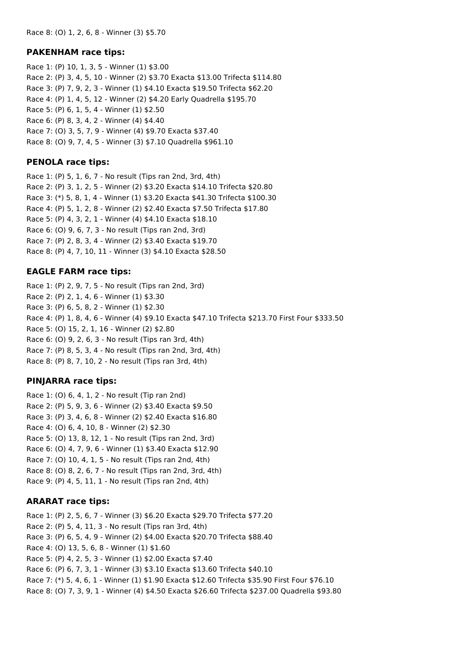#### **PAKENHAM race tips:**

Race 1: (P) 10, 1, 3, 5 - Winner (1) \$3.00 Race 2: (P) 3, 4, 5, 10 - Winner (2) \$3.70 Exacta \$13.00 Trifecta \$114.80 Race 3: (P) 7, 9, 2, 3 - Winner (1) \$4.10 Exacta \$19.50 Trifecta \$62.20 Race 4: (P) 1, 4, 5, 12 - Winner (2) \$4.20 Early Quadrella \$195.70 Race 5: (P) 6, 1, 5, 4 - Winner (1) \$2.50 Race 6: (P) 8, 3, 4, 2 - Winner (4) \$4.40 Race 7: (O) 3, 5, 7, 9 - Winner (4) \$9.70 Exacta \$37.40 Race 8: (O) 9, 7, 4, 5 - Winner (3) \$7.10 Quadrella \$961.10

#### **PENOLA race tips:**

Race 1: (P) 5, 1, 6, 7 - No result (Tips ran 2nd, 3rd, 4th) Race 2: (P) 3, 1, 2, 5 - Winner (2) \$3.20 Exacta \$14.10 Trifecta \$20.80 Race 3: (\*) 5, 8, 1, 4 - Winner (1) \$3.20 Exacta \$41.30 Trifecta \$100.30 Race 4: (P) 5, 1, 2, 8 - Winner (2) \$2.40 Exacta \$7.50 Trifecta \$17.80 Race 5: (P) 4, 3, 2, 1 - Winner (4) \$4.10 Exacta \$18.10 Race 6: (O) 9, 6, 7, 3 - No result (Tips ran 2nd, 3rd) Race 7: (P) 2, 8, 3, 4 - Winner (2) \$3.40 Exacta \$19.70 Race 8: (P) 4, 7, 10, 11 - Winner (3) \$4.10 Exacta \$28.50

#### **EAGLE FARM race tips:**

Race 1: (P) 2, 9, 7, 5 - No result (Tips ran 2nd, 3rd) Race 2: (P) 2, 1, 4, 6 - Winner (1) \$3.30 Race 3: (P) 6, 5, 8, 2 - Winner (1) \$2.30 Race 4: (P) 1, 8, 4, 6 - Winner (4) \$9.10 Exacta \$47.10 Trifecta \$213.70 First Four \$333.50 Race 5: (O) 15, 2, 1, 16 - Winner (2) \$2.80 Race 6: (O) 9, 2, 6, 3 - No result (Tips ran 3rd, 4th) Race 7: (P) 8, 5, 3, 4 - No result (Tips ran 2nd, 3rd, 4th) Race 8: (P) 8, 7, 10, 2 - No result (Tips ran 3rd, 4th)

#### **PINJARRA race tips:**

Race 1: (O) 6, 4, 1, 2 - No result (Tip ran 2nd) Race 2: (P) 5, 9, 3, 6 - Winner (2) \$3.40 Exacta \$9.50 Race 3: (P) 3, 4, 6, 8 - Winner (2) \$2.40 Exacta \$16.80 Race 4: (O) 6, 4, 10, 8 - Winner (2) \$2.30 Race 5: (O) 13, 8, 12, 1 - No result (Tips ran 2nd, 3rd) Race 6: (O) 4, 7, 9, 6 - Winner (1) \$3.40 Exacta \$12.90 Race 7: (O) 10, 4, 1, 5 - No result (Tips ran 2nd, 4th) Race 8: (O) 8, 2, 6, 7 - No result (Tips ran 2nd, 3rd, 4th) Race 9: (P) 4, 5, 11, 1 - No result (Tips ran 2nd, 4th)

#### **ARARAT race tips:**

Race 1: (P) 2, 5, 6, 7 - Winner (3) \$6.20 Exacta \$29.70 Trifecta \$77.20 Race 2: (P) 5, 4, 11, 3 - No result (Tips ran 3rd, 4th) Race 3: (P) 6, 5, 4, 9 - Winner (2) \$4.00 Exacta \$20.70 Trifecta \$88.40 Race 4: (O) 13, 5, 6, 8 - Winner (1) \$1.60 Race 5: (P) 4, 2, 5, 3 - Winner (1) \$2.00 Exacta \$7.40 Race 6: (P) 6, 7, 3, 1 - Winner (3) \$3.10 Exacta \$13.60 Trifecta \$40.10 Race 7: (\*) 5, 4, 6, 1 - Winner (1) \$1.90 Exacta \$12.60 Trifecta \$35.90 First Four \$76.10 Race 8: (O) 7, 3, 9, 1 - Winner (4) \$4.50 Exacta \$26.60 Trifecta \$237.00 Quadrella \$93.80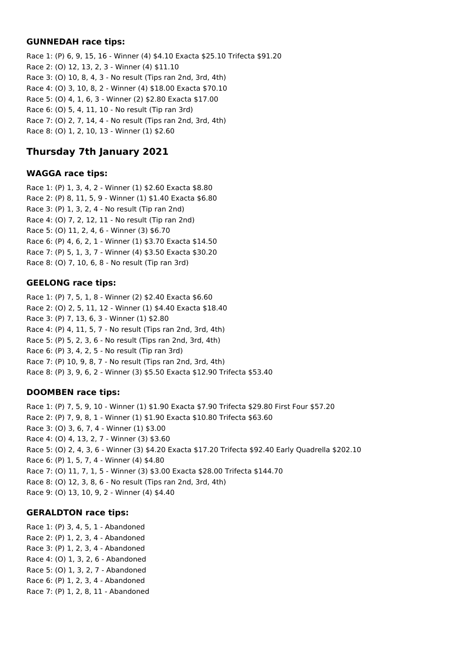#### **GUNNEDAH race tips:**

Race 1: (P) 6, 9, 15, 16 - Winner (4) \$4.10 Exacta \$25.10 Trifecta \$91.20 Race 2: (O) 12, 13, 2, 3 - Winner (4) \$11.10 Race 3: (O) 10, 8, 4, 3 - No result (Tips ran 2nd, 3rd, 4th) Race 4: (O) 3, 10, 8, 2 - Winner (4) \$18.00 Exacta \$70.10 Race 5: (O) 4, 1, 6, 3 - Winner (2) \$2.80 Exacta \$17.00 Race 6: (O) 5, 4, 11, 10 - No result (Tip ran 3rd) Race 7: (O) 2, 7, 14, 4 - No result (Tips ran 2nd, 3rd, 4th) Race 8: (O) 1, 2, 10, 13 - Winner (1) \$2.60

# **Thursday 7th January 2021**

## **WAGGA race tips:**

Race 1: (P) 1, 3, 4, 2 - Winner (1) \$2.60 Exacta \$8.80 Race 2: (P) 8, 11, 5, 9 - Winner (1) \$1.40 Exacta \$6.80 Race 3: (P) 1, 3, 2, 4 - No result (Tip ran 2nd) Race 4: (O) 7, 2, 12, 11 - No result (Tip ran 2nd) Race 5: (O) 11, 2, 4, 6 - Winner (3) \$6.70 Race 6: (P) 4, 6, 2, 1 - Winner (1) \$3.70 Exacta \$14.50 Race 7: (P) 5, 1, 3, 7 - Winner (4) \$3.50 Exacta \$30.20 Race 8: (O) 7, 10, 6, 8 - No result (Tip ran 3rd)

#### **GEELONG race tips:**

Race 1: (P) 7, 5, 1, 8 - Winner (2) \$2.40 Exacta \$6.60 Race 2: (O) 2, 5, 11, 12 - Winner (1) \$4.40 Exacta \$18.40 Race 3: (P) 7, 13, 6, 3 - Winner (1) \$2.80 Race 4: (P) 4, 11, 5, 7 - No result (Tips ran 2nd, 3rd, 4th) Race 5: (P) 5, 2, 3, 6 - No result (Tips ran 2nd, 3rd, 4th) Race 6: (P) 3, 4, 2, 5 - No result (Tip ran 3rd) Race 7: (P) 10, 9, 8, 7 - No result (Tips ran 2nd, 3rd, 4th) Race 8: (P) 3, 9, 6, 2 - Winner (3) \$5.50 Exacta \$12.90 Trifecta \$53.40

## **DOOMBEN race tips:**

Race 1: (P) 7, 5, 9, 10 - Winner (1) \$1.90 Exacta \$7.90 Trifecta \$29.80 First Four \$57.20 Race 2: (P) 7, 9, 8, 1 - Winner (1) \$1.90 Exacta \$10.80 Trifecta \$63.60 Race 3: (O) 3, 6, 7, 4 - Winner (1) \$3.00 Race 4: (O) 4, 13, 2, 7 - Winner (3) \$3.60 Race 5: (O) 2, 4, 3, 6 - Winner (3) \$4.20 Exacta \$17.20 Trifecta \$92.40 Early Quadrella \$202.10 Race 6: (P) 1, 5, 7, 4 - Winner (4) \$4.80 Race 7: (O) 11, 7, 1, 5 - Winner (3) \$3.00 Exacta \$28.00 Trifecta \$144.70 Race 8: (O) 12, 3, 8, 6 - No result (Tips ran 2nd, 3rd, 4th) Race 9: (O) 13, 10, 9, 2 - Winner (4) \$4.40

#### **GERALDTON race tips:**

Race 1: (P) 3, 4, 5, 1 - Abandoned Race 2: (P) 1, 2, 3, 4 - Abandoned Race 3: (P) 1, 2, 3, 4 - Abandoned Race 4: (O) 1, 3, 2, 6 - Abandoned Race 5: (O) 1, 3, 2, 7 - Abandoned Race 6: (P) 1, 2, 3, 4 - Abandoned Race 7: (P) 1, 2, 8, 11 - Abandoned